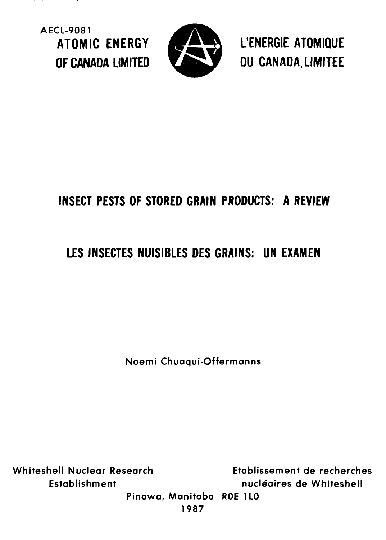**AECL-9081**



**ATOMIC ENERGY ^£\* & L'ENERGIE ATOMIQUE** OF CANADA LIMITED **THE STATE OF CANADA, LIMITEE** 

# **INSECT PESTS OF STORED GRAIN PRODUCTS: A REVIEW**

# **LES INSECTES NUISIBLES DES GRAINS: UN EXAMEN**

**Noemi Chuaqui-Offermanns**

**Whiteshell Nuclear Research Etablissement de recherches Establishment nucleaires de Whiteshell**

**Pinawa, Manitoba ROE 1 LO 1987**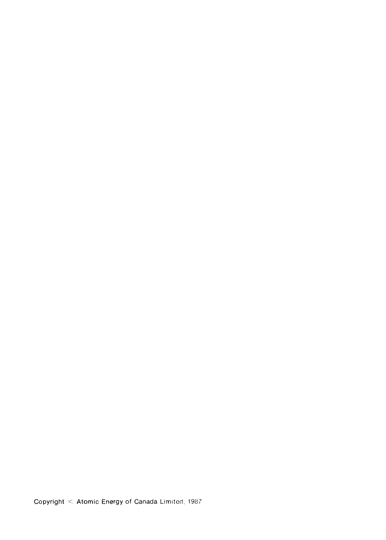Copyright  $\Diamond$  Atomic Energy of Canada Limited, 1987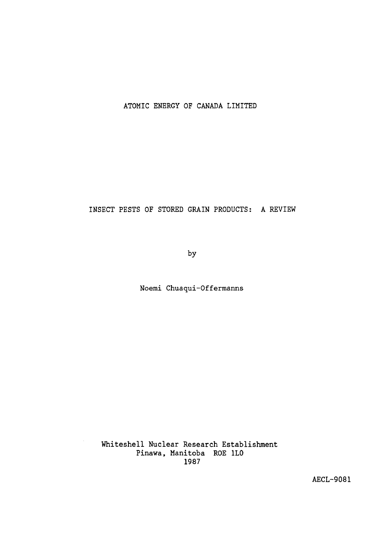### ATOMIC ENERGY OF CANADA LIMITED

INSECT PESTS OF STORED GRAIN PRODUCTS: A REVIEW

by

Noemi Chuaqui-Offermanns

Whiteshell Nuclear Research Establishment Pinawa, Manitoba ROE 1L0 1987

AECL-9081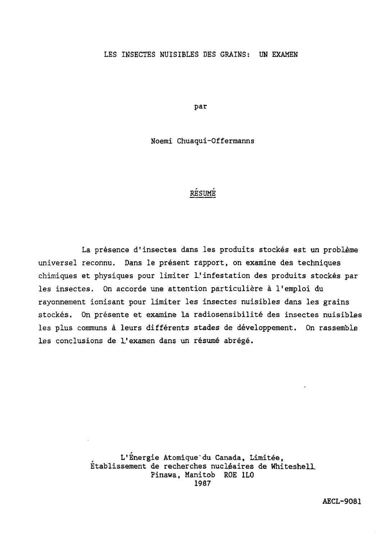#### LES INSECTES NUISIBLES DES GRAINS: UN EXAMEN

par

Noemi Chuaqui-Offerraanns

### RESUME

La présence d'insectes dans les produits stockés est un problème universel reconnu. Dans le présent rapport, on examine des techniques chimiques et physiques pour limiter 1.' infestation des produits stockés par les insectes. On accorde une attention particulière à l'emploi du rayonnement ionisant pour limiter les insectes nuisibles dans les grains stockés. On présente et examine la radiosensibilité des insectes nuisibles les plus communs à leurs différents stades de développement. On rassemble les conclusions de L'examen dans un résumé abrégé.

> L'Énergie Atomique"du Canada, Limitée, Établissement de recherches nucléaires de Whiteshell. Pinawa, Manitob ROE 1L0 1987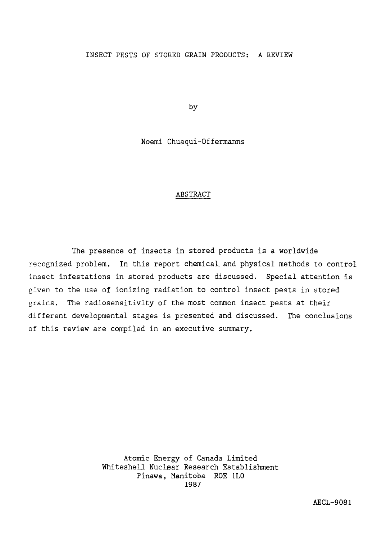#### INSECT PESTS OF STORED GRAIN PRODUCTS: A REVIEW

by

Noemi Chuaqui-Offermanns

#### ABSTRACT

The presence of insects in stored products is a worldwide recognized problem. In this report chemical, and physical methods to control insect infestations in stored products are discussed. Special, attention is given to the use of ionizing radiation to control insect pests in stored grains. The radiosensitivity of the most common insect pests at their different developmental stages is presented and discussed. The conclusions of this review are compiled in an executive summary.

> Atomic Energy of Canada Limited Whiteshell Nuclear Research Establishment Pinawa, Manitoba ROE 1L0 1987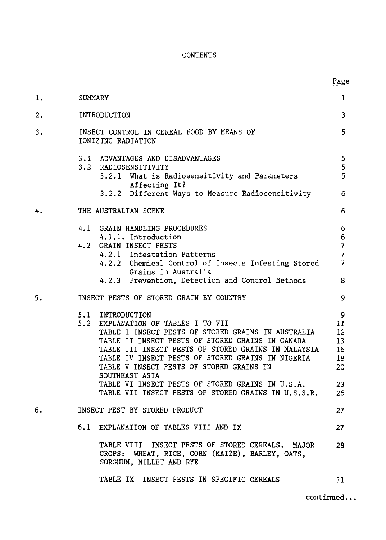### CONTENTS

| 1. | <b>SUMMARY</b>                                                                                                                                                                                                                                                                                                                             | 1                                                                           |
|----|--------------------------------------------------------------------------------------------------------------------------------------------------------------------------------------------------------------------------------------------------------------------------------------------------------------------------------------------|-----------------------------------------------------------------------------|
|    |                                                                                                                                                                                                                                                                                                                                            |                                                                             |
| 2. | INTRODUCTION                                                                                                                                                                                                                                                                                                                               | 3                                                                           |
| 3. | INSECT CONTROL IN CEREAL FOOD BY MEANS OF<br>IONIZING RADIATION                                                                                                                                                                                                                                                                            | 5                                                                           |
|    | 3.1 ADVANTAGES AND DISADVANTAGES<br>3.2 RADIOSENSITIVITY<br>3.2.1 What is Radiosensitivity and Parameters<br>Affecting It?<br>3.2.2 Different Ways to Measure Radiosensitivity                                                                                                                                                             | $\overline{5}$<br>5<br>5<br>6                                               |
| 4. | THE AUSTRALIAN SCENE                                                                                                                                                                                                                                                                                                                       | 6                                                                           |
|    | 4.1 GRAIN HANDLING PROCEDURES<br>4.1.1. Introduction<br>GRAIN INSECT PESTS<br>4.2<br>4.2.1 Infestation Patterns<br>4.2.2 Chemical Control of Insects Infesting Stored<br>Grains in Australia<br>4.2.3 Prevention, Detection and Control Methods                                                                                            | 6<br>6<br>$\overline{\phantom{a}}$<br>$\overline{7}$<br>$\overline{7}$<br>8 |
| 5. | INSECT PESTS OF STORED GRAIN BY COUNTRY                                                                                                                                                                                                                                                                                                    | 9                                                                           |
|    | 5.1 INTRODUCTION<br>5.2 EXPLANATION OF TABLES I TO VII<br>TABLE I INSECT PESTS OF STORED GRAINS IN AUSTRALIA<br>TABLE II INSECT PESTS OF STORED GRAINS IN CANADA<br>TABLE III INSECT PESTS OF STORED GRAINS IN MALAYSIA<br>TABLE IV INSECT PESTS OF STORED GRAINS IN NIGERIA<br>TABLE V INSECT PESTS OF STORED GRAINS IN<br>SOUTHEAST ASIA | 9<br>11<br>12<br>13<br>16<br>18<br>20                                       |
|    | TABLE VI INSECT PESTS OF STORED GRAINS IN U.S.A.<br>TABLE VII INSECT PESTS OF STORED GRAINS IN U.S.S.R.                                                                                                                                                                                                                                    | 23<br>26                                                                    |
| 6. | INSECT PEST BY STORED PRODUCT                                                                                                                                                                                                                                                                                                              | 27                                                                          |
|    | 6.1 EXPLANATION OF TABLES VIII AND IX                                                                                                                                                                                                                                                                                                      | 27.                                                                         |
|    | TABLE VIII INSECT PESTS OF STORED CEREALS. MAJOR<br>CROPS: WHEAT, RICE, CORN (MAIZE), BARLEY, OATS,<br>SORGHUM, MILLET AND RYE                                                                                                                                                                                                             | 28                                                                          |
|    | TABLE IX INSECT PESTS IN SPECIFIC CEREALS                                                                                                                                                                                                                                                                                                  | 31                                                                          |

continued..

Page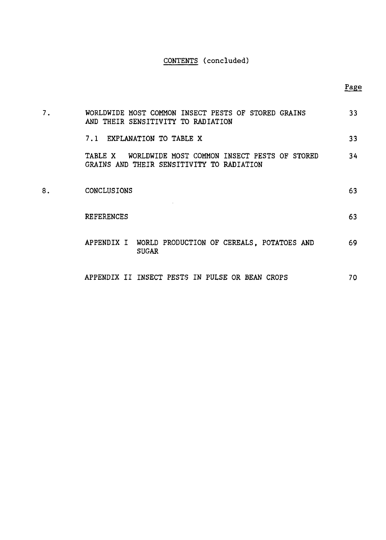### CONTENTS (concluded)

| 7. | WORLDWIDE MOST COMMON INSECT PESTS OF STORED GRAINS<br>AND THEIR SENSITIVITY TO RADIATION         | 33 |
|----|---------------------------------------------------------------------------------------------------|----|
|    | 7.1 EXPLANATION TO TABLE X                                                                        | 33 |
|    | TABLE X WORLDWIDE MOST COMMON INSECT PESTS OF STORED<br>GRAINS AND THEIR SENSITIVITY TO RADIATION | 34 |
| 8. | <b>CONCLUSIONS</b>                                                                                | 63 |
|    | <b>REFERENCES</b>                                                                                 | 63 |
|    | APPENDIX I WORLD PRODUCTION OF CEREALS. POTATOES AND<br><b>SUGAR</b>                              | 69 |
|    | APPENDIX II INSECT PESTS IN PULSE OR BEAN CROPS                                                   | 70 |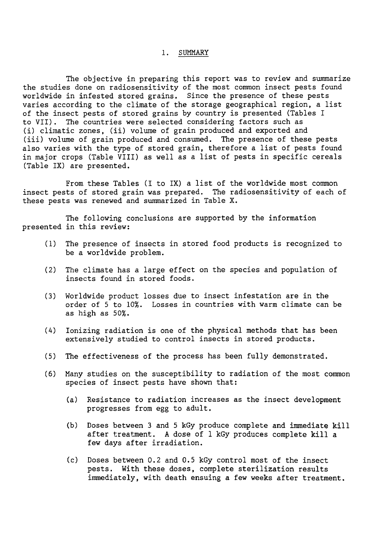#### 1. SUMMARY

The objective in preparing this report was to review and summarize the studies done on radiosensitivity of the most common insect pests found worldwide in infested stored grains. Since the presence of these pests varies according to the climate of the storage geographical region, a list of the insect pests of stored grains by country is presented (Tables I to VII). The countries were selected considering factors such as (i) climatic zones, (ii) volume of grain produced and exported and (iii) volume of grain produced and consumed. The presence of these pests also varies with the type of stored grain, therefore a list of pests found in major crops (Table VIII) as well as a list of pests in specific cereals (Table IX) are presented.

From these Tables (I to IX) a list of the worldwide most common insect pests of stored grain was prepared. The radiosensitivity of each of these pests was renewed and summarized in Table X.

The following conclusions are supported by the information presented in this review:

- (1) The presence of insects in stored food products is recognized to be a worldwide problem.
- (2) The climate has a large effect on the species and population of insects found in stored foods.
- (3) Worldwide product losses due to insect infestation are in the order of 5 to 10%. Losses in countries with warm climate can be as high as 50%.
- (A) Ionizing radiation is one of the physical methods that has been extensively studied to control insects in stored products.
- (5) The effectiveness of the process has been fully demonstrated.
- (6) Many studies on the susceptibility to radiation of the most common species of insect pests have shown that:
	- (a) Resistance to radiation increases as the insect development progresses from egg to adult.
	- (b) Doses between 3 and 5 kGy produce complete and immediate kill after treatment. A dose of 1 kGy produces complete kill a few days after irradiation.
	- (c) Doses between 0.2 and 0.5 kGy control most of the insect pests. With these doses, complete sterilization results immediately, with death ensuing a few weeks after treatment.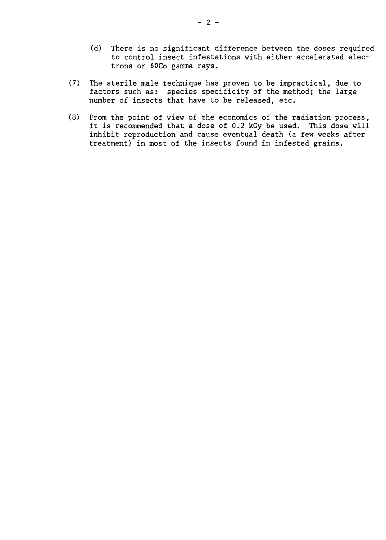- (d) There is no significant difference between the doses required to control insect infestations with either accelerated electrons or 6OC0 gamma rays.
- (7) The sterile male technique has proven to be impractical, due to factors such as: species specificity of the method; the large number of insects that have to be released, etc.
- (8) From the point of view of the economics of the radiation process, it is recommended that a dose of 0.2 kGy be used. This dose will inhibit reproduction and cause eventual death (a few weeks after treatment) in most of the insects found in infested grains.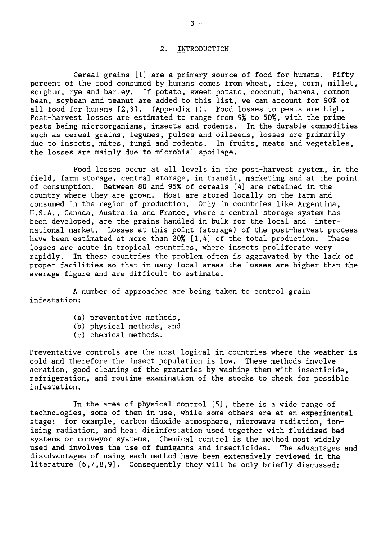#### 2. INTRODUCTION

Cereal grains [1] are a primary source of food for humans. Fifty percent of the food consumed by humans comes from wheat, rice, corn, millet, sorghum, rye and barley. If potato, sweet potato, coconut, banana, common bean, soybean and peanut are added to this list, we can account for 90% of all food for humans [2,3]. (Appendix I). Food losses to pests are high. Post-harvest losses are estimated to range from 9% to 50%, with the prime pests being microorganisms, insects and rodents. In the durable commodities such as cereal grains, legumes, pulses and oilseeds, losses are primarily due to insects, mites, fungi and rodents. In fruits, meats and vegetables, the losses are mainly due to microbial spoilage.

Food losses occur at all levels in the post-harvest system, in the field, farm storage, central storage, in transit, marketing and at the point of consumption. Between 80 and 95% of cereals [4] are retained in the country where they are grown. Most are stored locally on the farm and consumed in the region of production. Only in countries like Argentina, U.S.A., Canada, Australia and France, where a central storage system has been developed, are the grains handled in bulk for the local and international market. Losses at this point (storage) of the post-harvest process have been estimated at more than 20% [1,4] of the total production. These losses are acute in tropical countries, where insects proliferate very rapidly. In these countries the problem often is aggravated by the lack of proper facilities so that in many local areas the losses are higher than the average figure and are difficult to estimate.

A number of approaches are being taken to control grain infestation:

- (a) preventative methods,
- (b) physical methods, and
- (c) chemical methods.

Preventative controls are the most logical in countries where the weather is cold and therefore the insect population is low. These methods involve aeration, good cleaning of the granaries by washing them with insecticide, refrigeration, and routine examination of the stocks to check for possible infestation.

In the area of physical control [5], there is a wide range of technologies, some of them in use, while some others are at an experimental stage: for example, carbon dioxide atmosphere, microwave radiation, ionizing radiation, and heat disinfestation used together with fluidized bed systems or conveyor systems. Chemical control is the method most widely used and involves the use of fumigants and insecticides. The advantages and disadvantages of using each method have been extensively reviewed in the literature [6,7,8,9]. Consequently they will be only briefly discussed: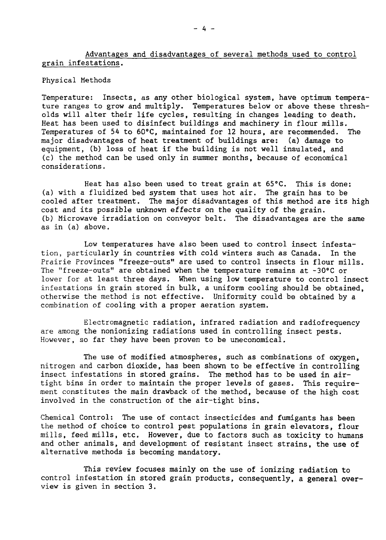Advantages and disadvantages of several methods used to control grain infestations.

Physical Methods

Temperature: Insects, as any other biological system, have optimum temperature ranges to grow and multiply. Temperatures below or above these thresholds will alter their life cycles, resulting in changes leading to death. Heat has been used to disinfect buildings and machinery in flour mills. Temperatures of 54 to 60°C, maintained for 12 hours, are recommended. The major disadvantages of heat treatment of buildings are: (a) damage to equipment, (b) loss of heat if the building is not well insulated, and (c) the method can be used only in summer months, because of economical considerations.

Heat has also been used to treat grain at 65°C. This is done: (a) with a fluidized bed system that uses hot air. The grain has to be cooled after treatment. The major disadvantages of this method are its high cost and its possible unknown effects on the quality of the grain. (b) Microwave irradiation on conveyor belt. The disadvantages are the same as in (a) above.

Low temperatures have also been used to control insect infestation, particularly in countries with cold winters such as Canada. In the Prairie Provinces "freeze-outs" are used to control insects in flour mills. The "freeze-outs" are obtained when the temperature remains at -30°C or lower for at least three days. When using low temperature to control insect infestations in grain stored in bulk, a uniform cooling should be obtained, otherwise the method is not effective. Uniformity could be obtained by a combination of cooling with a proper aeration system.

Electromagnetic radiation, infrared radiation and radiofrequency are among the nonionizing radiations used in controlling insect pests. However, so far they have been proven to be uneconomical.

The use of modified atmospheres, such as combinations of oxygen, nitrogen and carbon dioxide, has been shown to be effective in controlling insect infestations in stored grains. The method has to be used in airtight bins in order to maintain the proper levels of gases. This requirement constitutes the main drawback of the method, because of the high cost involved in the construction of the air-tight bins.

Chemical Control: The use of contact insecticides and fumigants has been the method of choice to control pest populations in grain elevators, flour mills, feed mills, etc. However, due to factors such as toxicity to humans and other animals, and development of resistant insect strains, the use of alternative methods is becoming mandatory.

This review focuses mainly on the use of ionizing radiation to control infestation in stored grain products, consequently, a general overview is given in section 3.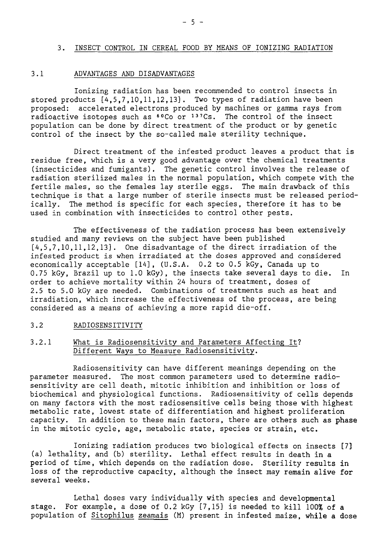#### 3. INSECT CONTROL IN CEREAL FOOD BY MEANS OF IONIZING RADIATION

#### 3.1 ADVANTAGES AND DISADVANTAGES

Ionizing radiation has been recommended to control insects in stored products [4,5,7,10,11,12,13]. Two types of radiation have been proposed: accelerated electrons produced by machines or gamma rays from radioactive isotopes such as <sup>60</sup>Co or <sup>137</sup>Cs. The control of the insect population can be done by direct treatment of the product or by genetic control of the insect by the so-called male sterility technique.

Direct treatment of the infested product leaves a product that is residue free, which is a very good advantage over the chemical treatments (insecticides and fumigants). The genetic control involves the release of radiation sterilized males in the normal population, which compete with the fertile males, so the females lay sterile eggs. The main drawback of this technique is that a large number of sterile insects must be released periodically. The method is specific for each species, therefore it has to be used in combination with insecticides to control other pests.

The effectiveness of the radiation process has been extensively studied and many reviews on the subject have been published [4,5,7,10,11,12,13]. One disadvantage of the direct irradiation of the infested product is when irradiated at the doses approved and considered economically acceptable [14], (U.S.A. 0.2 to 0.5 kGy, Canada up to 0.75 kGy, Brazil up to 1.0 kGy), the insects take several days to die. In order to achieve mortality within 24 hours of treatment, doses of 2.5 to 5.0 kGy are needed. Combinations of treatments such as heat and irradiation, which increase the effectiveness of the process, are being considered as a means of achieving a more rapid die-off.

### 3.2 RADIOSENSITIVITY

#### 3.2.1 What is Radiosensitivity and Parameters Affecting It? Different Ways to Measure Radiosensitivity.

Radiosensitivity can have different meanings depending on the parameter measured. The most common parameters used to determine radiosensitivity are cell death, mitotic inhibition and inhibition or loss of biochemical and physiological functions. Radiosensitivity of cells depends on many factors with the most radiosensitive cells being those with highest metabolic rate, lowest state of differentiation and highest proliferation capacity. In addition to these main factors, there are others such as **phase** in the mitotic cycle, age, metabolic state, species or strain, etc.

Ionizing radiation produces two biological effects on insects [7] (a) lethality, and (b) sterility. Lethal effect results in death in a period of time, which depends on the radiation dose. Sterility results in loss of the reproductive capacity, although the insect may remain alive **for** several weeks.

Lethal doses vary individually with species and developmental stage. For example, a dose of 0.2 kGy [7,15] is needed to kill 100% of **a** population of Sitophilus zeamais (M) present in infested maize, while **a dose**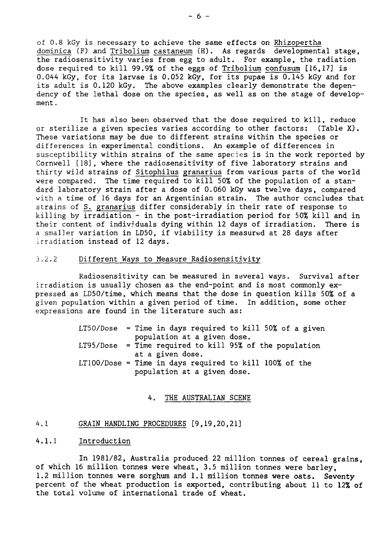of 0.8 kGy is necessary to achieve the same effects on Rhizopertha dominica (F) and Tribolium castaneum (H). As regards developmental stage, the radiosensitivity varies from egg to adult. For example, the radiation dose required to kill 99.9% of the eggs of Tribolium confusum [16,17] is 0.044 kGy, for its larvae is 0.052 kGy, for its pupae is 0.145 kGy and for its adult is 0.120 kGy. The above examples clearly demonstrate the dependency of the lethal dose on the species, as well as on the stage of development .

It has also been observed that the dose required to kill, reduce or sterilize a given species varies according to other factors: (Table X). These variations may be due to different strains within the species or differences in experimental conditions. An example of differences in susceptibility within strains of the same species is in the work reported by Cornwell [18], where the radiosensitivity of five laboratory strains and thirty wild strains of Sitophilus granarius from various parts of the world were compared. The time required to kill 50% of the population of a standard laboratory strain after a dose of 0.060 kGy was twelve days, compared with a time of 16 days for an Argentinian strain. The author concludes that strains of S. granarius differ considerably in their rate of response to killing by irradiation - in the post-irradiation period for 50% kill and in their content of individuals dying within 12 days of irradiation. There is a smaller variation in LD50, if viability is measured at 28 days after irradiation instead of 12 days.

#### **3.2.2** Different Ways to Measure Radiosensitivity

Radiosensitivity can be measured in several ways. Survival after irradiation is usually chosen as the end-point and is most commonly expressed as LD50/time, which means that the dose in question kills 50% of a given population within a given period of time. In addition, some other expressions are found in the literature such as:

> $LT50/Dose = Time in days required to kill 50% of a given$ population at a given dose. LT95/Dose = Time required to kill 95% of the population at a given dose. LTIOO/Dose = Time in days required to kill 100% of the population at a given dose.

#### 4. THE AUSTRALIAN SCENE

### 4.1 GRAIN HANDLING PROCEDURES [9,19,20,21]

#### 4.1.1 Introduction

In 1981/82, Australia produced 22 million tonnes of cereal grains, of which 16 million tonnes were wheat, 3.5 million tonnes were barley, 1.2 million tonnes were sorghum and 1.1 million tonnes were **oats. Seventy** percent of the wheat production is exported, contributing about 11 to 12% of the total volume of international trade of wheat.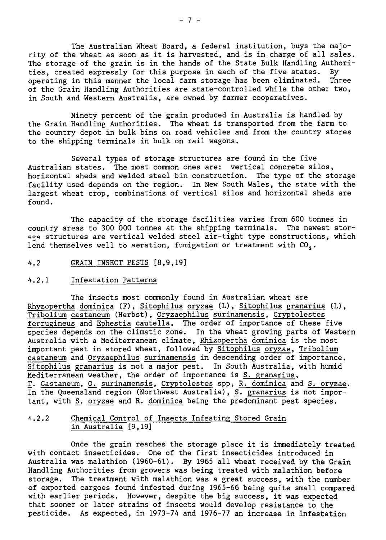The Australian Wheat Board, a federal institution, buys the majority of the wheat as soon as it is harvested, and is in charge of all sales. The storage of the grain is in the hands of the State Bulk Handling Authorities, created expressly for this purpose in each of the five states. By operating in this manner the local farm storage has been eliminated. Three of the Grain Handling Authorities are state-controlled while the othei two, in South and Western Australia, are owned by farmer cooperatives.

Ninety percent of the grain produced in Australia is handled by the Grain Handling Authorities. The wheat is transported from the farm to the country depot in bulk bins on road vehicles and from the country stores to the shipping terminals in bulk on rail wagons.

Several types of storage structures are found in the five Australian states. The most common ones are: vertical concrete silos, horizontal sheds and welded steel bin construction. The type of the storage facility used depends on the region. In New South Wales, the state with the largest wheat crop, combinations of vertical silos and horizontal sheds are found.

The capacity of the storage facilities varies from 600 tonnes in country areas to 300 000 tonnes at the shipping terminals. The newest storage structures are vertical welded steel air-tight type constructions, which lend themselves well to aeration, fumigation or treatment with CO,.

4.2 GRAIN INSECT PESTS [8,9,19]

#### 4.2.1 Infestation Patterns

The insects most commonly found in Australian wheat are Rhyzopertha dominica (F), Sitophilus oryzae (L), Sitophilus granarius (L), Tribolium castaneum (Herbst), Oryzaephilus surinamensis, Cryptolestes ferrugineus and Ephestia cautella. The order of importance of these five species depends on the climatic zone. In the wheat growing parts of Western Australia with a Mediterranean climate, Rhizopertha dominica is the most important pest in stored wheat, followed by Sitophilus oryzae, Tribolium castaneum and Oryzaephilus surinamensis in descending order of importance. Sitophilus granarius is not a major pest. In South Australia, with humid Mediterranean weather, the order of importance is S. granarius, T. Castaneum, O. surinamensis, Cryptolestes spp, R. dominica and S. oryzae. In the Queensland region (Northwest Australia), S. granarius is not important, with S. oryzae and R. dominica being the predominant pest species.

#### 4.2.2 Chemical Control of Insects Infesting Stored Grain in Australia [9,19]

Once the grain reaches the storage place it is immediately treated with contact insecticides. One of the first insecticides introduced in Australia was malathion (1960-61). By 1965 all wheat received by the Grain Handling Authorities from growers was being treated with malathion before storage. The treatment with malathion was a great success, with the number of exported cargoes found infested during 1965-66 being quite small compared with earlier periods. However, despite the big success, it was expected that sooner or later strains of insects would develop resistance to the pesticide. As expected, in 1973-74 and 1976-77 an increase in infestation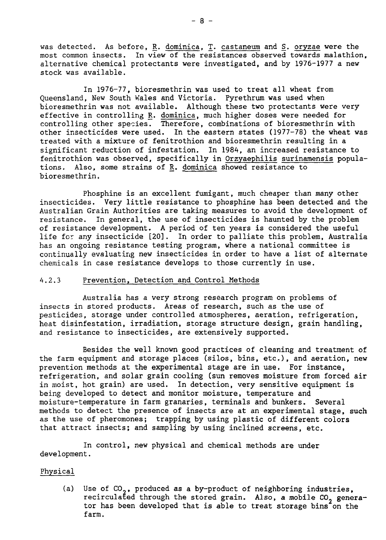was detected. As before,  $\underline{R}$ . dominica,  $\underline{T}$ . castaneum and  $\underline{S}$ . oryzae were the most common insects. In view of the resistances observed towards malathion, alternative chemical protectants were investigated, and by 1976-1977 a new stock was available.

In 1976-77, bioresmethrin was used to treat all wheat from Queensland, New South Wales and Victoria. Pyrethrum was used when bioresmethrin was not available. Although these two protectants were very effective in controlling R. dominica, much higher doses were needed for controlling other species. Therefore, combinations of bioresmethrin with other insecticides were used. In the eastern states (1977-78) the wheat was treated with a mixture of fenitrothion and bioresmethrin resulting in a significant reduction of infestation. In 1984, an increased resistance to fenitrothion was observed, specifically in Orzyaephilis surinamensis populations. Also, some strains of R. dominica showed resistance to bioresmethrin.

Phosphine is an excellent fumigant, much cheaper than many other insecticides. Very little resistance to phosphine has been detected and the Australian Grain Authorities are taking measures to avoid the development of resistance. In general, the use of insecticides is haunted by the problem of resistance development. A period of ten years is considered the useful life for any insecticide [20]. In order to palliate this problem, Australia has an ongoing resistance testing program, where a national committee is continually evaluating new insecticides in order to have a list of alternate chemicals in case resistance develops to those currently in use.

#### 4.2.3 Prevention, Detection and Control Methods

Australia has a very strong research program on problems of insects in stored products. Areas of research, such as the use of pesticides, storage under controlled atmospheres, aeration, refrigeration, heat disinfestation, irradiation, storage structure design, grain handling, and resistance to insecticides, are extensively supported.

Besides the well known good practices of cleaning and treatment of the farm equipment and storage places (silos, bins, etc.), and aeration, new prevention methods at the experimental stage are in use. For instance, refrigeration, and solar grain cooling (sun removes moisture from forced air in moist, hot grain) are used. In detection, very sensitive equipment is being developed to detect and monitor moisture, temperature and moisture-temperature in farm granaries, terminals and bunkers. Several methods to detect the presence of insects are at an experimental stage, such as the use of pheromones; trapping by using plastic of different colors that attract insects; and sampling by using inclined screens, etc.

In control, new physical and chemical methods are under development.

#### Physical

(a) Use of  $CO_2$ , produced as a by-product of neighboring industries, recirculated through the stored grain. Also, a mobile CO<sub>2</sub> generator has been developed that is able to treat storage bins on the farm.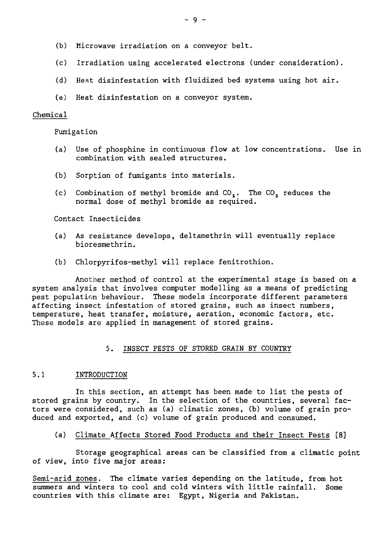- (b) Microwave irradiation on a conveyor belt.
- (c) Irradiation using accelerated electrons (under consideration).
- (d) Heat disinfestation with fluidized bed systems using hot air.
- (e) Heat disinfestation on a conveyor system.

#### Chemical

Fumigation

- (a) Use of phosphine in continuous flow at low concentrations. Use in combination with sealed structures.
- (b) Sorption of fumigants into materials.
- (c) Combination of methyl bromide and  $CO<sub>2</sub>$ . The  $CO<sub>2</sub>$  reduces the normal dose of methyl bromide as required.

Contact Insecticides

- (a) As resistance develops, deltamethrin will eventually replace bioresmethrin.
- (b) Chlorpyrifos-methyl will replace fenitrothion.

Another method of control at the experimental stage is based on a system analysis that involves computer modelling as a means of predicting pest population behaviour. These models incorporate different parameters affecting insect infestation of stored grains, such as insect numbers, temperature, heat transfer, moisture, aeration, economic factors, etc. These models are applied in management of stored grains.

#### 5. INSECT PESTS OF STORED GRAIN BY COUNTRY

#### 5.1 INTRODUCTION

In this section, an attempt has been made to list the pests of stored grains by country. In the selection of the countries, several factors were considered, such as (a) climatic zones, (b) volume of grain produced and exported, and (c) volume of grain produced and consumed.

(a) Climate Affects Stored Food Products and their Insect Pests [8]

Storage geographical areas can be classified from a climatic point of view, into five major areas:

Semi-arid zones. The climate varies depending on the latitude, from hot summers and winters to cool and cold winters with little rainfall. Some countries with this climate are: Egypt, Nigeria and Pakistan.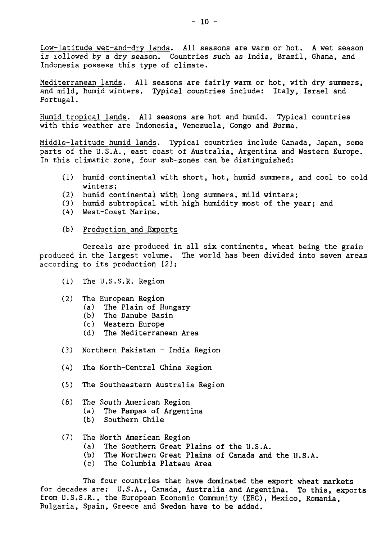Low-latitude wet-and-dry lands. All seasons are warm or hot. A wet season is lollowed by a dry season. Countries such as India, Brazil, Ghana, and Indonesia possess this type of climate.

Mediterranean lands. All seasons are fairly warm or hot, with dry summers, and mild, humid winters. Typical countries include: Italy, Israel and Portugal.

Humid tropical lands. All seasons are hot and humid. Typical countries with this weather are Indonesia, Venezuela, Congo and Burma.

Middle-latitude humid lands. Typical countries include Canada, Japan, some parts of the U.S.A., east coast of Australia, Argentina and Western Europe. In this climatic zone, four sub-zones can be distinguished:

- (1) humid continental with short, hot, humid summers, and cool to cold winters;
- 
- (2) humid continental with long summers, mild winters;<br>(3) humid subtropical with high humidity most of the ye humid subtropical with high humidity most of the year; and
- (A) West-Coast Marine.
- (b) Production and Exports

Cereals are produced in all six continents, wheat being the grain produced in the largest volume. The world has been divided into seven areas according to its production [2]:

- (1) The U.S.S.R. Region
- (2) The European Region
	- (a) The Plain of Hungary
	- (b) The Danube Basin
	- (c) Western Europe
	- (d) The Mediterranean Area
- (3) Northern Pakistan India Region
- (4) The North-Central China Region
- (5) The Southeastern Australia Region
- (6) The South American Region
	- (a) The Pampas of Argentina
	- (b) Southern Chile
- (7) The North American Region
	- (a) The Southern Great Plains of the U.S.A.
	- (b) The Northern Great Plains of Canada and the U.S.A.
	- (c) The Columbia Plateau Area

The four countries that have dominated the export **wheat markets** for decades are: U.S.A., Canada, Australia and Argentina. To this, **exports** from U.S.S.R., the European Economic Community (EEC), Mexico, Romania, Bulgaria, Spain, Greece and Sweden have to be added.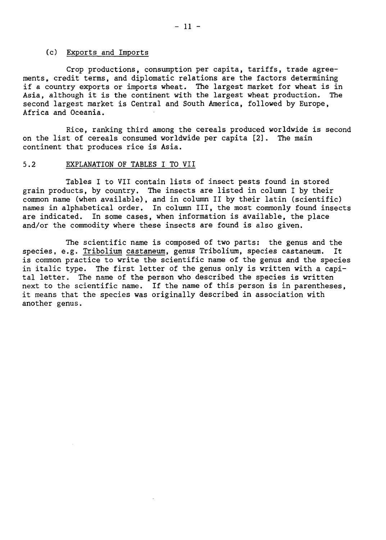#### (c) Exports and Imports

Crop productions, consumption per capita, tariffs, trade agreements, credit terms, and diplomatic relations are the factors determining if a country exports or imports wheat. The largest market for wheat is in Asia, although it is the continent with the largest wheat production. The second largest market is Central and South America, followed by Europe, Africa and Oceania.

Rice, ranking third among the cereals produced worldwide is second on the list of cereals consumed worldwide per capita [2]. The main continent that produces rice is Asia.

#### 5.2 EXPLANATION OF TABLES I TO VII

Tables I to VII contain lists of insect pests found in stored grain products, by country. The insects are listed in column I by their common name (when available), and in column II by their latin (scientific) names in alphabetical order. In column III, the most commonly found insects are indicated. In some cases, when information is available, the place and/or the commodity where these insects are found is also given.

The scientific name is composed of two parts: the genus and the species, e.g. Tribolium castaneum, genus Tribolium, species castaneum. It is common practice to write the scientific name of the genus and the species in italic type. The first letter of the genus only is written with a capital letter. The name of the person who described the species is written next to the scientific name. If the name of this person is in parentheses, it means that the species was originally described in association with another genus.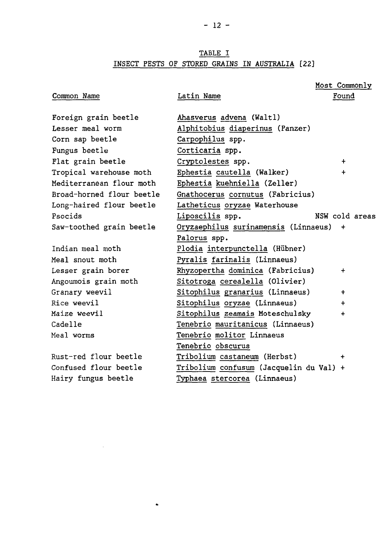### TABLE I INSECT PESTS OF STORED GRAINS IN AUSTRALIA [22]

#### Common Name Latin Name Found Foreign grain beetle Lesser meal worm Corn sap beetle Fungus beetle Flat grain beetle Tropical warehouse moth Mediterranean flour moth Broad-horned flour beetle Long-haired flour beetle Psocids Saw-toothed grain beetle Indian meal moth Meal snout moth Lesser grain borer Angoumois grain moth Granary weevil Rice weevil Maize weevil Cadelle Meal worms Rust-red flour beetle Confused flour beetle Hairy fungus beetle Ahasverus advena (Waltl) Alphitobius diaperinus (Panzer) Carpophilus spp. Corticaria spp. Cryptolestes spp. + Ephestia cautella (Walker) + Ephestia kuehniella (Zeller) Gnathocerus cornutus (Fabricius) Latheticus oryzae Waterhouse Liposcilis spp. NSW cold areas Oryzaephilus surinamensis (Linnaeus) + Palorus spp. Plodia interpunctella (Hiibner) Pyralis farinalis (Linnaeus) Rhyzopertha dominica (Fabricius) + Sitotroga cerealella (Olivier) Sitophilus granarius (Linnaeus) + Sitophilus oryzae (Linnaeus) + Sitophilus zeamais Moteschulsky + Tenebrio mauritanicus (Linnaeus) Tenebrio molitor Linnaeus Tenebrio obscurus Tribolium castaneum (Herbst) + Tribolium confusum (Jacquelin du Val) + Typhaea stercorea (Linnaeus)

Most Commonly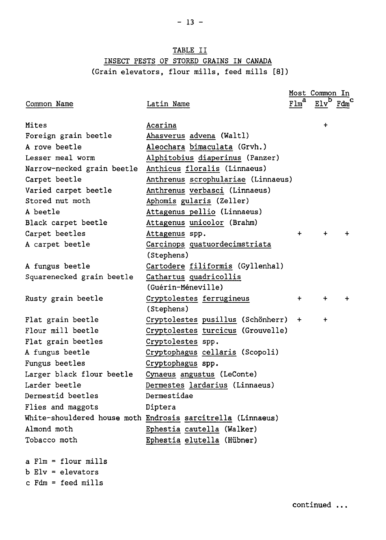### TABLE II INSECT PESTS OF STORED GRAINS IN CANADA (Grain elevators, flour mills, feed mills [8])

|                            |                                                             |           | Most Common In |             |
|----------------------------|-------------------------------------------------------------|-----------|----------------|-------------|
| Common Name                | Latin Name                                                  | Flm       |                | $Edmc$      |
|                            |                                                             |           |                |             |
| Mites                      | Acarina                                                     |           | $\div$         |             |
| Foreign grain beetle       | Ahasverus advena (Waltl)                                    |           |                |             |
| A rove beetle              | Aleochara bimaculata (Grvh.)                                |           |                |             |
| Lesser meal worm           | Alphitobius diaperinus (Panzer)                             |           |                |             |
| Narrow-necked grain beetle | Anthicus floralis (Linnaeus)                                |           |                |             |
| Carpet beetle              | Anthrenus scrophulariae (Linnaeus)                          |           |                |             |
| Varied carpet beetle       | Anthrenus verbasci (Linnaeus)                               |           |                |             |
| Stored nut moth            | Aphomis gularis (Zeller)                                    |           |                |             |
| A beetle                   | Attagenus pellio (Linnaeus)                                 |           |                |             |
| Black carpet beetle        | Attagenus unicolor (Brahm)                                  |           |                |             |
| Carpet beetles             | Attagenus spp.                                              | $\ddot{}$ | $\ddot{}$      | $\div$      |
| A carpet beetle            | Carcinops quatuordecimstriata                               |           |                |             |
|                            | (Stephens)                                                  |           |                |             |
| A fungus beetle            | Cartodere filiformis (Gyllenhal)                            |           |                |             |
| Squarenecked grain beetle  | Cathartus quadricollis                                      |           |                |             |
|                            | (Guérin-Méneville)                                          |           |                |             |
| Rusty grain beetle         | Cryptolestes ferrugineus                                    | $\ddot{}$ | $\pm$          | $\ddotmark$ |
|                            | (Stephens)                                                  |           |                |             |
| Flat grain beetle          | Cryptolestes pusillus (Schönherr)                           | $+$       | +              |             |
| Flour mill beetle          | Cryptolestes turcicus (Grouvelle)                           |           |                |             |
| Flat grain beetles         | Cryptolestes spp.                                           |           |                |             |
| A fungus beetle            | Cryptophagus cellaris (Scopoli)                             |           |                |             |
| Fungus beetles             | Cryptophagus spp.                                           |           |                |             |
| Larger black flour beetle  | Cynaeus angustus (LeConte)                                  |           |                |             |
| Larder beetle              | Dermestes lardarius (Linnaeus)                              |           |                |             |
| Dermestid beetles          | Dermestidae                                                 |           |                |             |
| Flies and maggots          | Diptera                                                     |           |                |             |
|                            | White-shouldered house moth Endrosis sarcitrella (Linnaeus) |           |                |             |
| Almond moth                | Ephestia cautella (Walker)                                  |           |                |             |
| Tobacco moth               | Ephestia elutella (Hübner)                                  |           |                |             |
| a Flm = flour mills        |                                                             |           |                |             |

b Elv = elevators

c Fdm = feed mills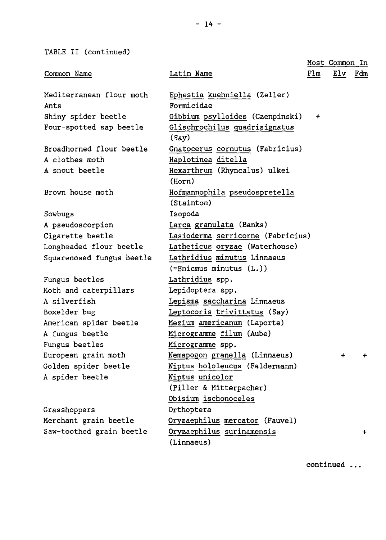TABLE II (continued)

|                           |                                             |           | Most Common In |           |
|---------------------------|---------------------------------------------|-----------|----------------|-----------|
| Common Name               | Latin Name                                  | Flm       | Elv            | Fdm       |
|                           |                                             |           |                |           |
| Mediterranean flour moth  | Ephestia kuehniella (Zeller)                |           |                |           |
| Ants                      | Formicidae                                  |           |                |           |
| Shiny spider beetle       | Gibbium psylloides (Czenpinski)             | $\ddot{}$ |                |           |
| Four-spotted sap beetle   | Glischrochilus quadrisignatus<br>(say)      |           |                |           |
| Broadhorned flour beetle  | Gnatocerus cornutus (Fabricius)             |           |                |           |
| A clothes moth            | Haplotinea ditella                          |           |                |           |
| A snout beetle            | Hexarthrum (Rhyncalus) ulkei<br>(Horn)      |           |                |           |
| Brown house moth          | Hofmannophila pseudospretella<br>(Stainton) |           |                |           |
| Sowbugs                   | Isopoda                                     |           |                |           |
| A pseudoscorpion          | Larca granulata (Banks)                     |           |                |           |
| Cigarette beetle          | Lasioderma serricorne (Fabricius)           |           |                |           |
| Longheaded flour beetle   | Latheticus oryzae (Waterhouse)              |           |                |           |
| Squarenosed fungus beetle | Lathridius minutus Linnaeus                 |           |                |           |
|                           | $( = \nEntcmus minutus (L.))$               |           |                |           |
| Fungus beetles            | Lathridius spp.                             |           |                |           |
| Moth and caterpillars     | Lepidoptera spp.                            |           |                |           |
| A silverfish              | Lepisma saccharina Linnaeus                 |           |                |           |
| Boxelder bug              | Leptocoris trivittatus (Say)                |           |                |           |
| American spider beetle    | Mezium americanum (Laporte)                 |           |                |           |
| A fungus beetle           | Microgramme filum (Aube)                    |           |                |           |
| Fungus beetles            | Microgramme spp.                            |           |                |           |
| European grain moth       | Nemapogon granella (Linnaeus)               |           | $\ddot{}$      | $\ddot{}$ |
| Golden spider beetle      | Niptus hololeucus (Faldermann)              |           |                |           |
| A spider beetle           | Niptus unicolor                             |           |                |           |
|                           | (Piller & Mitterpacher)                     |           |                |           |
|                           | Obisium ischonoceles                        |           |                |           |
| Grasshoppers              | Orthoptera                                  |           |                |           |
| Merchant grain beetle     | Oryzaephilus mercator (Fauvel)              |           |                |           |
| Saw-toothed grain beetle  | Oryzaephilus surinamensis                   |           |                | ÷         |
|                           | (Linnaeus)                                  |           |                |           |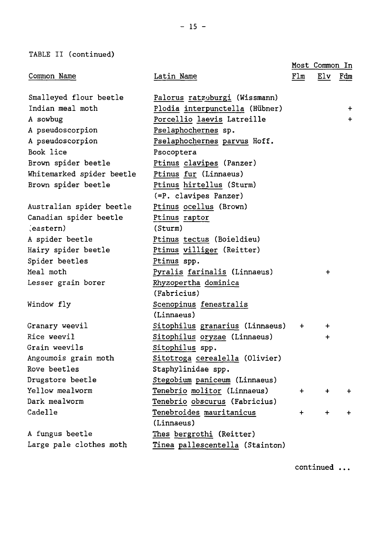TABLE II (continued)

|                           |                                 |     | Most Common In |           |
|---------------------------|---------------------------------|-----|----------------|-----------|
| Common Name               | Latin Name                      | Flm | Elv            | Fdm       |
| Smalleyed flour beetle    | Palorus ratzeburgi (Wissmann)   |     |                |           |
| Indian meal moth          | Plodia interpunctella (Hübner)  |     |                | $\ddot{}$ |
| A sowbug                  | Porcellio laevis Latreille      |     |                | $\ddot{}$ |
| A pseudoscorpion          | Pselaphochernes sp.             |     |                |           |
| A pseudoscorpion          | Pselaphochernes parvus Hoff.    |     |                |           |
| Book lice                 | Psocoptera                      |     |                |           |
| Brown spider beetle       | Ptinus clavipes (Panzer)        |     |                |           |
| Whitemarked spider beetle | Ptinus fur (Linnaeus)           |     |                |           |
| Brown spider beetle       | Ptinus hirtellus (Sturm)        |     |                |           |
|                           | (=P. clavipes Panzer)           |     |                |           |
| Australian spider beetle  | Ptinus ocellus (Brown)          |     |                |           |
| Canadian spider beetle    | Ptinus raptor                   |     |                |           |
| (eastern)                 | (Sturm)                         |     |                |           |
| A spider beetle           | Ptinus tectus (Boieldieu)       |     |                |           |
| Hairy spider beetle       | Ptinus villiger (Reitter)       |     |                |           |
| Spider beetles            | Ptinus spp.                     |     |                |           |
| Meal moth                 | Pyralis farinalis (Linnaeus)    |     | $\ddot{}$      |           |
| Lesser grain borer        | Rhyzopertha dominica            |     |                |           |
|                           | (Fabricius)                     |     |                |           |
| Window fly                | Scenopinus fenestralis          |     |                |           |
|                           | (Linnaeus)                      |     |                |           |
| Granary weevil            | Sitophilus granarius (Linnaeus) | $+$ | $\ddag$        |           |
| Rice weevil               | Sitophilus oryzae (Linnaeus)    |     | $\ddot{}$      |           |
| Grain weevils             | Sitophilus spp.                 |     |                |           |
| Angoumois grain moth      | Sitotroga cerealella (Olivier)  |     |                |           |
| Rove beetles              | Staphylinidae spp.              |     |                |           |
| Drugstore beetle          | Stegobium paniceum (Linnaeus)   |     |                |           |
| Yellow mealworm           | Tenebrio molitor (Linnaeus)     | $+$ | $\ddot{}$      | $\ddot{}$ |
| Dark mealworm             | Tenebrio obscurus (Fabricius)   |     |                |           |
| Cadelle                   | Tenebroides mauritanicus        | $+$ | $+$            | $\ddot{}$ |
|                           | (Linnaeus)                      |     |                |           |
| A fungus beetle           | Thes bergrothi (Reitter)        |     |                |           |
| Large pale clothes moth   | Tinea pallescentella (Stainton) |     |                |           |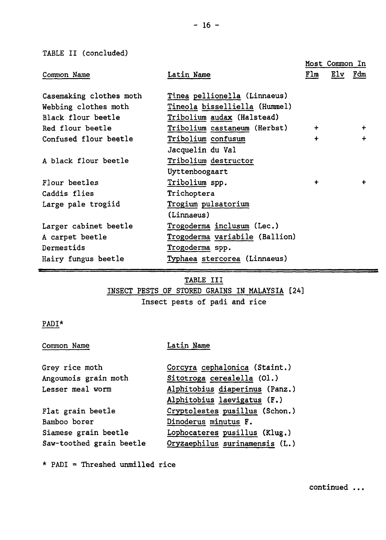TABLE II (concluded)

|                                                 |                                                               | Most Common In |         |           |
|-------------------------------------------------|---------------------------------------------------------------|----------------|---------|-----------|
| Common Name                                     | Latin Name                                                    | Flm            | Elv Fdm |           |
| Casemaking clothes moth<br>Webbing clothes moth | Tinea pellionella (Linnaeus)<br>Tineola bisselliella (Hummel) |                |         |           |
| Black flour beetle                              | Tribolium audax (Halstead)                                    |                |         |           |
| Red flour beetle                                | Tribolium castaneum (Herbst)                                  | $\ddotmark$    |         | $\ddot{}$ |
| Confused flour beetle                           | Tribolium confusum                                            | $\ddot{}$      |         | ÷         |
|                                                 | Jacquelin du Val                                              |                |         |           |
| A black flour beetle                            | Tribolium destructor                                          |                |         |           |
|                                                 | Uyttenboogaart                                                |                |         |           |
| Flour beetles                                   | Tribolium spp.                                                | $\ddot{}$      |         | $\ddot{}$ |
| Caddis flies                                    | Trichoptera                                                   |                |         |           |
| Large pale trogiid                              | Trogium pulsatorium                                           |                |         |           |
|                                                 | (Linnaeus)                                                    |                |         |           |
| Larger cabinet beetle                           | Trogoderma inclusum (Lec.)                                    |                |         |           |
| A carpet beetle                                 | Trogoderma variabile (Ballion)                                |                |         |           |
| Dermestids                                      | Trogoderma spp.                                               |                |         |           |
| Hairy fungus beetle                             | Typhaea stercorea (Linnaeus)                                  |                |         |           |

### TABLE III

INSECT PESTS OF STORED GRAINS IN MALAYSIA [24]

Insect pests of padi and rice

### PADI\*

Common Name Latin Name

| Grey rice moth           | Corcyra cephalonica (Staint.)  |
|--------------------------|--------------------------------|
| Angoumois grain moth     | Sitotroga cerealella (01.)     |
| Lesser meal worm         | Alphitobius diaperinus (Panz.) |
|                          | Alphitobius laevigatus (F.)    |
| Flat grain beetle        | Cryptolestes pusillus (Schon.) |
| Bamboo borer             | Dinoderus minutus F.           |
| Siamese grain beetle     | Lophocateres pusillus (Klug.)  |
| Saw-toothed grain beetle | Oryzaephilus surinamensis (L.) |

\* PADI = Threshed unmilled rice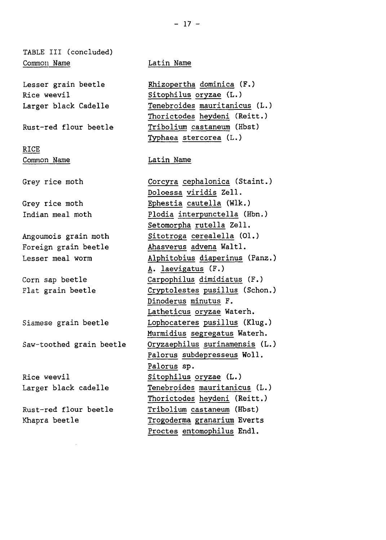TABLE III (concluded) Common Name Latin Name

Lesser grain beetle Rice weevil Larger black Cadelle

Rust-red flour beetle

RICE Common Name

Grey rice moth

Grey rice moth Indian meal moth

Angoumois grain moth Foreign grain beetle Lesser meal worm

Corn sap beetle Flat grain beetle

Siamese grain beetle

Saw-toothed grain beetle

Rice weevil Larger black cadelle

Rust-red flour beetle Khapra beetle

Rhizopertha dominica (F.) Sitophilus oryzae (L.) Tenebroides mauritanicus (L.) Thorictodes heydeni (Reitt.) Tribolium castaneum (Hbst) Typhaea stercorea (L.)

Latin Name

Corcyra cephalonica (Staint.) Doloessa viridis Zell. Ephestia cautella (Wlk.) Plodia interpunctella (Hbn.) Setomorpha rutella Zell. Sitotroga cerealella (01.) Ahasverus advena Waltl. Alphitobius diaperinus (Panz.) A. laevigatus (F.) Carpophilus dimidiatus (F.) Cryptolestes pusillus (Schon.) Dinoderus minutus F. Latheticus oryzae Waterh. Lophocateres pusillus (Klug.) Murmidius segregatus Waterh. Oryzaephilus surinamensis (L.) Palorus subdepresseus Woll. Palorus sp. Sitophilus oryzae (L.) Tenebroides mauritanicus (L.) Thorictodes heydeni (Reitt.) Tribolium castaneum (Hbst) Trogoderma granarium Everts Proctes entomophilus Endl.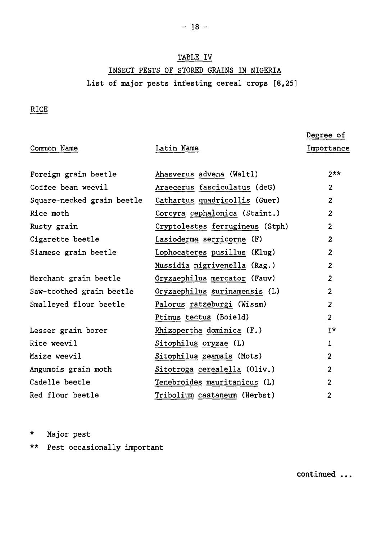### TABLE IV

INSECT PESTS OF STORED GRAINS IN NIGERIA List of major pests infesting cereal crops [8,25]

### RICE

|                            |                                 | Degree of               |
|----------------------------|---------------------------------|-------------------------|
| Common Name                | Latin Name                      | Importance              |
|                            |                                 |                         |
| Foreign grain beetle       | Ahasverus advena (Waltl)        | $2**$                   |
| Coffee bean weevil         | Araecerus fasciculatus (deG)    | $\overline{2}$          |
| Square-necked grain beetle | Cathartus quadricollis (Guer)   | $\overline{2}$          |
| Rice moth                  | Corcyra cephalonica (Staint.)   | $\overline{2}$          |
| Rusty grain                | Cryptolestes ferrugineus (Stph) | $\overline{2}$          |
| Cigarette beetle           | Lasioderma serricorne (F)       | $\overline{2}$          |
| Siamese grain beetle       | Lophocateres pusillus (Klug)    | $\overline{2}$          |
|                            | Mussidia nigrivenella (Rag.)    | $\mathbf{z}$            |
| Merchant grain beetle      | Oryzaephilus mercator (Fauv)    | $\overline{2}$          |
| Saw-toothed grain beetle   | Oryzaephilus surinamensis (L)   | $\overline{2}$          |
| Smalleyed flour beetle     | Palorus ratzeburgi (Wissm)      | $\mathbf{z}$            |
|                            | Ptinus tectus (Boield)          | 2                       |
| Lesser grain borer         | Rhizopertha dominica (F.)       | $1*$                    |
| Rice weevil                | Sitophilus oryzae (L)           | 1                       |
| Maize weevil               | Sitophilus zeamais (Mots)       | $\overline{\mathbf{c}}$ |
| Angumois grain moth        | Sitotroga cerealella (Oliv.)    | $\overline{2}$          |
| Cadelle beetle             | Tenebroides mauritanicus (L)    | 2                       |
| Red flour beetle           | Tribolium castaneum (Herbst)    | $\overline{2}$          |

\* Major pest

\*\* Pest occasionally important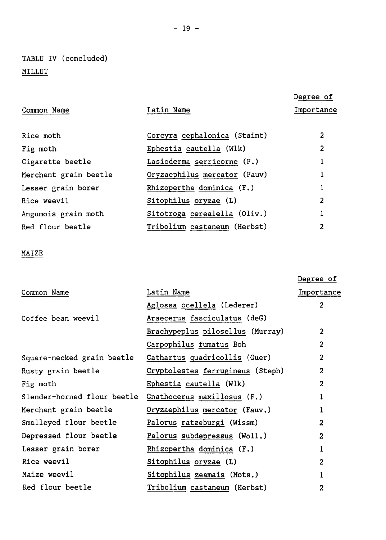## TABLE IV (concluded) MILLET

|                       |                              | Degree of  |
|-----------------------|------------------------------|------------|
| Common Name           | Latin Name                   | Importance |
|                       |                              |            |
| Rice moth             | Corcyra cephalonica (Staint) | 2          |
| Fig moth              | Ephestia cautella (Wlk)      | 2          |
| Cigarette beetle      | Lasioderma serricorne (F.)   |            |
| Merchant grain beetle | Oryzaephilus mercator (Fauv) |            |
| Lesser grain borer    | Rhizopertha dominica (F.)    |            |
| Rice weevil           | Sitophilus oryzae (L)        | 2          |
| Angumois grain moth   | Sitotroga cerealella (Oliv.) | 1          |
| Red flour beetle      | Tribolium castaneum (Herbst) | 2          |

### MAIZE

|                             |                                  | Degree of      |
|-----------------------------|----------------------------------|----------------|
| Common Name                 | Latin Name                       | Importance     |
|                             | Aglossa ocellela (Lederer)       | $\overline{2}$ |
| Coffee bean weevil          | Araecerus fasciculatus (deG)     |                |
|                             | Brachypeplus pilosellus (Murray) | $\overline{2}$ |
|                             | Carpophilus fumatus Boh          | $\overline{2}$ |
| Square-necked grain beetle  | Cathartus quadricollis (Guer)    | 2              |
| Rusty grain beetle          | Cryptolestes ferrugineus (Steph) | $\overline{c}$ |
| Fig moth                    | Ephestia cautella (Wlk)          | 2              |
| Slender-horned flour beetle | Gnathocerus maxillosus (F.)      |                |
| Merchant grain beetle       | Oryzaephilus mercator (Fauv.)    | 1              |
| Smalleyed flour beetle      | Palorus ratzeburgi (Wissm)       | $\overline{2}$ |
| Depressed flour beetle      | Palorus subdepressus (Woll.)     | 2              |
| Lesser grain borer          | Rhizopertha dominica (F.)        | 1              |
| Rice weevil                 | Sitophilus oryzae (L)            | $\overline{2}$ |
| Maize weevil                | Sitophilus zeamais (Mots.)       | 1              |
| Red flour beetle            | Tribolium castaneum (Herbst)     | 2              |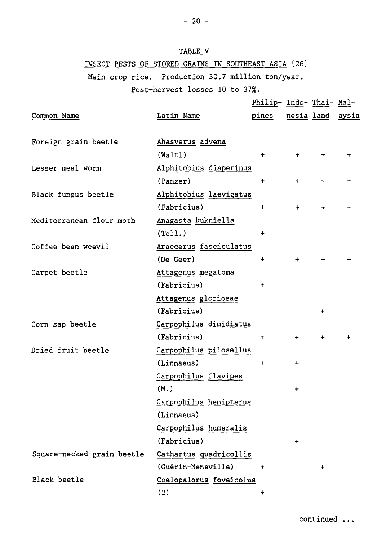### TABLE V

### INSECT PESTS OF STORED GRAINS IN SOUTHEAST ASIA [26]

Main crop rice. Production 30.7 million ton/year.

### Post-harvest losses 10 to 37%.

|                            |                         | Philip- Indo- Thai- Mal- |           |           |                  |
|----------------------------|-------------------------|--------------------------|-----------|-----------|------------------|
| Common Name                | Latin Name              | pines                    |           |           | nesia land aysia |
|                            |                         |                          |           |           |                  |
| Foreign grain beetle       | Ahasverus advena        |                          |           |           |                  |
|                            | (Walt)                  | $\ddot{}$                | $+$       | $\ddot{}$ |                  |
| Lesser meal worm           | Alphitobius diaperinus  |                          |           |           |                  |
|                            | (Panzer)                | $\ddot{}$                | $\ddot{}$ | $+$       |                  |
| Black fungus beetle        | Alphitobius laevigatus  |                          |           |           |                  |
|                            | (Fabricius)             | $+$                      | $\ddot{}$ | $+$       |                  |
| Mediterranean flour moth   | Anagasta kukniella      |                          |           |           |                  |
|                            | (Tell.)                 | $\ddot{}$                |           |           |                  |
| Coffee bean weevil         | Araecerus fasciculatus  |                          |           |           |                  |
|                            | (De Geer)               | +                        | $\ddot{}$ | $\ddot{}$ |                  |
| Carpet beetle              | Attagenus megatoma      |                          |           |           |                  |
|                            | (Fabricius)             | $\ddot{}$                |           |           |                  |
|                            | Attagenus gloriosae     |                          |           |           |                  |
|                            | (Fabricius)             |                          |           | $\ddot{}$ |                  |
| Corn sap beetle            | Carpophilus dimidiatus  |                          |           |           |                  |
|                            | (Fabricius)             | $\ddot{}$                | $+$       | $+$       |                  |
| Dried fruit beetle         | Carpophilus pilosellus  |                          |           |           |                  |
|                            | (Linnaeus)              | $\ddot{}$                | $\ddot{}$ |           |                  |
|                            | Carpophilus flavipes    |                          |           |           |                  |
|                            | (M.)                    |                          | $\ddag$   |           |                  |
|                            | Carpophilus hemipterus  |                          |           |           |                  |
|                            | (Linnaeus)              |                          |           |           |                  |
|                            | Carpophilus humeralis   |                          |           |           |                  |
|                            | (Fabricius)             |                          | $\ddag$   |           |                  |
| Square-necked grain beetle | Cathartus quadricollis  |                          |           |           |                  |
|                            | (Guérin-Meneville)      | $\ddot{}$                |           | $\ddot{}$ |                  |
| Black beetle               | Coelopalorus foveicolus |                          |           |           |                  |
|                            | (B)                     | $\ddot{}$                |           |           |                  |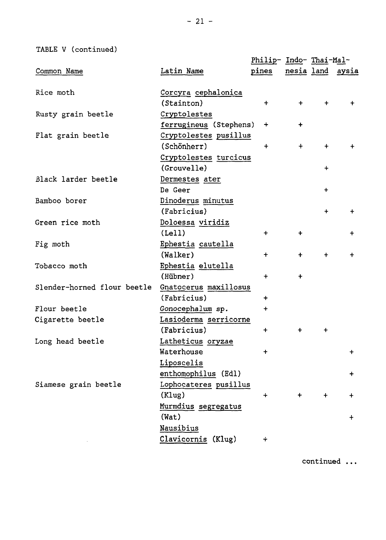TABLE V (continued)

|                             |                        | <u>Philip- Indo- Thai-Mal-</u> |             |            |                  |
|-----------------------------|------------------------|--------------------------------|-------------|------------|------------------|
| Common Name                 | Latin Name             | pines                          |             |            | nesia land aysia |
|                             |                        |                                |             |            |                  |
| Rice moth                   | Corcyra cephalonica    |                                |             |            |                  |
|                             | (Stainton)             | $+$                            | $+$         | $\ddot{}$  | $+$              |
| Rusty grain beetle          | Cryptolestes           |                                |             |            |                  |
|                             | ferrugineus (Stephens) | $\ddot{}$                      | $\ddot{}$   |            |                  |
| Flat grain beetle           | Cryptolestes pusillus  |                                |             |            |                  |
|                             | (Schönherr)            | $+$                            | $+$         | $+$        | $+$              |
|                             | Cryptolestes turcicus  |                                |             |            |                  |
|                             | (Grouvelle)            |                                |             | $\div$     |                  |
| Black larder beetle         | Dermestes ater         |                                |             |            |                  |
|                             | De Geer                |                                |             | $\ddot{}$  |                  |
| Bamboo borer                | Dinoderus minutus      |                                |             |            |                  |
|                             | (Fabricius)            |                                |             | $+$        | $\ddot{}$        |
| Green rice moth             | Doloessa viridiz       |                                |             |            |                  |
|                             | (Lell)                 | $+$                            | $\ddot{}$   |            | +                |
| Fig moth                    | Ephestia cautella      |                                |             |            |                  |
|                             | (Walker)               | $+$                            | $+$         | $\ddot{}$  | $\ddot{}$        |
| Tobacco moth                | Ephestia elutella      |                                |             |            |                  |
|                             | (Hübner)               | $+$                            | $\ddotmark$ |            |                  |
| Slender-horned flour beetle | Gnatocerus maxillosus  |                                |             |            |                  |
|                             | (Fabricius)            | $+$                            |             |            |                  |
| Flour beetle                | Gonocephalum sp.       | $\ddot{}$                      |             |            |                  |
| Cigarette beetle            | Lasioderma serricorne  |                                |             |            |                  |
|                             | (Fabricius)            | $\ddot{+}$                     | $+$         | $+$        |                  |
| Long head beetle            | Latheticus oryzae      |                                |             |            |                  |
|                             | Waterhouse             | $\ddot{}$                      |             |            | $\ddot{}$        |
|                             | Liposcelis             |                                |             |            |                  |
|                             | enthomophilus (Edl)    |                                |             |            | $\ddot{}$        |
| Siamese grain beetle        | Lophocateres pusillus  |                                |             |            |                  |
|                             | (Klug)                 | $\ddotmark$                    | $+$         | $\ddot{+}$ | $\ddot{}$        |
|                             | Murmdius segregatus    |                                |             |            |                  |
|                             | (Wat)                  |                                |             |            | $+$              |
|                             | Nausibius              |                                |             |            |                  |
|                             | Clavicornis (Klug)     | ÷                              |             |            |                  |
|                             |                        |                                |             |            |                  |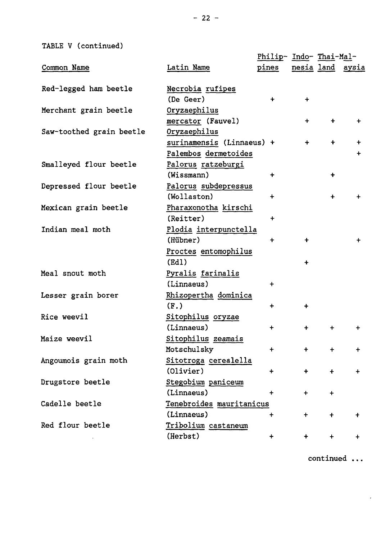TABLE V (continued)

|                          |                           | <u>Philip- Indo- Thai-Mal-</u> |             |                      |                  |
|--------------------------|---------------------------|--------------------------------|-------------|----------------------|------------------|
| Common Name              | Latin Name                | pines                          |             |                      | nesia land aysia |
| Red-legged ham beetle    | Necrobia rufipes          |                                |             |                      |                  |
|                          | (De Geer)                 | $+$                            | $\ddot{}$   |                      |                  |
| Merchant grain beetle    | Oryzaephilus              |                                |             |                      |                  |
|                          | mercator (Fauvel)         |                                | $\ddot{}$   | $+$                  | $\ddot{}$        |
| Saw-toothed grain beetle | Oryzaephilus              |                                |             |                      |                  |
|                          | surinamensis (Linnaeus) + |                                | $\ddot{}$   | $\ddotmark$          | $\ddot{}$        |
|                          | Palembos dermetoides      |                                |             |                      | $\ddot{}$        |
| Smalleyed flour beetle   | Palorus ratzeburgi        |                                |             |                      |                  |
|                          | (Wissmann)                | $\ddot{}$                      |             | $\ddot{}$            |                  |
| Depressed flour beetle   | Palorus subdepressus      |                                |             |                      |                  |
|                          | (Wollaston)               | $\ddot{+}$                     |             | $\ddot{+}$           | $\ddot{}$        |
| Mexican grain beetle     | Pharaxonotha kirschi      |                                |             |                      |                  |
|                          | (Reitter)                 | $\ddot{}$                      |             |                      |                  |
| Indian meal moth         | Plodia interpunctella     |                                |             |                      |                  |
|                          | (Hübner)                  | $\ddot{}$                      | $\ddotmark$ |                      | $\ddot{}$        |
|                          | Proctes entomophilus      |                                |             |                      |                  |
|                          | (Ed)                      |                                | $\ddot{}$   |                      |                  |
| Meal snout moth          | Pyralis farinalis         |                                |             |                      |                  |
|                          | (Linnaeus)                | $\ddot{}$                      |             |                      |                  |
| Lesser grain borer       | Rhizopertha dominica      |                                |             |                      |                  |
|                          | (F.)                      | $\ddot{}$                      | $\ddotmark$ |                      |                  |
| Rice weevil              | Sitophilus oryzae         |                                |             |                      |                  |
|                          | (Linnaeus)                | $\ddot{}$                      | $+$         | $\ddot{}$            | $\ddot{}$        |
| Maize weevil             | Sitophilus zeamais        |                                |             |                      |                  |
|                          | Motschulsky               | $\ddot{}$                      | $+$         | $\ddot{}$            | $+$              |
| Angoumois grain moth     | Sitotroga cerealella      |                                |             |                      |                  |
|                          | (Olivier)                 | $\ddot{}$                      | $+$         | $\ddot{\phantom{1}}$ | $\ddot{}$        |
| Drugstore beetle         | Stegobium paniceum        |                                |             |                      |                  |
|                          | (Linnaeus)                | $\ddot{}$                      | $\ddot{}$   | $\ddot{}$            |                  |
| Cadelle beetle           | Tenebroides mauritanicus  |                                |             |                      |                  |
|                          | (Linnaeus)                | $\ddot{}$                      | $\ddot{}$   | $\ddot{\phantom{1}}$ |                  |
| Red flour beetle         | Tribolium castaneum       |                                |             |                      |                  |
|                          | (Herbst)                  | $\ddot{}$                      | $\ddot{}$   | $\ddotmark$          | $\ddot{}$        |
|                          |                           |                                |             |                      |                  |

continued ...

 $\epsilon$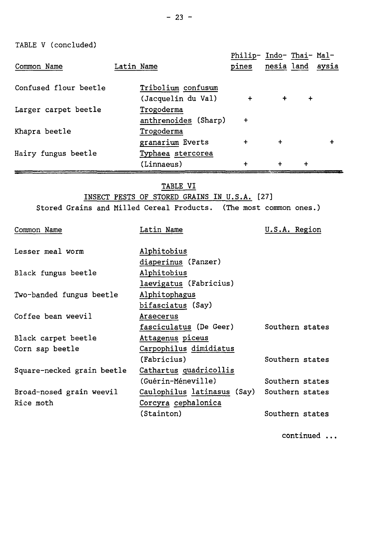TABLE V (concluded)

| Common Name           | Latin Name |                      | Philip- Indo- Thai- Mal-<br>pines | nesia land aysia |           |  |
|-----------------------|------------|----------------------|-----------------------------------|------------------|-----------|--|
| Confused flour beetle |            | Tribolium confusum   |                                   |                  |           |  |
|                       |            | (Jacquelin du Val)   | $\ddot{}$                         | $+$              | $\ddot{}$ |  |
| Larger carpet beetle  |            | Trogoderma           |                                   |                  |           |  |
|                       |            | anthrenoides (Sharp) | $\ddotmark$                       |                  |           |  |
| Khapra beetle         |            | Trogoderma           |                                   |                  |           |  |
|                       |            | granarium Everts     | $\ddot{}$                         | $\ddot{}$        |           |  |
| Hairy fungus beetle   |            | Typhaea stercorea    |                                   |                  |           |  |
|                       |            | (Linnaeus)           | +                                 | $\ddot{}$        |           |  |

TABLE VI

INSECT PESTS OF STORED GRAINS IN U.S.A. [27] Stored Grains and Milled Cereal Products. (The most common ones.)

| Common Name                | Latin Name                  | U.S.A. Region   |
|----------------------------|-----------------------------|-----------------|
| Lesser meal worm           | Alphitobius                 |                 |
|                            | diaperinus (Panzer)         |                 |
| Black fungus beetle        | Alphitobius                 |                 |
|                            | laevigatus (Fabricius)      |                 |
| Two-banded fungus beetle   | Alphitophagus               |                 |
|                            | bifasciatus (Say)           |                 |
| Coffee bean weevil         | Araecerus                   |                 |
|                            | fasciculatus (De Geer)      | Southern states |
| Black carpet beetle        | Attagenus piceus            |                 |
| Corn sap beetle            | Carpophilus dimidiatus      |                 |
|                            | (Fabricius)                 | Southern states |
| Square-necked grain beetle | Cathartus quadricollis      |                 |
|                            | (Guérin-Méneville)          | Southern states |
| Broad-nosed grain weevil   | Caulophilus latinasus (Say) | Southern states |
| Rice moth                  | Corcyra cephalonica         |                 |
|                            | (Stainton)                  | Southern states |
|                            |                             |                 |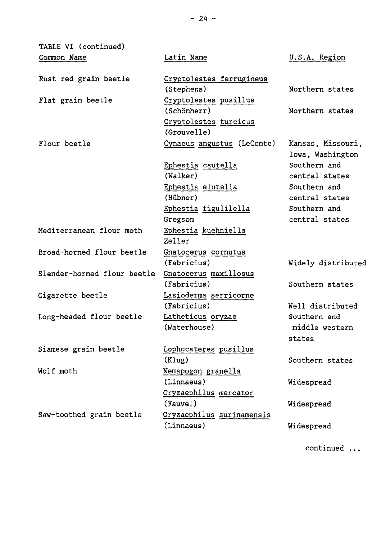| TABLE VI (continued)        |                                        |                                       |
|-----------------------------|----------------------------------------|---------------------------------------|
| Common Name                 | Latin Name                             | U.S.A. Region                         |
| Rust red grain beetle       | Cryptolestes ferrugineus<br>(Stephens) | Northern states                       |
| Flat grain beetle           | Cryptolestes pusillus<br>(Schönherr)   | Northern states                       |
|                             | Cryptolestes turcicus<br>(Grouvelle)   |                                       |
| Flour beetle                | Cynaeus angustus (LeConte)             | Kansas, Missouri,<br>Iowa, Washington |
|                             | Ephestia cautella                      | Southern and                          |
|                             | (Walker)                               | central states                        |
|                             | Ephestia elutella                      | Southern and                          |
|                             | (Hübner)                               | central states                        |
|                             | Ephestia figulilella                   | Southern and                          |
|                             | Gregson                                | central states                        |
| Mediterranean flour moth    | Ephestia kuehniella                    |                                       |
|                             | Zeller                                 |                                       |
| Broad-horned flour beetle   | Gnatocerus cornutus                    |                                       |
|                             | (Fabricius)                            | Widely distributed                    |
| Slender-horned flour beetle | Gnatocerus maxillosus                  |                                       |
|                             | (Fabricius)                            | Southern states                       |
| Cigarette beetle            | Lasioderma serricorne                  |                                       |
|                             | (Fabricius)                            | Well distributed                      |
| Long-headed flour beetle    | Latheticus oryzae                      | Southern and                          |
|                             | (Waterhouse)                           | middle western                        |
|                             |                                        | states                                |
| Siamese grain beetle        | Lophocateres pusillus                  |                                       |
|                             | (Klug)                                 | Southern states                       |
| Wolf moth                   | Nemapogon granella                     |                                       |
|                             | (Linnaeus)                             | Widespread                            |
|                             | Oryzaephilus mercator                  |                                       |
|                             | (Fauvel)                               | Widespread                            |
| Saw-toothed grain beetle    | Oryzaephilus surinamensis              |                                       |
|                             | (Linnaeus)                             | Widespread                            |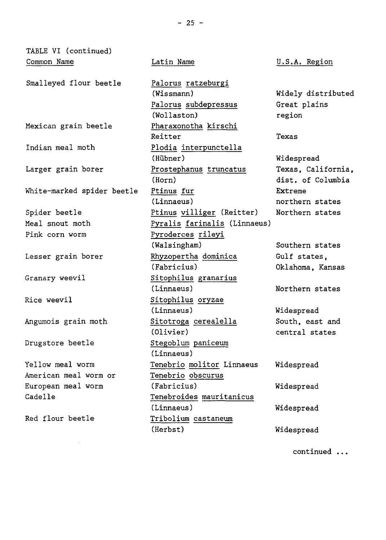| TABLE VI (continued)       |                                                          |                                    |
|----------------------------|----------------------------------------------------------|------------------------------------|
| Common Name                | Latin Name                                               | U.S.A. Region                      |
| Smalleyed flour beetle     | Palorus ratzeburgi<br>(Wissmann)<br>Palorus subdepressus | Widely distributed<br>Great plains |
|                            | (Wollaston)                                              | region                             |
| Mexican grain beetle       | Pharaxonotha kirschi<br>Reitter                          | Texas                              |
| Indian meal moth           | Plodia interpunctella                                    |                                    |
|                            | (Hübner)                                                 | Widespread                         |
| Larger grain borer         | Prostephanus truncatus                                   | Texas, California,                 |
|                            | (Horn)                                                   | dist. of Columbia                  |
| White-marked spider beetle | Ptinus fur                                               | Extreme                            |
|                            | (Linnaeus)                                               | northern states                    |
| Spider beetle              | Ptinus villiger (Reitter)                                | Northern states                    |
| Meal snout moth            | Pyralis farinalis (Linnaeus)                             |                                    |
| Pink corn worm             | Pyroderces rileyi                                        |                                    |
|                            | (Walsingham)                                             | Southern states                    |
| Lesser grain borer         | Rhyzopertha dominica                                     | Gulf states,                       |
|                            | (Fabricius)                                              | Oklahoma, Kansas                   |
| Granary weevil             | Sitophilus granarius                                     |                                    |
|                            | (Linnaeus)                                               | Northern states                    |
| Rice weevil                | Sitophilus oryzae                                        |                                    |
|                            | (Linnaeus)                                               | Widespread                         |
| Angumois grain moth        | Sitotroga cerealella                                     | South, east and                    |
|                            | (Olivier)                                                | central states                     |
| Drugstore beetle           | Stegoblum paniceum                                       |                                    |
|                            | (Linnaeus)                                               |                                    |
| Yellow meal worm           | Tenebrio molitor Linnaeus                                | Widespread                         |
| American meal worm or      | Tenebrio obscurus                                        |                                    |
| European meal worm         | (Fabricius)                                              | Widespread                         |
| Cadelle                    | Tenebroides mauritanicus                                 |                                    |
|                            | (Linnaeus)                                               | Widespread                         |
| Red flour beetle           | Tribolium castaneum                                      |                                    |
|                            | (Herbst)                                                 | Widespread                         |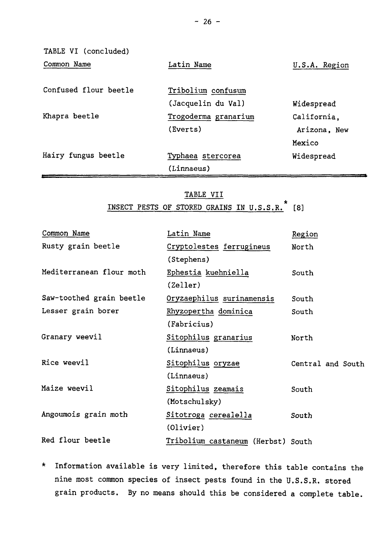| TABLE VI (concluded)  |                      |               |
|-----------------------|----------------------|---------------|
| Common Name           | Latin Name           | U.S.A. Region |
| Confused flour beetle | Tribolium confusum   |               |
|                       | (Jacquelin du Val)   | Widespread    |
| Khapra beetle         | Trogoderma granarium | California.   |
|                       | (Everts)             | Arizona, New  |
|                       |                      | Mexico        |
| Hairy fungus beetle   | Typhaea stercorea    | Widespread    |
|                       | (Linnaeus)           |               |

### TABLE VII INSECT PESTS OF STORED GRAINS IN U.S.S.R.\* [8]

| Common Name              | Latin Name                         | Region            |
|--------------------------|------------------------------------|-------------------|
| Rusty grain beetle       | Cryptolestes ferrugineus           | North             |
|                          | (Stephens)                         |                   |
| Mediterranean flour moth | Ephestia kuehniella                | South             |
|                          | (Zeller)                           |                   |
| Saw-toothed grain beetle | Oryzaephilus surinamensis          | South             |
| Lesser grain borer       | Rhyzopertha dominica               | South             |
|                          | (Fabricius)                        |                   |
| Granary weevil           | Sitophilus granarius               | North             |
|                          | (Linnaeus)                         |                   |
| Rice weevil              | Sitophilus oryzae                  | Central and South |
|                          | (Linnaeus)                         |                   |
| Maize weevil             | Sitophilus zeamais                 | South             |
|                          | (Motschulsky)                      |                   |
| Angoumois grain moth     | Sitotroga cerealella               | South             |
|                          | (Olivier)                          |                   |
| Red flour beetle         | Tribolium castaneum (Herbst) South |                   |

\* Information available is very limited, therefore this table contains the nine most common species of insect pests found in the U.S.S.R. stored grain products. By no means should this be considered a complete table.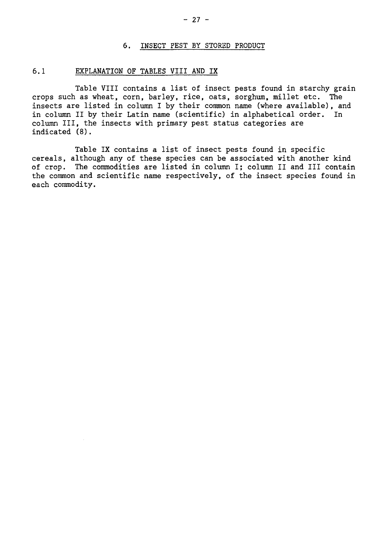#### 6. INSECT FEST BY STORED PRODUCT

#### 6.1 EXPLANATION OF TABLES VIII AND IX

Table VIII contains a list of insect pests found in starchy grain crops such as wheat, corn, barley, rice, oats, sorghum, millet etc. The insects are listed in column I by their common name (where available), and in column II by their Latin name (scientific) in alphabetical order. In column III, the insects with primary pest status categories are indicated (8).

Table IX contains a list of insect pests found in specific cereals, although any of these species can be associated with another kind of crop. The commodities are listed in column I; column II and III contain the common and scientific name respectively, of the insect species found in each commodity.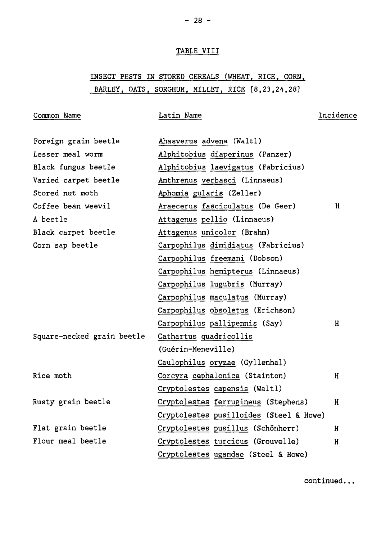### TABLE VIII

 $- 28 -$ 

## INSECT PESTS IN STORED CEREALS (WHEAT, RICE, CORN, BARLEY, OATS, SORGHUM, MILLET, RICE [8,23,24,28]

| Common Name                | Latin Name                              | Incidence |
|----------------------------|-----------------------------------------|-----------|
| Foreign grain beetle       | Ahasverus advena (Waltl)                |           |
| Lesser meal worm           | Alphitobius diaperinus (Panzer)         |           |
| Black fungus beetle        | Alphitobius laevigatus (Fabricius)      |           |
| Varied carpet beetle       | Anthrenus verbasci (Linnaeus)           |           |
| Stored nut moth            | Aphomia gularis (Zeller)                |           |
| Coffee bean weevil         | Araecerus fasciculatus (De Geer)        | H         |
| A beetle                   | Attagenus pellio (Linnaeus)             |           |
| Black carpet beetle        | Attagenus unicolor (Brahm)              |           |
| Corn sap beetle            | Carpophilus dimidiatus (Fabricius)      |           |
|                            | Carpophilus freemani (Dobson)           |           |
|                            | Carpophilus hemipterus (Linnaeus)       |           |
|                            | Carpophilus lugubris (Murray)           |           |
|                            | Carpophilus maculatus (Murray)          |           |
|                            | Carpophilus obsoletus (Erichson)        |           |
|                            | Carpophilus pallipennis (Say)           | H         |
| Square-necked grain beetle | Cathartus quadricollis                  |           |
|                            | (Guérin-Meneville)                      |           |
|                            | Caulophilus oryzae (Gyllenhal)          |           |
| Rice moth                  | Corcyra cephalonica (Stainton)          | H         |
|                            | Cryptolestes capensis (Waltl)           |           |
| Rusty grain beetle         | Cryptolestes ferrugineus (Stephens)     | Н         |
|                            | Cryptolestes pusilloides (Steel & Howe) |           |
| Flat grain beetle          | Cryptolestes pusillus (Schönherr)       | Н         |
| Flour meal beetle          | Cryptolestes turcicus (Grouvelle)       | H         |
|                            | Cryptolestes ugandae (Steel & Howe)     |           |

continued.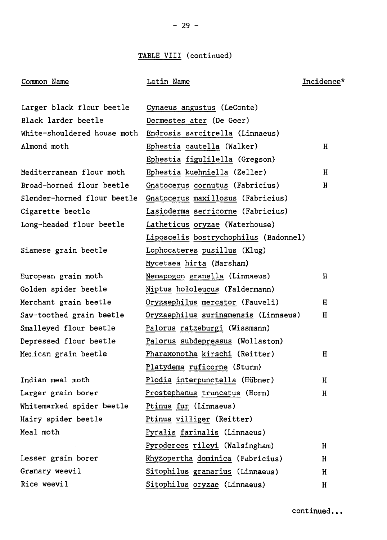### TABLE VIII (continued)

### Common Name Latin Name Incidence\*

| Larger black flour beetle   | Cynaeus angustus (LeConte)            |    |
|-----------------------------|---------------------------------------|----|
| Black larder beetle         | Dermestes ater (De Geer)              |    |
| White-shouldered house moth | Endrosis sarcitrella (Linnaeus)       |    |
| Almond moth                 | Ephestia cautella (Walker)            | н  |
|                             | Ephestia figulilella (Gregson)        |    |
| Mediterranean flour moth    | Ephestia kuehniella (Zeller)          | н  |
| Broad-horned flour beetle   | Gnatocerus cornutus (Fabricius)       | н  |
| Slender-horned flour beetle | Gnatocerus maxillosus (Fabricius)     |    |
| Cigarette beetle            | Lasioderma serricorne (Fabricius)     |    |
| Long-headed flour beetle    | Latheticus oryzae (Waterhouse)        |    |
|                             | Liposcelis bostrychophilus (Badonnel) |    |
| Siamese grain beetle        | Lophocateres pusillus (Klug)          |    |
|                             | Mycetaea hirta (Marsham)              |    |
| European grain moth         | Nemapogon granella (Linnaeus)         | H  |
| Golden spider beetle        | Niptus hololeucus (Faldermann)        |    |
| Merchant grain beetle       | Oryzaephilus mercator (Fauveli)       | H  |
| Saw-toothed grain beetle    | Oryzaephilus surinamensis (Linnaeus)  | H. |
| Smalleyed flour beetle      | Palorus ratzeburgi (Wissmann)         |    |
| Depressed flour beetle      | Palorus subdepressus (Wollaston)      |    |
| Merican grain beetle        | Pharaxonotha kirschi (Reitter)        | H. |
|                             | Platydema ruficorne (Sturm)           |    |
| Indian meal moth            | Plodia interpunctella (Hübner)        | H. |
| Larger grain borer          | Prostephanus truncatus (Horn)         | Н  |
| Whitemarked spider beetle   | Ptinus fur (Linnaeus)                 |    |
| Hairy spider beetle         | Ptinus villiger (Reitter)             |    |
| Meal moth                   | Pyralis farinalis (Linnaeus)          |    |
|                             | Pyroderces rileyi (Walsingham)        | Н  |
| Lesser grain borer          | Rhyzopertha dominica (Fabricius)      | H  |
| Granary weevil              | Sitophilus granarius (Linnaeus)       | H  |
| Rice weevil                 | Sitophilus oryzae (Linnaeus)          | H  |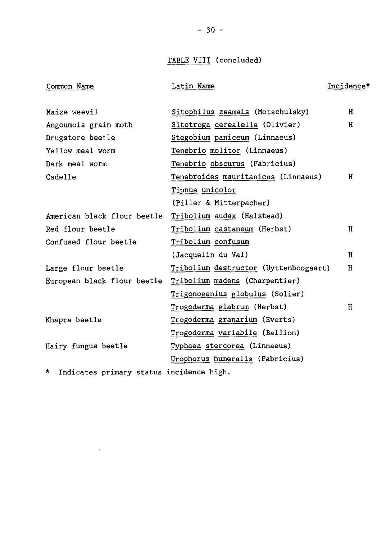TABLE VIII (concluded)

| Common Name                                                                                                                                                                                                                      | Latin Name                            | Incidence* |
|----------------------------------------------------------------------------------------------------------------------------------------------------------------------------------------------------------------------------------|---------------------------------------|------------|
|                                                                                                                                                                                                                                  |                                       |            |
| Maize weevil                                                                                                                                                                                                                     | Sitophilus zeamais (Motschulsky)      | H          |
| Angoumois grain moth                                                                                                                                                                                                             | Sitotroga cerealella (Olivier)        | Н          |
| Drugstore beetle                                                                                                                                                                                                                 | Stegobium paniceum (Linnaeus)         |            |
| Yellow meal worm                                                                                                                                                                                                                 | Tenebrio molitor (Linnaeus)           |            |
| Dark meal worm                                                                                                                                                                                                                   | Tenebrio obscurus (Fabricius)         |            |
| Cadelle                                                                                                                                                                                                                          | Tenebroides mauritanicus (Linnaeus)   | н          |
|                                                                                                                                                                                                                                  | Tipnus unicolor                       |            |
|                                                                                                                                                                                                                                  | (Piller & Mitterpacher)               |            |
| American black flour beetle                                                                                                                                                                                                      | Tribolium audax (Halstead)            |            |
| Red flour beetle                                                                                                                                                                                                                 | Tribolium castaneum (Herbst)          | H          |
| Confused flour beetle                                                                                                                                                                                                            | Tribolium confusum                    |            |
|                                                                                                                                                                                                                                  | (Jacquelin du Val)                    | H          |
| Large flour beetle                                                                                                                                                                                                               | Tribolium destructor (Uyttenboogaart) | H          |
| European black flour beetle                                                                                                                                                                                                      | Tribolium madens (Charpentier)        |            |
|                                                                                                                                                                                                                                  | Trigonogenius globulus (Solier)       |            |
|                                                                                                                                                                                                                                  | Trogoderma glabrum (Herbst)           | H          |
| Khapra beetle                                                                                                                                                                                                                    | Trogoderma granarium (Everts)         |            |
|                                                                                                                                                                                                                                  | Trogoderma variabile (Ballion)        |            |
| Hairy fungus beetle                                                                                                                                                                                                              | Typhaea stercorea (Linnaeus)          |            |
|                                                                                                                                                                                                                                  | Urophorus humeralis (Fabricius)       |            |
| $\mathbf{r}$ , and the set of the set of the set of the set of the set of the set of the set of the set of the set of the set of the set of the set of the set of the set of the set of the set of the set of the set of the set |                                       |            |

\* Indicates primary status incidence high.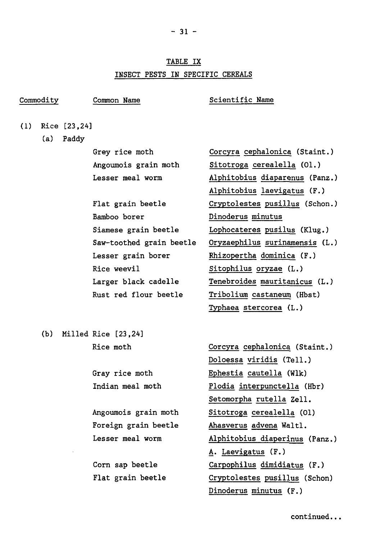# TABLE IX INSECT PESTS IN SPECIFIC CEREALS

# Commodity Common Name Scientific Name

(1) Rice [23,24]

(a) Paddy

Grey rice moth Angoumois grain moth Lesser meal worm

Flat grain beetle Bamboo borer Siamese grain beetle Saw-toothed grain beetle Lesser grain borer Rice weevil Larger black cadelle Rust red flour beetle

Corcyra cephalonica (Staint.) Sitotroga cerealella (01.) Alphitobius diaparenus (Panz.) Alphitobius laevigatus (F.) Cryptolestes pusillus (Schon.) Dinoderus minutus Lophocateres pusilus (Klug.) Oryzaephilus surinamensis (L.) Rhizopertha dominica (F.) Sitophilus oryzae (L.) Tenebroides mauritanicus (L.) Tribolium castaneum (Hbst) Typhaea stercorea (L.)

(b) Milled Rice [23,24] Rice moth

> Gray rice moth Indian meal moth

Angoumois grain moth Foreign grain beetle Lesser meal worm

Corn sap beetle Flat grain beetle Corcyra cephalonica (Staint.) Doloessa viridis (Tell.) Ephestia cautella (Wlk) Plodia interpunctella (Hbr) Setomorpha rutella Zell. Sitotroga cerealella (01) Ahasverus advena Waltl. Alphitobius diaperinus (Panz.) A. Laevigatus (F.) Carpophilus dimidiatus (F.) Cryptolestes pusillus (Schon) Dinoderus minutus (F.)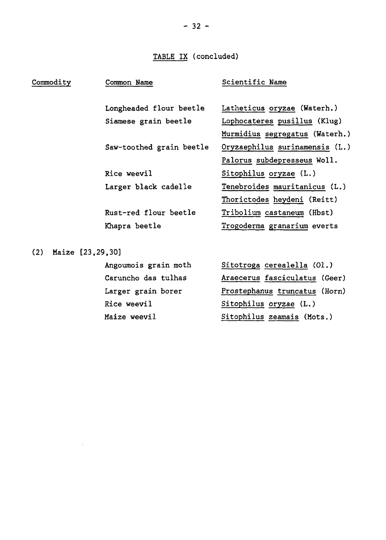# TABLE IX (concluded)

| Commodity               | Common Name              | Scientific Name                |
|-------------------------|--------------------------|--------------------------------|
|                         | Longheaded flour beetle  | Latheticus oryzae (Waterh.)    |
|                         | Siamese grain beetle     | Lophocateres pusillus (Klug)   |
|                         |                          | Murmidius segregatus (Waterh.) |
|                         | Saw-toothed grain beetle | Oryzaephilus surinamensis (L.) |
|                         |                          | Palorus subdepresseus Woll.    |
|                         | Rice weevil              | Sitophilus oryzae (L.)         |
|                         | Larger black cadelle     | Tenebroides mauritanicus (L.)  |
|                         |                          | Thorictodes heydeni (Reitt)    |
|                         | Rust-red flour beetle    | Tribolium castaneum (Hbst)     |
|                         | Khapra beetle            | Trogoderma granarium everts    |
| Maize [23,29,30]<br>(2) |                          |                                |

Angoumois grain moth Caruncho das tulhas Larger grain borer Rice weevil Maize weevil

Sitotroga cerealella (01.) Araecerus fasciculatus (Geer) Prostephanus truncatus (Horn) Sitophilus oryzae (L.) Sitophilus zeamais (Mots.)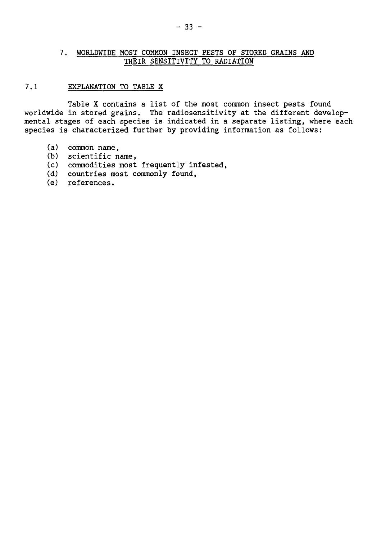#### 7. WORLDWIDE MOST COMMON INSECT PESTS OF STORED GRAINS AND THEIR SENSITIVITY TO RADIATION

### 7.1 EXPLANATION TO TABLE X

Table X contains a list of the most common insect pests found worldwide in stored grains. The radiosensitivity at the different developmental stages of each species is indicated in a separate listing, where each species is characterized further by providing information as follows:

- (a) common name,
- (b) scientific name,
- (c) commodities most frequently infested,
- (d) countries most commonly found,
- (e) references.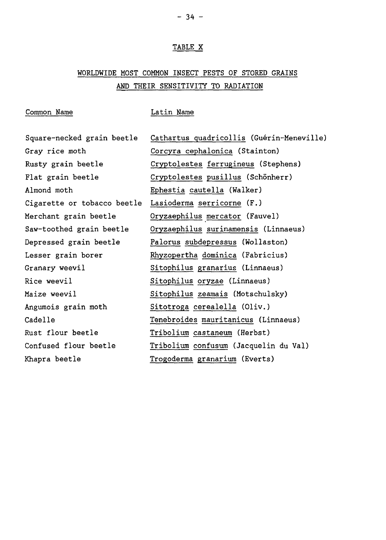#### TABLE X

# WORLDWIDE MOST COMMON INSECT PESTS OF STORED GRAINS AND THEIR SENSITIVITY TO RADIATION

#### Common Name Latin Name

Square-necked grain beetle Gray rice moth Rusty grain beetle Flat grain beetle Almond moth Merchant grain beetle Saw-toothed grain beetle Depressed grain beetle Lesser grain borer Granary weevil Rice weevil Maize weevil Angumois grain moth Cadelle Rust flour beetle Confused flour beetle Khapra beetle

Cigarette or tobacco beetle Lasioderma serricorne (F.) Cathartus quadricollis (Guérin-Meneville) Corcyra cephalonica (Stainton) Cryptolestes ferrugineus (Stephens) Cryptolestes pusillus (Schönherr) Ephestia cautella (Walker) Oryzaephilus mercator (Fauvel) Oryzaephilus surinamensis (Linnaeus) Palorus subdepressus (Wollaston) Rhyzopertha dominica (Fabricius) Sitophilus granarius (Linnaeus) Sitophilus oryzae (Linnaeus) Sitophilus zeamais (Motschulsky) Sitotroga cerealella (Oliv.) Tenebroides mauritanicus (Linnaeus) Tribolium castaneum (Herbst) Tribolium confusum (Jacquelin du Val)

Trogoderma granarium (Everts)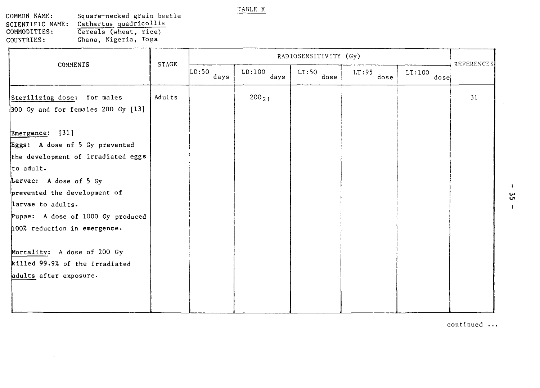TABLE X

COMMON NAME: SCIENTIFIC NAME: COMMODITIES: COUNTRIES: Square-necked grain beetle Cathartus quadrlcollis Cereals (wheat, rice) Ghana, Nigeria, Toga

 $\epsilon$ 

| <b>COMMENTS</b>                                                                                                                                                                                                                                                                                                                                     | <b>STAGE</b> |               | RADIOSENSITIVITY (Gy) |               |               |                             | <b>REFERENCES</b> |
|-----------------------------------------------------------------------------------------------------------------------------------------------------------------------------------------------------------------------------------------------------------------------------------------------------------------------------------------------------|--------------|---------------|-----------------------|---------------|---------------|-----------------------------|-------------------|
|                                                                                                                                                                                                                                                                                                                                                     |              | LD:50<br>days | LD:100<br>days        | LT:50<br>dose | LT:95<br>dose | LT:100<br>dose <sub>i</sub> |                   |
| Sterilizing dose: for males<br>300 Gy and for females 200 Gy [13]                                                                                                                                                                                                                                                                                   | Adults       |               | $200_{21}$            |               |               |                             | 31                |
| Emergence: [31]<br>Eggs: A dose of 5 Gy prevented<br>the development of irradiated eggs<br>to adult.<br>Larvae: A dose of 5 Gy<br>prevented the development of<br>larvae to adults.<br>Pupae: A dose of 1000 Gy produced<br>100% reduction in emergence.<br>Mortality: A dose of 200 Gy<br>killed 99.9% of the irradiated<br>adults after exposure. |              |               |                       |               |               |                             |                   |
|                                                                                                                                                                                                                                                                                                                                                     |              |               |                       |               |               |                             |                   |

continued ..

I ين<br>س

 $\mathbf{I}$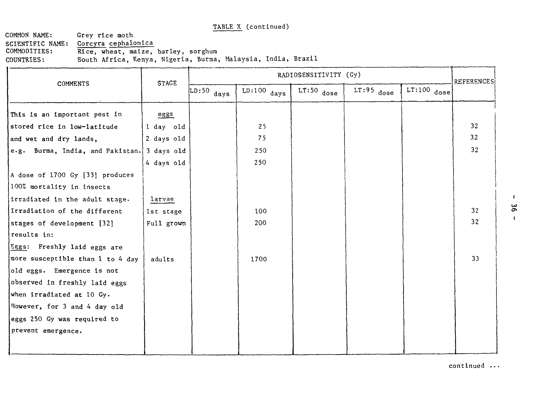COMMON NAME: Grey rice moth SCIENTIFIC NAME: Corcyra cephalonica<br>COMMODITIES: Rice, wheat, maize, COMMODITIES: Rice, wheat, maize, barley, sorghum<br>COUNTRIES: South Africa, Kenya, Nigeria, Burma, South Africa, Kenya, Nigeria, Burma, Malaysia, India, Brazil

|                                  | <b>STAGE</b> | RADIOSENSITIVITY (Gy)          |               |              |              |               |                   |
|----------------------------------|--------------|--------------------------------|---------------|--------------|--------------|---------------|-------------------|
| <b>COMMENTS</b>                  |              | $\overline{\text{LD:}}50$ days | $LD:100$ days | $LT:50$ dose | $LT:95$ dose | $LT:100$ dose | <b>REFERENCES</b> |
| This is an important pest in     | eggs         |                                |               |              |              |               |                   |
| stored rice in low-latitude      | l day old    |                                | 25            |              |              |               | 32                |
| and wet and dry lands,           | 2 days old   |                                | 75            |              |              |               | 32                |
| e.g. Burma, India, and Pakistan. | 3 days old   |                                | 250           |              |              |               | 32 <sub>2</sub>   |
|                                  | 4 days old   |                                | 250           |              |              |               |                   |
| A dose of 1700 Gy [33] produces  |              |                                |               |              |              |               |                   |
| 100% mortality in insects        |              |                                |               |              |              |               |                   |
| irradiated in the adult stage.   | larvae       |                                |               |              |              |               |                   |
| Irradiation of the different     | lst stage    |                                | 100           |              |              |               | 32                |
| stages of development [32]       | Full grown   |                                | 200           |              |              |               | 32                |
| results in:                      |              |                                |               |              |              |               |                   |
| Eggs: Freshly laid eggs are      |              |                                |               |              |              |               |                   |
| more susceptible than 1 to 4 day | adults       |                                | 1700          |              |              |               | 33                |
| old eggs. Emergence is not       |              |                                |               |              |              |               |                   |
| observed in freshly laid eggs    |              |                                |               |              |              |               |                   |
| when irradiated at 10 Gy.        |              |                                |               |              |              |               |                   |
| However, for 3 and 4 day old     |              |                                |               |              |              |               |                   |
| eggs 250 Gy was required to      |              |                                |               |              |              |               |                   |
| prevent emergence.               |              |                                |               |              |              |               |                   |
|                                  |              |                                |               |              |              |               |                   |

continued ...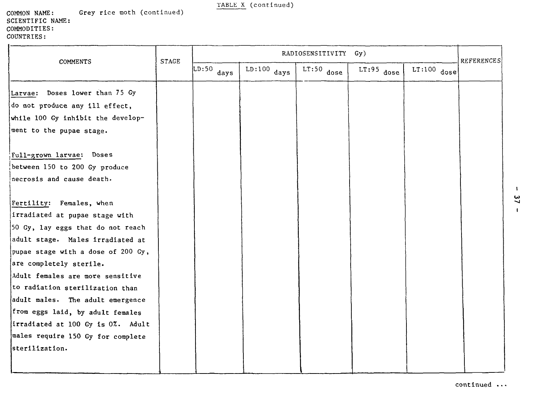| COMMON NAME:     |  | Grey rice moth (continued) |
|------------------|--|----------------------------|
| SCIENTIFIC NAME: |  |                            |
| COMMODITIES:     |  |                            |
| COUNTRIES:       |  |                            |

|                                    | <b>STAGE</b> |                                 |               | RADIOSENSITIVITY Gy) |              |               | <b>REFERENCES</b> |
|------------------------------------|--------------|---------------------------------|---------------|----------------------|--------------|---------------|-------------------|
| COMMENTS                           |              | $\overline{\text{LD:}}$ 50 days | $LD:100$ days | $LT:50$ dose         | $LT:95$ dose | $LT:100$ dose |                   |
| Larvae: Doses lower than 75 Gy     |              |                                 |               |                      |              |               |                   |
| do not produce any ill effect,     |              |                                 |               |                      |              |               |                   |
| while 100 Gy inhibit the develop-  |              |                                 |               |                      |              |               |                   |
| ment to the pupae stage.           |              |                                 |               |                      |              |               |                   |
| Full-grown larvae: Doses           |              |                                 |               |                      |              |               |                   |
| between 150 to 200 Gy produce      |              |                                 |               |                      |              |               |                   |
| necrosis and cause death.          |              |                                 |               |                      |              |               |                   |
|                                    |              |                                 |               |                      |              |               |                   |
| Fertility: Females, when           |              |                                 |               |                      |              |               |                   |
| irradiated at pupae stage with     |              |                                 |               |                      |              |               |                   |
| 50 Gy, lay eggs that do not reach  |              |                                 |               |                      |              |               |                   |
| adult stage. Males irradiated at   |              |                                 |               |                      |              |               |                   |
| pupae stage with a dose of 200 Gy, |              |                                 |               |                      |              |               |                   |
| are completely sterile.            |              |                                 |               |                      |              |               |                   |
| Adult females are more sensitive   |              |                                 |               |                      |              |               |                   |
| to radiation sterilization than    |              |                                 |               |                      |              |               |                   |
| adult males. The adult emergence   |              |                                 |               |                      |              |               |                   |
| from eggs laid, by adult females   |              |                                 |               |                      |              |               |                   |
| irradiated at 100 Gy is 0%. Adult  |              |                                 |               |                      |              |               |                   |
| males require 150 Gy for complete  |              |                                 |               |                      |              |               |                   |
| sterilization.                     |              |                                 |               |                      |              |               |                   |
|                                    |              |                                 |               |                      |              |               |                   |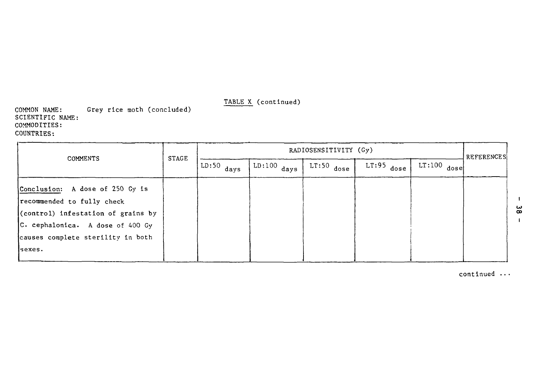COMMON NAME: SCIENTIFIC NAME: COMMODITIES: COUNTRIES: Grey rice moth (concluded)

| <b>REFERENCES</b><br>$LT:100$ dose |
|------------------------------------|
|                                    |
|                                    |
|                                    |
|                                    |
|                                    |
|                                    |
|                                    |

continued ..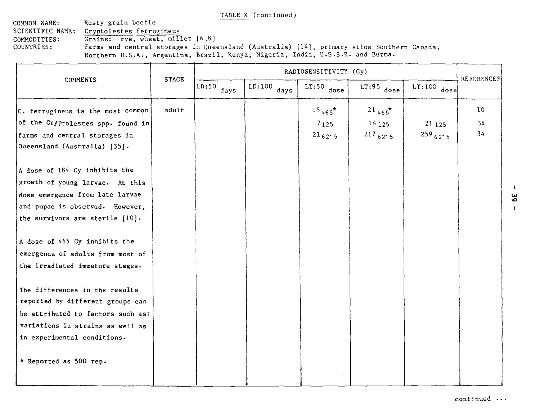COMMON NAME: SCIENTIFIC NAME: COMMODITIES: COUNTRIES: Rusty grain beetle Cryptolestes ferrugineus Grains: rye, wheat, millet  $[6,8]$ Farms and central storages in Queensland (Australia) [14], primary silos Southern Canada, **Northern** U.S.A., Argentina, Brazil, Kenya, Nigeria, India, U.S.S.R. and Burma.

|                                    | RADIOSENSITIVITY (Gy) |                                |               |                   |                           |                |                   |
|------------------------------------|-----------------------|--------------------------------|---------------|-------------------|---------------------------|----------------|-------------------|
| COMMENTS                           | <b>STAGE</b>          | $\overline{\text{LD:50}}$ days | $LD:100$ days | $LT:50$ dose      | $LT:95$ dose <sup>'</sup> | $LT:100$ dose  | <b>REFERENCES</b> |
| C. ferrugineus is the most common  | adult                 |                                |               | $15_{465}$ *      | $21_{465}$ *              |                | 10                |
| of the Cryptolestes spp. found in  |                       |                                |               | 7125              | 14125                     | 21125          | 34                |
| farms and central storages in      |                       |                                |               | $21_{62} \cdot 5$ | $217_{62}$ 5              | $259_{62}$ · 5 | 34                |
| Queensland (Australia) [35].       |                       |                                |               |                   |                           |                |                   |
| A dose of 184 Gy inhibits the      |                       |                                |               |                   |                           |                |                   |
| growth of young larvae. At this    |                       |                                |               |                   |                           |                |                   |
| dose emergence from late larvae    |                       |                                |               |                   |                           |                |                   |
| and pupae is observed. However,    |                       |                                |               |                   |                           |                |                   |
| the survivors are sterile $[10]$ . |                       |                                |               |                   |                           |                |                   |
| A dose of 465 Gy inhibits the      |                       |                                |               |                   |                           |                |                   |
| emergence of adults from most of   |                       |                                |               |                   |                           |                |                   |
| the irradiated immature stages.    |                       |                                |               |                   |                           |                |                   |
| The differences in the results     |                       |                                |               |                   |                           |                |                   |
| reported by different groups can   |                       |                                |               |                   |                           |                |                   |
| be attributed to factors such as:  |                       |                                |               |                   |                           |                |                   |
| variations in strains as well as   |                       |                                |               |                   |                           |                |                   |
| in experimental conditions.        |                       |                                |               |                   |                           |                |                   |
| * Reported as 500 rep.             |                       |                                |               |                   |                           |                |                   |
|                                    |                       |                                |               |                   |                           |                |                   |

**continued** ...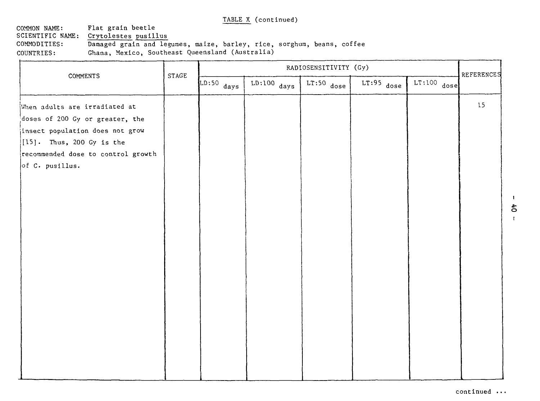COMMON NAME: Flat grain beetle<br>SCIENTIFIC NAME: Crytolestes pusil SCIENTIFIC NAME: Crytolestes pusillus<br>COMMODITIES: Damaged grain and lee Damaged grain and legumes, maize, barley, rice, sorghum, beans, coffee COUNTRIES: Ghana, Mexico, Southeast Queensland (Australia)

| COMMENTS                                                                                                                                                                                     | STAGE |              |               | RADIOSENSITIVITY (Gy) |              |               | REFERENCES |
|----------------------------------------------------------------------------------------------------------------------------------------------------------------------------------------------|-------|--------------|---------------|-----------------------|--------------|---------------|------------|
|                                                                                                                                                                                              |       | $LD:50$ days | $LD:100$ days | $LT:50$ dose          | $LT:95$ dose | $LT:100$ dose |            |
| When adults are irradiated at<br>doses of 200 Gy or greater, the<br>insect population does not grow<br>$[15]$ . Thus, 200 Gy is the<br>recommended dose to control growth<br>of C. pusillus. |       |              |               |                       |              |               | 15         |
|                                                                                                                                                                                              |       |              |               |                       |              |               |            |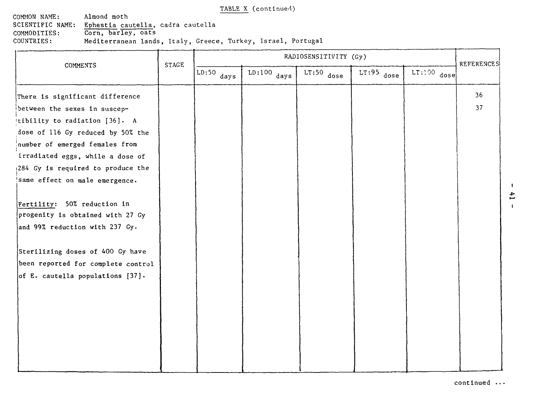COMMON NAME: Almond moth<br>SCIENTIFIC NAME: Ephestia ca SCIENTIFIC NAME: Ephestia cautella, cadra cautella COMMODITIES: Corn, barley, oats COUNTRIES: Mediterranean lands, Italy, Greece, Turkey, Israel, Portugal

|                                                                                                                                                                                                                 | <b>STAGE</b> |                                 |                                  | RADIOSENSITIVITY (Gy) |              |               | <b>REFERENCES</b> |
|-----------------------------------------------------------------------------------------------------------------------------------------------------------------------------------------------------------------|--------------|---------------------------------|----------------------------------|-----------------------|--------------|---------------|-------------------|
| COMMENTS                                                                                                                                                                                                        |              | $\overline{\text{LD:}}$ 50 days | $\overline{\text{LD:}}$ 100 days | $LT:50$ dose          | $LT:95$ dose | $LT:100$ dose |                   |
| There is significant difference                                                                                                                                                                                 |              |                                 |                                  |                       |              |               | 36                |
| between the sexes in suscep-                                                                                                                                                                                    |              |                                 |                                  |                       |              |               | 37                |
| !tibility to radiation [36]. A                                                                                                                                                                                  |              |                                 |                                  |                       |              |               |                   |
| dose of 116 Gy reduced by 50% the                                                                                                                                                                               |              |                                 |                                  |                       |              |               |                   |
| number of emerged females from                                                                                                                                                                                  |              |                                 |                                  |                       |              |               |                   |
| irradiated eggs, while a dose of                                                                                                                                                                                |              |                                 |                                  |                       |              |               |                   |
| (284 Gy is required to produce the                                                                                                                                                                              |              |                                 |                                  |                       |              |               |                   |
| same effect on male emergence.                                                                                                                                                                                  |              |                                 |                                  |                       |              |               |                   |
| Fertility: 50% reduction in<br>progenity is obtained with 27 Gy<br>and 99% reduction with 237 Gy.<br>Sterilizing doses of 400 Gy have<br>been reported for complete control<br>of E. cautella populations [37]. |              |                                 |                                  |                       |              |               |                   |
|                                                                                                                                                                                                                 |              |                                 |                                  |                       |              |               |                   |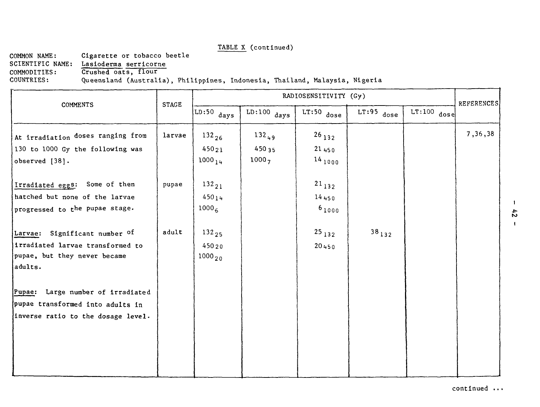COMMON NAME: Cigarette or tobacco beetle<br>SCIENTIFIC NAME: Lasioderma serricorne SCIENTIFIC NAME: Lasioderma serricorne<br>COMMODITIES: Crushed oats, flour

COMMODITIES: Crushed oats, flour<br>COUNTRIES: Queensland (Australi

#### Queensland (Australia), Philippines, Indonesia, Thailand, Malaysia, Nigeria

| <b>COMMENTS</b>                                                             | <b>STAGE</b> |                      |                     | RADIOSENSITIVITY (Gy) |              |               |                    |  |  |
|-----------------------------------------------------------------------------|--------------|----------------------|---------------------|-----------------------|--------------|---------------|--------------------|--|--|
|                                                                             |              | $LD:50$ days         | $LD:100$ days       | $LT:50$ dose          | $LT:95$ dose | $LT:100$ dose | <b>REFERENCES!</b> |  |  |
| At irradiation doses ranging from<br>130 to 1000 Gy the following was       | larvae       | $132_{26}$<br>45021  | $132_{49}$<br>45035 | $^{26}$ 132<br>21450  |              |               | 7,36,38            |  |  |
| observed [38].                                                              |              | $1000_{14}$          | 10007               | $^{14}$ 1000          |              |               |                    |  |  |
| Irradiated eggs: Some of them                                               | pupae        | $132_{21}$           |                     | $21_{132}$            |              |               |                    |  |  |
| hatched but none of the larvae<br>progressed to the pupae stage.            |              | 45014<br>$1000_{6}$  |                     | 14450<br>$6_{1000}$   |              |               |                    |  |  |
| Larvae: Significant number of                                               | adult        | $132_{25}$           |                     | $25_{132}$            | $38_{132}$   |               |                    |  |  |
| irradiated larvae transformed to<br>pupae, but they never became<br>adults. |              | 45020<br>$1000_{20}$ |                     | 20450                 |              |               |                    |  |  |
| Pupae: Large number of irradiated                                           |              |                      |                     |                       |              |               |                    |  |  |
| pupae transformed into adults in<br>inverse ratio to the dosage level.      |              |                      |                     |                       |              |               |                    |  |  |
|                                                                             |              |                      |                     |                       |              |               |                    |  |  |
|                                                                             |              |                      |                     |                       |              |               |                    |  |  |
|                                                                             |              |                      |                     |                       |              |               |                    |  |  |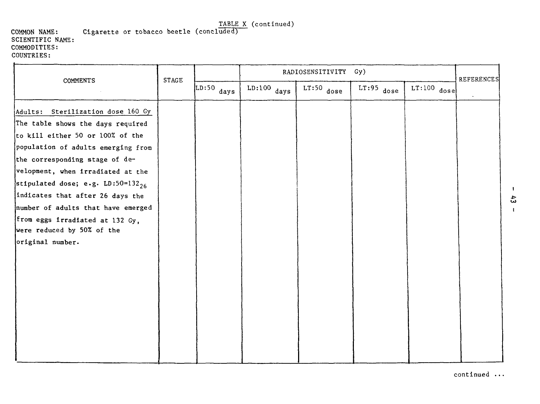#### COMMON NAME: Cigarette or tobacco beetle (concluded) SCIENTIFIC NAME: COMMODITIES: COUNTRIES:

|                                                                                                                                                                                                                                                                                                                                                                                                                                       | STAGE<br>COMMENTS |              |               | RADIOSENSITIVITY Gy) |              |               | <b>REFERENCES</b> |
|---------------------------------------------------------------------------------------------------------------------------------------------------------------------------------------------------------------------------------------------------------------------------------------------------------------------------------------------------------------------------------------------------------------------------------------|-------------------|--------------|---------------|----------------------|--------------|---------------|-------------------|
|                                                                                                                                                                                                                                                                                                                                                                                                                                       |                   | $LD:50$ days | $LD:100$ days | $LT:50$ dose         | $LT:95$ dose | $LT:100$ dose | $\bullet$         |
| Adults: Sterilization dose 160 Gy<br>The table shows the days required<br>to kill either 50 or 100% of the<br>population of adults emerging from<br>the corresponding stage of de-<br>velopment, when irradiated at the<br>stipulated dose; e.g. LD:50=132 $_{\rm 26}$<br>indicates that after 26 days the<br>number of adults that have emerged<br>from eggs irradiated at 132 Gy,<br>were reduced by 50% of the<br>original number. |                   |              |               |                      |              |               |                   |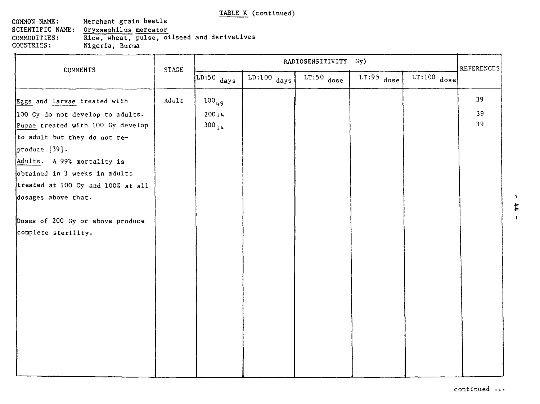#### COMMON NAME: Merchant grain beetle<br>SCIENTIFIC NAME: Oryzaephilus mercator SCIENTIFIC NAME: Oryzaephilus mercator<br>COMMODITIES: Rice, wheat, pulse, of COMMODITIES: Rice, wheat, pulse, oilseed and derivatives<br>COUNTRIES: Nigeria, Burma Nigeria, Burma

| COMMENTS                          | STAGE |                                |               | RADIOSENSITIVITY Gy) |              |               | REFERENCES |
|-----------------------------------|-------|--------------------------------|---------------|----------------------|--------------|---------------|------------|
|                                   |       | $\overline{\text{LD:50}}$ days | $LD:100$ days | $LT:50$ dose         | $LT:95$ dose | $LT:100$ dose |            |
| Eggs and larvae treated with      | Adult | $100_{49}$                     |               |                      |              |               | 39         |
| 100 Gy do not develop to adults.  |       | 20014                          |               |                      |              |               | 39         |
| Pupae treated with 100 Gy develop |       | $300_{14}$                     |               |                      |              |               | 39         |
| to adult but they do not re-      |       |                                |               |                      |              |               |            |
| produce $[39]$ .                  |       |                                |               |                      |              |               |            |
| Adults. A 99% mortality is        |       |                                |               |                      |              |               |            |
| obtained in 3 weeks in adults     |       |                                |               |                      |              |               |            |
| treated at 100 Gy and 100% at all |       |                                |               |                      |              |               |            |
| dosages above that.               |       |                                |               |                      |              |               |            |
|                                   |       |                                |               |                      |              |               |            |
| Doses of 200 Gy or above produce  |       |                                |               |                      |              |               |            |
| complete sterility.               |       |                                |               |                      |              |               |            |
|                                   |       |                                |               |                      |              |               |            |
|                                   |       |                                |               |                      |              |               |            |
|                                   |       |                                |               |                      |              |               |            |
|                                   |       |                                |               |                      |              |               |            |
|                                   |       |                                |               |                      |              |               |            |
|                                   |       |                                |               |                      |              |               |            |
|                                   |       |                                |               |                      |              |               |            |
|                                   |       |                                |               |                      |              |               |            |
|                                   |       |                                |               |                      |              |               |            |
|                                   |       |                                |               |                      |              |               |            |
|                                   |       |                                |               |                      |              |               |            |
|                                   |       |                                |               |                      |              |               |            |

 $\mathbf{1}$  $44$  $\mathbf{r}$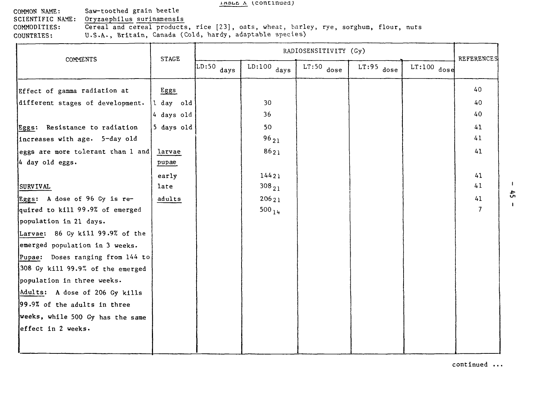#### IADLE A (CONTINUED)

| COMMON NAME:     | Saw-toothed grain beetle                                                              |
|------------------|---------------------------------------------------------------------------------------|
| SCIENTIFIC NAME: | Oryzaephilus surinamensis                                                             |
| COMMODITIES:     | Cereal and cereal products, rice [23], oats, wheat, barley, rye, sorghum, flour, nuts |
| COUNTRIES:       | U.S.A., Britain, Canada (Cold, hardy, adaptable species)                              |

|                                   | <b>STAGE</b> |                                |               | RADIOSENSITIVITY (Gy) |              |               | REFERENCES     |
|-----------------------------------|--------------|--------------------------------|---------------|-----------------------|--------------|---------------|----------------|
| COMMENTS                          |              | $\overline{\text{LD:50}}$ days | $LD:100$ days | $LT:50$ dose          | $LT:95$ dose | $LT:100$ dose |                |
| Effect of gamma radiation at      | Eggs         |                                |               |                       |              |               | 40             |
| different stages of development.  | $ 1$ day old |                                | 30            |                       |              |               | 40             |
|                                   | 4 days old   |                                | 36            |                       |              |               | 40             |
| Eggs: Resistance to radiation     | 5 days old   |                                | 50            |                       |              |               | 41             |
| increases with age. 5-day old     |              |                                | $96_{21}$     |                       |              |               | 41             |
| eggs are more tolerant than 1 and | larvae       |                                | 8621          |                       |              |               | 41             |
| 4 day old eggs.                   | pupae        |                                |               |                       |              |               |                |
|                                   | early        |                                | 14421         |                       |              |               | 41             |
| <b>SURVIVAL</b>                   | late         |                                | $308_{21}$    |                       |              |               | 41             |
| Eggs: A dose of 96 Gy is re-      | adults       |                                | 20621         |                       |              |               | 41             |
| quired to kill 99.9% of emerged   |              |                                | $500_{14}$    |                       |              |               | $\overline{7}$ |
| population in 21 days.            |              |                                |               |                       |              |               |                |
| Larvae: 86 Gy kill 99.9% of the   |              |                                |               |                       |              |               |                |
| emerged population in 3 weeks.    |              |                                |               |                       |              |               |                |
| Pupae: Doses ranging from 144 to  |              |                                |               |                       |              |               |                |
| 308 Gy kill 99.9% of the emerged  |              |                                |               |                       |              |               |                |
| population in three weeks.        |              |                                |               |                       |              |               |                |
| Adults: A dose of 206 Gy kills    |              |                                |               |                       |              |               |                |
| 99.9% of the adults in three      |              |                                |               |                       |              |               |                |
| weeks, while 500 Gy has the same  |              |                                |               |                       |              |               |                |
| effect in 2 weeks.                |              |                                |               |                       |              |               |                |
|                                   |              |                                |               |                       |              |               |                |

continued ...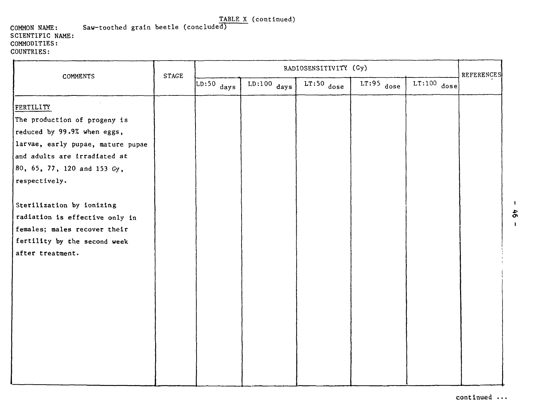#### COMMON NAME: Saw-toothed grain beetle (conclude^ SCIENTIFIC NAME: COMMODITIES: COUNTRIES:

| COMMENTS                          | <b>STAGE</b> |                                 |                                 | RADIOSENSITIVITY (Gy) |              |               | <b>REFERENCES</b> |
|-----------------------------------|--------------|---------------------------------|---------------------------------|-----------------------|--------------|---------------|-------------------|
|                                   |              | $\overline{\text{LD:}}$ 50 days | $\overline{\text{LD:}}100$ days | $LT:50$ dose          | $LT:95$ dose | $LT:100$ dose |                   |
| FERTILITY                         |              |                                 |                                 |                       |              |               |                   |
| The production of progeny is      |              |                                 |                                 |                       |              |               |                   |
| reduced by 99.9% when eggs,       |              |                                 |                                 |                       |              |               |                   |
| larvae, early pupae, mature pupae |              |                                 |                                 |                       |              |               |                   |
| and adults are irradiated at      |              |                                 |                                 |                       |              |               |                   |
| 80, 65, 77, 120 and 153 Gy,       |              |                                 |                                 |                       |              |               |                   |
| respectively.                     |              |                                 |                                 |                       |              |               |                   |
|                                   |              |                                 |                                 |                       |              |               |                   |
| Sterilization by ionizing         |              |                                 |                                 |                       |              |               |                   |
| radiation is effective only in    |              |                                 |                                 |                       |              |               |                   |
| females; males recover their      |              |                                 |                                 |                       |              |               |                   |
| fertility by the second week      |              |                                 |                                 |                       |              |               |                   |
| after treatment.                  |              |                                 |                                 |                       |              |               |                   |
|                                   |              |                                 |                                 |                       |              |               |                   |
|                                   |              |                                 |                                 |                       |              |               |                   |
|                                   |              |                                 |                                 |                       |              |               |                   |
|                                   |              |                                 |                                 |                       |              |               |                   |
|                                   |              |                                 |                                 |                       |              |               |                   |
|                                   |              |                                 |                                 |                       |              |               |                   |
|                                   |              |                                 |                                 |                       |              |               |                   |
|                                   |              |                                 |                                 |                       |              |               |                   |
|                                   |              |                                 |                                 |                       |              |               |                   |
|                                   |              |                                 |                                 |                       |              |               |                   |
|                                   |              |                                 |                                 |                       |              |               |                   |

 $\mathbf{I}$  $\ddot{\sigma}$  $\mathbf{I}$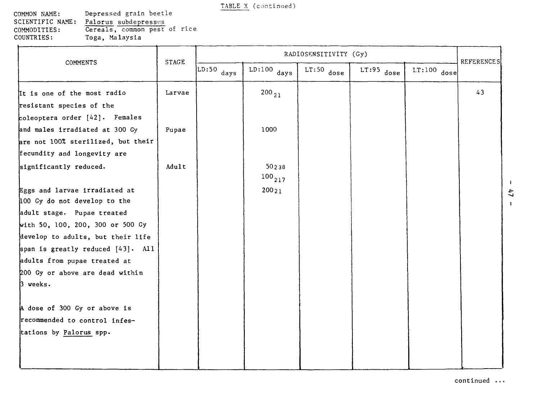**COMMON NAME: SCIENTIFIC NAME: COMMODITIES: COUNTRIES:** Depressed grain beetle Palorus subdepressus Cereals, common pest of rice Toga, Malaysia

|                                                                                                                                                                                                                | <b>STAGE</b> |                                |                      | RADIOSENSITIVITY (Gy) |              |               | REFERENCES |
|----------------------------------------------------------------------------------------------------------------------------------------------------------------------------------------------------------------|--------------|--------------------------------|----------------------|-----------------------|--------------|---------------|------------|
| COMMENTS                                                                                                                                                                                                       |              | $\overline{\text{LD:}}50$ days | $LD:100$ days        | $LT:50$ dose          | $LT:95$ dose | $LT:100$ dose |            |
| It is one of the most radio<br>resistant species of the<br>coleoptera order [42]. Females                                                                                                                      | Larvae       |                                | $200_{21}$           |                       |              |               | 43         |
| and males irradiated at 300 Gy<br>are not 100% sterilized, but their<br>fecundity and longevity are                                                                                                            | Pupae        |                                | 1000                 |                       |              |               |            |
| significantly reduced.                                                                                                                                                                                         | Adult        |                                | 50238<br>$100_{217}$ |                       |              |               |            |
| Eggs and larvae irradiated at<br>100 Gy do not develop to the                                                                                                                                                  |              |                                | 20021                |                       |              |               |            |
| adult stage. Pupae treated<br>with 50, 100, 200, 300 or 500 Gy<br>develop to adults, but their life<br>span is greatly reduced $[43]$ . All<br>adults from pupae treated at<br>200 Gy or above are dead within |              |                                |                      |                       |              |               |            |
| $3$ weeks.<br>A dose of 300 Gy or above is<br>recommended to control infes-<br>tations by Palorus spp.                                                                                                         |              |                                |                      |                       |              |               |            |

 $\mathbf{1}$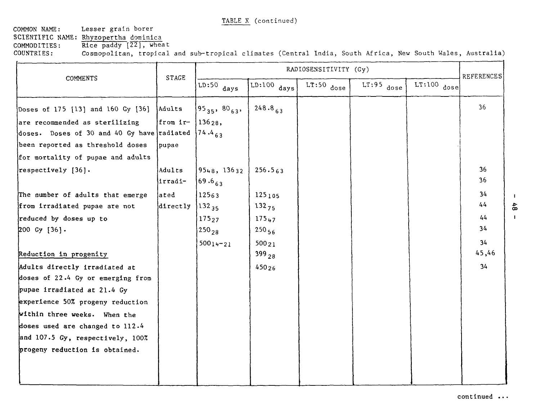**COMMON** NAME: **Lesser** grain borer **SCIENTIFIC NAME: Rhyzopertha** dominica **COMMODITIES:** Rice paddy [22], wheat<br>COUNTRIES: Cosmopolitan, tropical

Cosmopolitan, tropical and sub-tropical climates (Central India, South Africa, New South Wales, Australia)

|                                                        |                   |                              |                   | RADIOSENSITIVITY (Gy) |              |               | <b>REFERENCES</b> |
|--------------------------------------------------------|-------------------|------------------------------|-------------------|-----------------------|--------------|---------------|-------------------|
| COMMENTS                                               | STAGE             | $LD:50$ days                 | $LD:100$ days     | $LT:50$ dose          | $LT:95$ dose | $LT:100$ dose |                   |
| Doses of 175 [13] and 160 Gy [36]                      | Adults            | $\{95_{35}, 80_{63}, \}$     | $248.8_{63}$      |                       |              |               | 36                |
| are recommended as sterilizing                         | from ir-          | 13628.                       |                   |                       |              |               |                   |
| doses. Doses of 30 and 40 Gy have radiated $14.4_{63}$ |                   |                              |                   |                       |              |               |                   |
| been reported as threshold doses                       | pupae             |                              |                   |                       |              |               |                   |
| for mortality of pupae and adults                      |                   |                              |                   |                       |              |               |                   |
| respectively [36].                                     | Adults<br>irradi- | 9548, 13632<br>$ 69.6_{63} $ | 256.563           |                       |              |               | 36<br>36          |
| The number of adults that emerge                       | lated             | 12563                        | 125105            |                       |              |               | 34                |
| from irradiated pupae are not                          | directly          | $132_{35}$                   | $132_{75}$        |                       |              |               | 44                |
| reduced by doses up to                                 |                   | 17527                        | 175 <sub>47</sub> |                       |              |               | 44                |
| 200 Gy $[36]$ .                                        |                   | $250_{28}$                   | $250_{56}$        |                       |              |               | 34                |
|                                                        |                   | $50014 - 21$                 | 50021             |                       |              |               | 34                |
| Reduction in progenity                                 |                   |                              | $399_{28}$        |                       |              |               | 45,46             |
| Adults directly irradiated at                          |                   |                              | 45026             |                       |              |               | 34                |
| doses of 22.4 Gy or emerging from                      |                   |                              |                   |                       |              |               |                   |
| pupae irradiated at 21.4 Gy                            |                   |                              |                   |                       |              |               |                   |
| experience 50% progeny reduction                       |                   |                              |                   |                       |              |               |                   |
| within three weeks. When the                           |                   |                              |                   |                       |              |               |                   |
| doses used are changed to 112.4                        |                   |                              |                   |                       |              |               |                   |
| and 107.5 Gy, respectively, 100%                       |                   |                              |                   |                       |              |               |                   |
| progeny reduction is obtained.                         |                   |                              |                   |                       |              |               |                   |
|                                                        |                   |                              |                   |                       |              |               |                   |
|                                                        |                   |                              |                   |                       |              |               |                   |

 $\mathbf{L}$  $4.6$  $\mathbf{I}$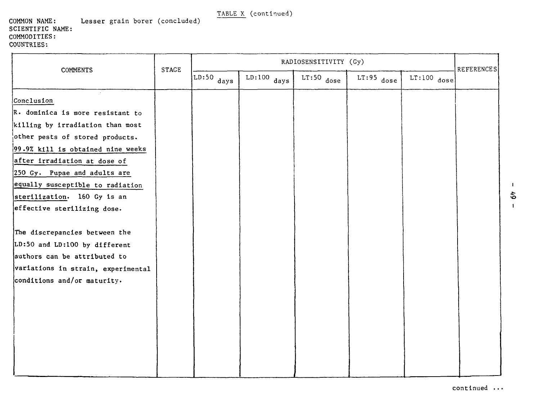#### **COMMON NAME: SCIENTIFIC NAME: COMMODITIES: COUNTRIES: Lesser** grain borer (concluded)

| <b>COMMENTS</b>                    | <b>STAGE</b> | RADIOSENSITIVITY (Gy)          |               |              |              |               | REFERENCES |
|------------------------------------|--------------|--------------------------------|---------------|--------------|--------------|---------------|------------|
|                                    |              | $\overline{\text{LD:50}}$ days | $LD:100$ days | $LT:50$ dose | $LT:95$ dose | $LT:100$ dose |            |
| Conclusion                         |              |                                |               |              |              |               |            |
| R. dominica is more resistant to   |              |                                |               |              |              |               |            |
| killing by irradiation than most   |              |                                |               |              |              |               |            |
| other pests of stored products.    |              |                                |               |              |              |               |            |
| 99.9% kill is obtained nine weeks  |              |                                |               |              |              |               |            |
| after irradiation at dose of       |              |                                |               |              |              |               |            |
| 250 Gy. Pupae and adults are       |              |                                |               |              |              |               |            |
| equally susceptible to radiation   |              |                                |               |              |              |               |            |
| sterilization. 160 Gy is an        |              |                                |               |              |              |               |            |
| effective sterilizing dose.        |              |                                |               |              |              |               |            |
|                                    |              |                                |               |              |              |               |            |
| The discrepancies between the      |              |                                |               |              |              |               |            |
| LD:50 and LD:100 by different      |              |                                |               |              |              |               |            |
| authors can be attributed to       |              |                                |               |              |              |               |            |
| variations in strain, experimental |              |                                |               |              |              |               |            |
| conditions and/or maturity.        |              |                                |               |              |              |               |            |
|                                    |              |                                |               |              |              |               |            |
|                                    |              |                                |               |              |              |               |            |
|                                    |              |                                |               |              |              |               |            |
|                                    |              |                                |               |              |              |               |            |
|                                    |              |                                |               |              |              |               |            |
|                                    |              |                                |               |              |              |               |            |
|                                    |              |                                |               |              |              |               |            |
|                                    |              |                                |               |              |              |               |            |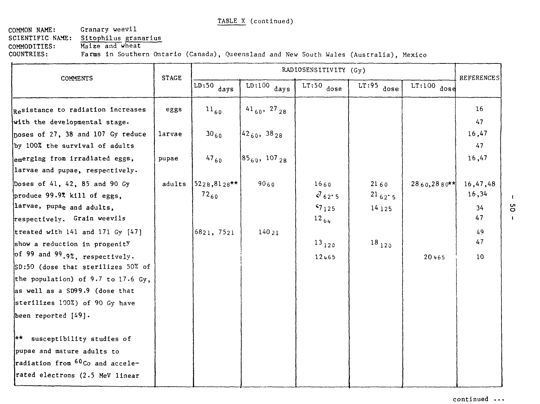#### COMMON NAME: SCIENTIFIC NAME: COMMODITIES: COUNTRIES: Granary weevil Sitophilus granarius Maize and wheat

Farms in Southern Ontario (Canada), Queensland and New South Wales (Australia), Mexico

|                                                                                                                             | <b>STAGE</b> |                              |                                 | RADIOSENSITIVITY (Gy)                       |                                   |                | <b>REFERENCES</b>             |
|-----------------------------------------------------------------------------------------------------------------------------|--------------|------------------------------|---------------------------------|---------------------------------------------|-----------------------------------|----------------|-------------------------------|
| <b>COMMENTS</b>                                                                                                             |              | $LD:50$ days                 | $\overline{\text{LD:}}100$ days | $LT:50$ dose                                | $LT:95$ dose                      | $LT:100$ dose  |                               |
| Resistance to radiation increases                                                                                           | eggs         | $^{11}60$                    | $41_{60}$ , 27 <sub>28</sub>    |                                             |                                   |                | 16                            |
| with the developmental stage.                                                                                               |              |                              |                                 |                                             |                                   |                | 47                            |
| poses of 27, 38 and 107 Gy reduce<br>by 100% the survival of adults                                                         | larvae       | $30_{60}$                    | $ 42_{60}, 38_{28} $            |                                             |                                   |                | 16,47<br>47                   |
| emerging from irradiated eggs,<br>larvae and pupae, respectively.                                                           | pupae        | $47_{60}$                    | $85_{60}$ , 107 <sub>28</sub>   |                                             |                                   |                | 16,47                         |
| Doses of 41, 42, 85 and 90 Gy<br>produce $99.9\%$ kill of eggs,<br>larvae, pupae and adults,<br>respectively. Grain weevils | adults       | $15228, 8128**$<br>$72_{60}$ | 9060                            | 1660<br>$\sqrt{62.5}$<br>57125<br>$12_{64}$ | 2160<br>$^{21}$ 62' 5<br>14 1 2 5 | $2860, 2880**$ | 16,47,48<br>16,34<br>34<br>47 |
| treated with 141 and 171 Gy [47]<br>show a reduction in progenity                                                           |              | 6821, 7521                   | 14021                           | $^{13}$ 120                                 | $18_{120}$                        |                | 49<br>47                      |
| of 99 and 99.9%, respectively.<br>SD:50 (dose that sterilizes 50% of                                                        |              |                              |                                 | 12465                                       |                                   | 20465          | 10                            |
| the population) of 9.7 to 17.6 Gy,                                                                                          |              |                              |                                 |                                             |                                   |                |                               |
| as well as a SD99.9 (dose that                                                                                              |              |                              |                                 |                                             |                                   |                |                               |
| sterilizes 100%) of 90 Gy have                                                                                              |              |                              |                                 |                                             |                                   |                |                               |
| been reported [49].                                                                                                         |              |                              |                                 |                                             |                                   |                |                               |
| ** susceptibility studies of<br>pupae and mature adults to                                                                  |              |                              |                                 |                                             |                                   |                |                               |
| radiation from 60Co and accele-<br>rated electrons (2.5 MeV linear                                                          |              |                              |                                 |                                             |                                   |                |                               |

 $\mathbf{I}$ ΟS  $\mathbf{I}$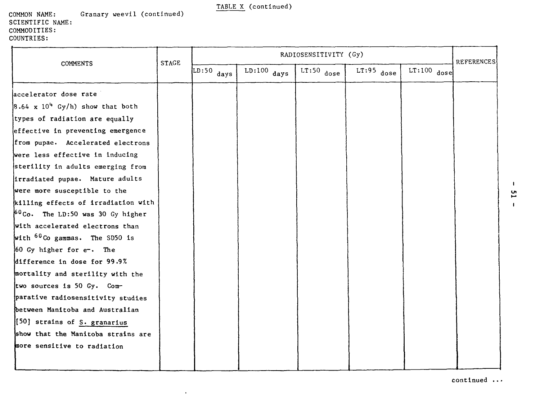#### COMMON NAME: SCIENTIFIC NAME: COMMODITIES: COUNTRIES: Granary weevil (continued)

|                                              | <b>STAGE</b> |                                |               | RADIOSENSITIVITY (Gy) |              |               | <b>REFERENCES</b> |
|----------------------------------------------|--------------|--------------------------------|---------------|-----------------------|--------------|---------------|-------------------|
| <b>COMMENTS</b>                              |              | $\overline{\text{LD:50}}$ days | $LD:100$ days | $LT:50$ dose          | $LT:95$ dose | $LT:100$ dose |                   |
| accelerator dose rate                        |              |                                |               |                       |              |               |                   |
| $8.64 \times 10^4$ Gy/h) show that both      |              |                                |               |                       |              |               |                   |
| types of radiation are equally               |              |                                |               |                       |              |               |                   |
| effective in preventing emergence            |              |                                |               |                       |              |               |                   |
| from pupae. Accelerated electrons            |              |                                |               |                       |              |               |                   |
| were less effective in inducing              |              |                                |               |                       |              |               |                   |
| sterility in adults emerging from            |              |                                |               |                       |              |               |                   |
| irradiated pupae. Mature adults              |              |                                |               |                       |              |               |                   |
| were more susceptible to the                 |              |                                |               |                       |              |               |                   |
| killing effects of irradiation with          |              |                                |               |                       |              |               |                   |
| <sup>60</sup> Co. The LD:50 was 30 Gy higher |              |                                |               |                       |              |               |                   |
| with accelerated electrons than              |              |                                |               |                       |              |               |                   |
| with <sup>60</sup> Co gammas. The SD50 is    |              |                                |               |                       |              |               |                   |
| 60 Gy higher for e-. The                     |              |                                |               |                       |              |               |                   |
| difference in dose for 99.9%                 |              |                                |               |                       |              |               |                   |
| mortality and sterility with the             |              |                                |               |                       |              |               |                   |
| two sources is 50 Gy. Com-                   |              |                                |               |                       |              |               |                   |
| parative radiosensitivity studies            |              |                                |               |                       |              |               |                   |
| between Manitoba and Australian              |              |                                |               |                       |              |               |                   |
| [50] strains of S. granarius                 |              |                                |               |                       |              |               |                   |
| show that the Manitoba strains are           |              |                                |               |                       |              |               |                   |
| more sensitive to radiation                  |              |                                |               |                       |              |               |                   |
|                                              |              |                                |               |                       |              |               |                   |

 $\bullet$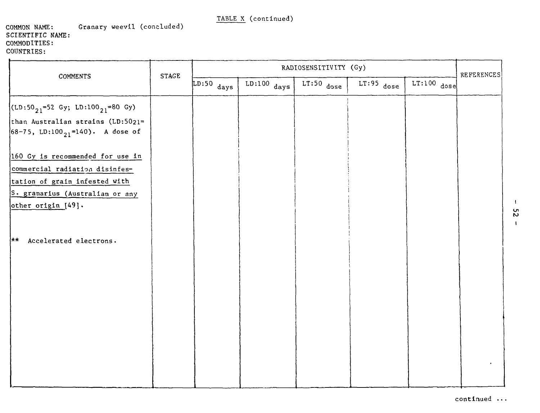#### COMMON NAME: Granary weevil (concluded) SCIENTIFIC NAME: COMMODITIES: COUNTRIES:

| COMMENTS                                                                               | <b>STAGE</b> |              |               | RADIOSENSITIVITY (Gy) |              |               | REFERENCES |
|----------------------------------------------------------------------------------------|--------------|--------------|---------------|-----------------------|--------------|---------------|------------|
|                                                                                        |              | $LD:50$ days | $LD:100$ days | $LT:50$ dose          | $LT:95$ dose | $LT:100$ dose |            |
| $(LD:50_{21} = 52 \text{ Gy}; LD:100_{21} = 80 \text{ Gy})$                            |              |              |               |                       |              |               |            |
| than Australian strains (LD:5021=<br>$ 68-75$ , LD:100 $\frac{1}{21}$ =140). A dose of |              |              |               |                       |              |               |            |
| 160 Gy is recommended for use in                                                       |              |              |               |                       |              |               |            |
| commercial radiation disinfes-<br>tation of grain infested with                        |              |              |               |                       |              |               |            |
| S. granarius (Australian or any<br>other origin [49].                                  |              |              |               |                       |              |               |            |
| Accelerated electrons.<br>∤**∶                                                         |              |              |               |                       |              |               |            |
|                                                                                        |              |              |               |                       |              |               |            |
|                                                                                        |              |              |               |                       |              |               |            |
|                                                                                        |              |              |               |                       |              |               |            |
|                                                                                        |              |              |               |                       |              |               |            |
|                                                                                        |              |              |               |                       |              |               |            |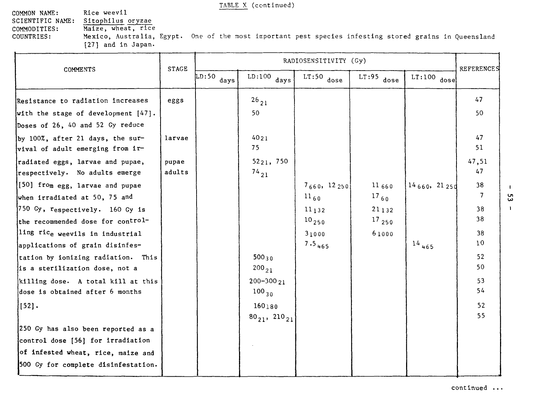COMMON NAME: Rice weevil<br>SCIENTIFIC NAME: Sitophilus SCIENTIFIC NAME: Sitophilus oryzae<br>COMMODITIES: Maize, wheat, rice COMMODITIES: Maize, wheat, rice<br>COUNTRIES: Mexico, Australia,

Mexico, Australia, Egypt. One of the most important pest species infesting stored grains in Queensland [27] and in Japan.

|                                                                      | <b>STAGE</b> |                                 |                               | RADIOSENSITIVITY (Gy) |              |               | <b>REFERENCES</b> |
|----------------------------------------------------------------------|--------------|---------------------------------|-------------------------------|-----------------------|--------------|---------------|-------------------|
| <b>COMMENTS</b>                                                      |              | $\overline{\text{LD:}}$ 50 days | $LD:100$ days                 | $LT:50$ dose          | $LT:95$ dose | $LT:100$ dose |                   |
| Resistance to radiation increases                                    | eggs         |                                 | $^{26}$ 21                    |                       |              |               | 47                |
| with the stage of development [47].                                  |              |                                 | 50                            |                       |              |               | 50                |
| Doses of 26, 40 and 52 Gy reduce                                     |              |                                 |                               |                       |              |               |                   |
| by 100%, after 21 days, the sur-<br>vival of adult emerging from ir- | larvae       |                                 | 4021<br>75                    |                       |              |               | 47<br>51          |
| radiated eggs, larvae and pupae,                                     | pupae        |                                 | 5221, 750                     |                       |              |               | 47,51             |
| respectively. No adults emerge                                       | adults       |                                 | $^{74}$ 21                    |                       |              |               | 47                |
| [50] from egg, larvae and pupae                                      |              |                                 |                               | 7660, 12250           | 11660        | 14660, 2125d  | 38                |
| when irradiated at 50, 75 and                                        |              |                                 |                               | $^{11}60$             | $^{17}$ 60   |               | 7                 |
| $[750\,$ Gy, $r_{\text{espectively}}$ . 160 Gy is                    |              |                                 |                               | $11_132$              | 21132        |               | 38                |
| the recommended dose for control-                                    |              |                                 |                               | $10_{250}$            | $^{17}$ 250  |               | 38                |
| ling rice weevils in industrial                                      |              |                                 |                               | 31000                 | 61000        |               | 38                |
| applications of grain disinfes-                                      |              |                                 |                               | $7.5_{465}$           |              | $^{14}$ 465   | 10 <sup>°</sup>   |
| tation by ionizing radiation. This                                   |              |                                 | $500_{30}$                    |                       |              |               | 52                |
| is a sterilization dose, not a                                       |              |                                 | $200_{21}$                    |                       |              |               | 50                |
| killing dose. A total kill at this                                   |              |                                 | $200 - 30021$                 |                       |              |               | 53                |
| dose is obtained after 6 months                                      |              |                                 | $100_{30}$                    |                       |              |               | 54                |
| $[52]$ .                                                             |              |                                 | 160180                        |                       |              |               | 52                |
|                                                                      |              |                                 | $80_{21}$ , 210 <sub>21</sub> |                       |              |               | 55                |
| 250 Gy has also been reported as a                                   |              |                                 |                               |                       |              |               |                   |
| control dose [56] for irradiation                                    |              |                                 |                               |                       |              |               |                   |
| of infested wheat, rice, maize and                                   |              |                                 |                               |                       |              |               |                   |
| 500 Gy for complete disinfestation.                                  |              |                                 |                               |                       |              |               |                   |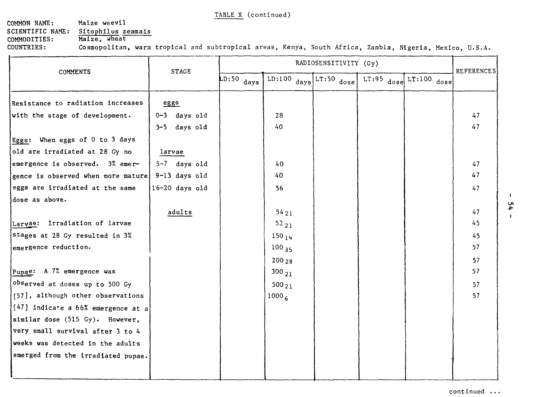# COMMON NAME: Maize weevil SCIENTIFIC NAME: Sitophilus zeamais<br>COMMODITIES: Maize, wheat COMMODITIES:

COUNTRIES: Cosmopolitan, warm tropical and subtropical areas, Kenya, South Africa, Zambia, Nigeria, Mexico, U.S.A.

| $LD:50$ days<br>LD:100 $_{\text{days}}$ LT:50 $_{\text{dose}}$<br>$LT:100$ dose<br>$LT:95$ dose<br>Resistance to radiation increases<br>eggs<br>$0-3$ days old<br>28<br>with the stage of development.<br>3-5 days old<br>40<br>Eggs: When eggs of 0 to 3 days<br>old are irradiated at 28 Gy no<br>larvae<br>$5-7$ days old<br>emergence is observed. 3% emer-<br>40<br>9-13 days old<br>40<br>gence is observed when more mature<br>eggs are irradiated at the same<br>$16-20$ days old<br>56<br>dose as above. |          |              |      | RADIOSENSITIVITY (Gy) |  | <b>REFERENCES</b> |
|-------------------------------------------------------------------------------------------------------------------------------------------------------------------------------------------------------------------------------------------------------------------------------------------------------------------------------------------------------------------------------------------------------------------------------------------------------------------------------------------------------------------|----------|--------------|------|-----------------------|--|-------------------|
|                                                                                                                                                                                                                                                                                                                                                                                                                                                                                                                   | COMMENTS | <b>STAGE</b> |      |                       |  |                   |
|                                                                                                                                                                                                                                                                                                                                                                                                                                                                                                                   |          |              |      |                       |  |                   |
|                                                                                                                                                                                                                                                                                                                                                                                                                                                                                                                   |          |              |      |                       |  | 47                |
|                                                                                                                                                                                                                                                                                                                                                                                                                                                                                                                   |          |              |      |                       |  | 47                |
|                                                                                                                                                                                                                                                                                                                                                                                                                                                                                                                   |          |              |      |                       |  |                   |
|                                                                                                                                                                                                                                                                                                                                                                                                                                                                                                                   |          |              |      |                       |  |                   |
|                                                                                                                                                                                                                                                                                                                                                                                                                                                                                                                   |          |              |      |                       |  | 47                |
|                                                                                                                                                                                                                                                                                                                                                                                                                                                                                                                   |          |              |      |                       |  | 47                |
|                                                                                                                                                                                                                                                                                                                                                                                                                                                                                                                   |          |              |      |                       |  | 47                |
|                                                                                                                                                                                                                                                                                                                                                                                                                                                                                                                   |          |              |      |                       |  |                   |
|                                                                                                                                                                                                                                                                                                                                                                                                                                                                                                                   |          | adults       | 5421 |                       |  | 47                |
| Larvae: Irradiation of larvae<br>$52_{21}$                                                                                                                                                                                                                                                                                                                                                                                                                                                                        |          |              |      |                       |  | 45                |
| stages at 28 Gy resulted in 3%<br>$150_{14}$                                                                                                                                                                                                                                                                                                                                                                                                                                                                      |          |              |      |                       |  | 45                |
| emergence reduction.<br>$100_{35}$                                                                                                                                                                                                                                                                                                                                                                                                                                                                                |          |              |      |                       |  | 57                |
| 20028                                                                                                                                                                                                                                                                                                                                                                                                                                                                                                             |          |              |      |                       |  | 57                |
| Pupae: A 7% emergence was<br>$300_{21}$                                                                                                                                                                                                                                                                                                                                                                                                                                                                           |          |              |      |                       |  | 57                |
| observed at doses up to 500 Gy<br>$500_{21}$                                                                                                                                                                                                                                                                                                                                                                                                                                                                      |          |              |      |                       |  | 57                |
| [57], although other observations<br>1000 <sub>6</sub>                                                                                                                                                                                                                                                                                                                                                                                                                                                            |          |              |      |                       |  | 57                |
| [47] indicate a 66% emergence at a                                                                                                                                                                                                                                                                                                                                                                                                                                                                                |          |              |      |                       |  |                   |
| similar dose (515 Gy). However,                                                                                                                                                                                                                                                                                                                                                                                                                                                                                   |          |              |      |                       |  |                   |
| very small survival after 3 to 4                                                                                                                                                                                                                                                                                                                                                                                                                                                                                  |          |              |      |                       |  |                   |
| weeks was detected in the adults                                                                                                                                                                                                                                                                                                                                                                                                                                                                                  |          |              |      |                       |  |                   |
| emerged from the irradiated pupae.                                                                                                                                                                                                                                                                                                                                                                                                                                                                                |          |              |      |                       |  |                   |
|                                                                                                                                                                                                                                                                                                                                                                                                                                                                                                                   |          |              |      |                       |  |                   |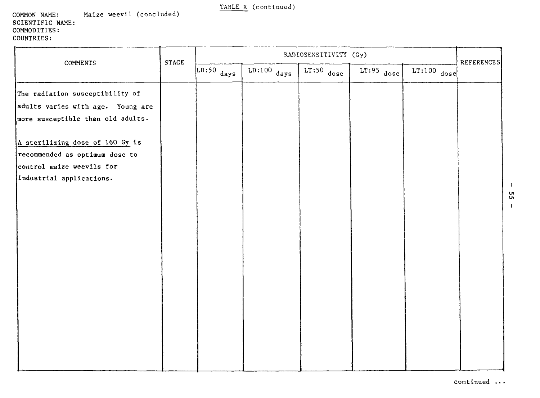#### **COMMON** NAME: **SCIENTIFIC** NAME: COMMODITIES: COUNTRIES: Maize weevil (concluded)

| COMMENTS                          | STAGE | RADIOSENSITIVITY (Gy)           |               |              |              |               |            |
|-----------------------------------|-------|---------------------------------|---------------|--------------|--------------|---------------|------------|
|                                   |       | $\overline{\text{LD:}}$ 50 days | $LD:100$ days | $LT:50$ dose | $LT:95$ dose | $LT:100$ dose | REFERENCES |
| The radiation susceptibility of   |       |                                 |               |              |              |               |            |
| adults varies with age. Young are |       |                                 |               |              |              |               |            |
| wore susceptible than old adults. |       |                                 |               |              |              |               |            |
| A sterilizing dose of 160 Gy is   |       |                                 |               |              |              |               |            |
| recommended as optimum dose to    |       |                                 |               |              |              |               |            |
| control maize weevils for         |       |                                 |               |              |              |               |            |
| industrial applications.          |       |                                 |               |              |              |               |            |
|                                   |       |                                 |               |              |              |               |            |
|                                   |       |                                 |               |              |              |               |            |
|                                   |       |                                 |               |              |              |               |            |
|                                   |       |                                 |               |              |              |               |            |
|                                   |       |                                 |               |              |              |               |            |
|                                   |       |                                 |               |              |              |               |            |
|                                   |       |                                 |               |              |              |               |            |
|                                   |       |                                 |               |              |              |               |            |
|                                   |       |                                 |               |              |              |               |            |
|                                   |       |                                 |               |              |              |               |            |
|                                   |       |                                 |               |              |              |               |            |
|                                   |       |                                 |               |              |              |               |            |
|                                   |       |                                 |               |              |              |               |            |
|                                   |       |                                 |               |              |              |               |            |
|                                   |       |                                 |               |              |              |               |            |

I en

 $\mathbf{I}$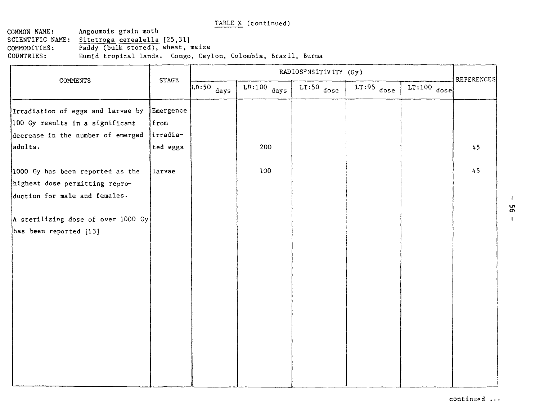COMMON NAME: Angoumois grain moth<br>SCIENTIFIC NAME: Sitotroga cerealella Sitotroga cerealella [25,31] COMMODITIES: Paddy (bulk stored), wheat, maize<br>COUNTRIES: Humid tropical lands. Congo, Ceyl Humid tropical lands. Congo, Ceylon, Colombia, Brazil, Burma

| COMMENTS                           | <b>STAGE</b> |              | RADIOSFNSITIVITY (Gy) |              |              |               | <b>REFERENCES</b> |  |
|------------------------------------|--------------|--------------|-----------------------|--------------|--------------|---------------|-------------------|--|
|                                    |              | $LD:50$ days | $Lp:100$ days         | $LT:50$ dose | $LT:95$ dose | $LT:100$ dose |                   |  |
| Irradiation of eggs and larvae by  | Emergence    |              |                       |              |              |               |                   |  |
| 100 Gy results in a significant    | from         |              |                       |              |              |               |                   |  |
| decrease in the number of emerged  | irradia-     |              |                       |              |              |               |                   |  |
| adults.                            | ted eggs     |              | 200                   |              |              |               | 45                |  |
| 1000 Gy has been reported as the   | larvae       |              | 100                   |              |              |               | 45                |  |
| highest dose permitting repro-     |              |              |                       |              |              |               |                   |  |
| duction for male and females.      |              |              |                       |              |              |               |                   |  |
| A sterilizing dose of over 1000 Gy |              |              |                       |              |              |               |                   |  |
| has been reported [13]             |              |              |                       |              |              |               |                   |  |
|                                    |              |              |                       |              |              |               |                   |  |
|                                    |              |              |                       |              |              |               |                   |  |
|                                    |              |              |                       |              |              |               |                   |  |
|                                    |              |              |                       |              |              |               |                   |  |
|                                    |              |              |                       |              |              |               |                   |  |
|                                    |              |              |                       |              |              |               |                   |  |
|                                    |              |              |                       |              |              |               |                   |  |
|                                    |              |              |                       |              |              |               |                   |  |
|                                    |              |              |                       |              |              |               |                   |  |
|                                    |              |              |                       |              |              |               |                   |  |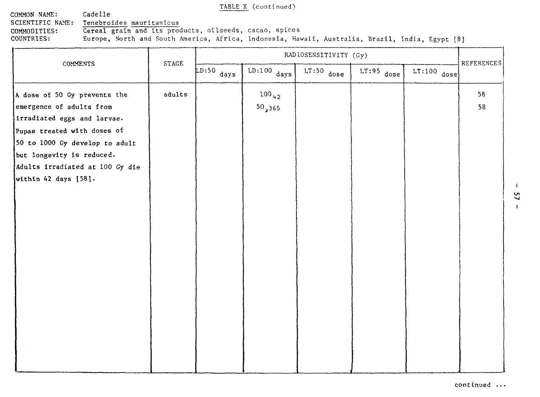COMMON NAME: Cadelle<br>SCIENTIFIC NAME: Tenebro Tenebroides mauritanicus

COMMODITIES: Cereal grain and its products, oilseeds, cacao, spices<br>COUNTRIES: Europe, North and South America, Africa, Indonesia, Haw

Europe, North and South America, Africa, Indonesia, Hawaii, Australia, Brazil, India, Egypt [8]

|                                 | <b>STAGE</b> |              | RADIOSENSITIVITY (Gy) |              |              |               | <b>REFERENCES</b> |
|---------------------------------|--------------|--------------|-----------------------|--------------|--------------|---------------|-------------------|
| COMMENTS                        |              | $LD:50$ days | $LD:100$ days         | $LT:50$ dose | $LT:95$ dose | $LT:100$ dose |                   |
| A dose of 50 Gy prevents the    | adults       |              | $100_{42}$            |              |              |               | 58                |
| emergence of adults from        |              |              | 50,365                |              |              |               | 58                |
| irradiated eggs and larvae.     |              |              |                       |              |              |               |                   |
| Pupae treated with doses of     |              |              |                       |              |              |               |                   |
| 50 to 1000 Gy develop to adult  |              |              |                       |              |              |               |                   |
| but longevity is reduced.       |              |              |                       |              |              |               |                   |
| Adults irradiated at 100 Gy die |              |              |                       |              |              |               |                   |
| within 42 days [58].            |              |              |                       |              |              |               |                   |
|                                 |              |              |                       |              |              |               |                   |
|                                 |              |              |                       |              |              |               |                   |
|                                 |              |              |                       |              |              |               |                   |
|                                 |              |              |                       |              |              |               |                   |
|                                 |              |              |                       |              |              |               |                   |
|                                 |              |              |                       |              |              |               |                   |
|                                 |              |              |                       |              |              |               |                   |
|                                 |              |              |                       |              |              |               |                   |
|                                 |              |              |                       |              |              |               |                   |
|                                 |              |              |                       |              |              |               |                   |
|                                 |              |              |                       |              |              |               |                   |
|                                 |              |              |                       |              |              |               |                   |
|                                 |              |              |                       |              |              |               |                   |
|                                 |              |              |                       |              |              |               |                   |
|                                 |              |              |                       |              |              |               |                   |
|                                 |              |              |                       |              |              |               |                   |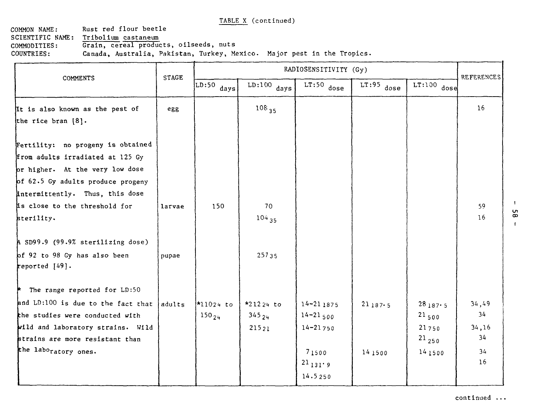COMMON NAME: SCIENTIFIC NAME: <u>Tribolium</u> castaneum COMMODITIES: COUNTRIES: Rust red flour beetle Grain, cereal products, oilseeds, nuts Canada, Australia, Pakistan, Turkey, Mexico. Major pest in the Tropics.

| <b>COMMENTS</b>                                                                                                                                                                                                                 | STAGE  | RADIOSENSITIVITY (Gy)           |                               |                                                                                      |                   |                                                                    |                                        |
|---------------------------------------------------------------------------------------------------------------------------------------------------------------------------------------------------------------------------------|--------|---------------------------------|-------------------------------|--------------------------------------------------------------------------------------|-------------------|--------------------------------------------------------------------|----------------------------------------|
|                                                                                                                                                                                                                                 |        | $\overline{\text{LD:50}}$ days! | $LD:100$ days                 | $LT:50$ dose                                                                         | $LT:95$ dose      | $LT:100$ dose                                                      | <b>REFERENCES</b>                      |
| It is also known as the pest of<br>the rice bran [8].                                                                                                                                                                           | egg    |                                 | $108_{35}$                    |                                                                                      |                   |                                                                    | 16                                     |
| Fertility: no progeny is obtained<br>from adults irradiated at 125 Gy<br>pr higher. At the very low dose<br>of 62.5 Gy adults produce progeny<br>intermittently. Thus, this dose<br>is close to the threshold for<br>sterility. | larvae | 150                             | 70<br>10435                   |                                                                                      |                   |                                                                    | 59<br>16                               |
| $A$ SD99.9 (99.9% sterilizing dose)<br>of 92 to 98 Gy has also been<br>reported [49].                                                                                                                                           | pupae  |                                 | 25735                         |                                                                                      |                   |                                                                    |                                        |
| The range reported for LD:50<br>and LD:100 is due to the fact that<br>the studies were conducted with<br>wild and laboratory strains. Wild<br>strains are more resistant than<br>the laboratory ones.                           | adults | $*11024$ to<br>$150_{24}$       | $*21224$ to<br>34524<br>21521 | $14 - 211875$<br>$14 - 21$ 500<br>$14 - 21750$<br>71500<br>$21_{131}$ . 9<br>14.5250 | 21187.5<br>141500 | $28_{187 \cdot 5}$<br>$21_{500}$<br>21750<br>$^{21}$ 250<br>141500 | 34,49<br>34<br>34,16<br>34<br>34<br>16 |

 $\mathbf{I}$ 58  $\mathbf{I}$ 

 $\overline{a}$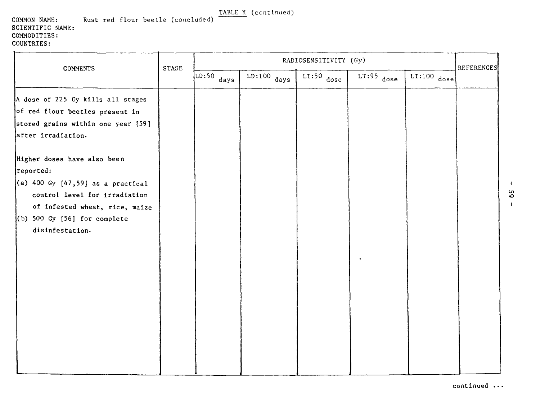**COMMON NAME: Rust red** flour beetle (concluded) **SCIENTIFIC NAME: COMMODITIES: COUNTRIES:**

| <b>COMMENTS</b>                     | <b>STAGE</b> | RADIOSENSITIVITY (Gy)          |               |              |              |               |                   |
|-------------------------------------|--------------|--------------------------------|---------------|--------------|--------------|---------------|-------------------|
|                                     |              | $\overline{\text{LD:50}}$ days | $LD:100$ days | $LT:50$ dose | $LT:95$ dose | $LT:100$ dose | <b>REFERENCES</b> |
| A dose of 225 Gy kills all stages   |              |                                |               |              |              |               |                   |
| of red flour beetles present in     |              |                                |               |              |              |               |                   |
| stored grains within one year [59]  |              |                                |               |              |              |               |                   |
| after irradiation.                  |              |                                |               |              |              |               |                   |
| Higher doses have also been         |              |                                |               |              |              |               |                   |
| reported:                           |              |                                |               |              |              |               |                   |
| (a) 400 Gy $[47,59]$ as a practical |              |                                |               |              |              |               |                   |
| control level for irradiation       |              |                                |               |              |              |               |                   |
| of infested wheat, rice, maize      |              |                                |               |              |              |               |                   |
| $(6)$ 500 Gy $[56]$ for complete    |              |                                |               |              |              |               |                   |
| disinfestation.                     |              |                                |               |              |              |               |                   |
|                                     |              |                                |               |              |              |               |                   |
|                                     |              |                                |               |              |              |               |                   |
|                                     |              |                                |               |              |              |               |                   |
|                                     |              |                                |               |              |              |               |                   |
|                                     |              |                                |               |              |              |               |                   |
|                                     |              |                                |               |              |              |               |                   |
|                                     |              |                                |               |              |              |               |                   |
|                                     |              |                                |               |              |              |               |                   |
|                                     |              |                                |               |              |              |               |                   |
|                                     |              |                                |               |              |              |               |                   |
|                                     |              |                                |               |              |              |               |                   |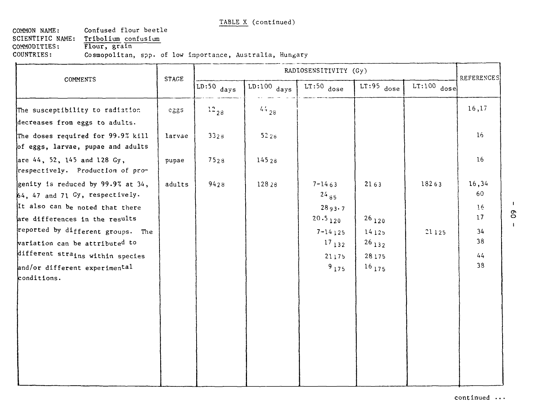COMMON NAME: Confused flour beetle SCIENTIFIC NAME: Tribolium confusium COMMODITIES: Flour, grain COUNTRIES: Cosmopolitan, spp. of low importance, Australia, Hungary  $\mathcal{L}$ 

| COMMENTS                                                                                                                                  |              | RADIOSENSITIVITY (Gy) |               |                                                   |                                            |               |                                      |
|-------------------------------------------------------------------------------------------------------------------------------------------|--------------|-----------------------|---------------|---------------------------------------------------|--------------------------------------------|---------------|--------------------------------------|
|                                                                                                                                           | <b>STAGE</b> | $LD:50$ days          | $LD:100$ days | $LT:50$ dose                                      | $LT:95$ dose                               | $LT:100$ dose | <b>REFERENCES</b>                    |
| The susceptibility to radiation<br>decreases from eggs to adults.                                                                         | $c_{ZZ}$ s   | $^{12}$ 28            | $44_{28}$     |                                                   |                                            |               | 16, 17                               |
| The doses required for 99.9% kill<br>of eggs, larvae, pupae and adults                                                                    | larvae       | 3328                  | 5226          |                                                   |                                            |               | 16 <sub>1</sub>                      |
| are 44, 52, 145 and 128 Gy,<br>respectively. Production of pro-                                                                           | pupae        | 7528                  | 14528         |                                                   |                                            |               | 16                                   |
| genity is reduced by 99.9% at 34,<br>64, 47 and 71 Gy, respectively.<br>It also can be noted that there<br>are differences in the results | adults       | 9428                  | 12828         | $7 - 1463$<br>$24_{85}$<br>2893.7<br>$20.5_{120}$ | 2163<br>$26_{120}$                         | 18263         | 16,34<br>60<br>16 <sub>1</sub><br>17 |
| reported by different groups. The<br>variation can be attributed to<br>different strains within species<br>and/or different experimental  |              |                       |               | $7 - 14$ 125<br>$^{17}$ 132<br>21175<br>$9_{175}$ | 14125<br>$26_{132}$<br>28175<br>$16_{175}$ | 21125         | 34<br>38<br>44<br>38                 |
| conditions.                                                                                                                               |              |                       |               |                                                   |                                            |               |                                      |
|                                                                                                                                           |              |                       |               |                                                   |                                            |               |                                      |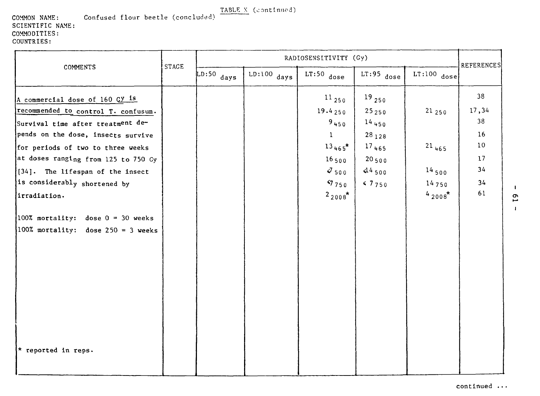COMMON NAME: Confused flour beetle (concluded) SCIENTIFIC NAME: COMMODITIES: COUNTRIES:

| COMMENTS                                                                                                                                                                                                                                                                                                         |              | RADIOSENSITIVITY (Gy) |               |                                                                                                                    |                                                                                      |                                                        |                                                                    |
|------------------------------------------------------------------------------------------------------------------------------------------------------------------------------------------------------------------------------------------------------------------------------------------------------------------|--------------|-----------------------|---------------|--------------------------------------------------------------------------------------------------------------------|--------------------------------------------------------------------------------------|--------------------------------------------------------|--------------------------------------------------------------------|
|                                                                                                                                                                                                                                                                                                                  | <b>STAGE</b> | $LD:50$ days          | $LD:100$ days | $LT:50$ dose                                                                                                       | $LT:95$ dose                                                                         | $LT:100$ dose                                          | <b>REFERENCES</b>                                                  |
| A commercial dose of 160 Gy is<br>recommended to control T. confusum.<br>Survival time after treatment de-<br>pends on the dose, insects survive<br>for periods of two to three weeks<br>at doses ranging from 125 to 750 Gy<br>[34]. The lifespan of the insect<br>is considerably shortened by<br>irradiation. |              |                       |               | $^{11}$ 250<br>19.4250<br>9450<br>$\mathbf{1}$<br>$13_{465}$ *<br>$16_{500}$<br>$J_{500}$<br>57750<br>$2_{2008}$ * | $^{19}$ 250<br>25250<br>$14_{450}$<br>$28_{128}$<br>17465<br>20500<br>44500<br>57750 | 21250<br>$21_{465}$<br>$14_{500}$<br>14750<br>$42008*$ | 38<br>17,34<br>38<br>16<br>10 <sup>°</sup><br>17<br>34<br>34<br>61 |
| 100% mortality: dose $0 = 30$ weeks<br>100% mortality: dose $250 = 3$ weeks<br>* reported in reps.                                                                                                                                                                                                               |              |                       |               |                                                                                                                    |                                                                                      |                                                        |                                                                    |

 $\overline{c}$  $\mathbf{I}$ 

 $\blacksquare$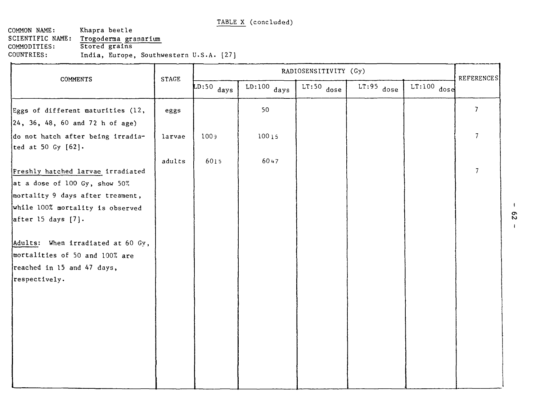COMMON NAME: SCIENTIFIC NAME: COMMODITIES: COUNTRIES: Khapra beetle Trogoderma granarlum Stored grains India, Europe, Southwestern U.S.A. [27]

| COMMENTS                                                | <b>STAGE</b> | RADIOSENSITIVITY (Gy) |               |              |              |               |                   |
|---------------------------------------------------------|--------------|-----------------------|---------------|--------------|--------------|---------------|-------------------|
|                                                         |              | $LD:50$ days          | $LD:100$ days | $LT:50$ dose | $LT:95$ dose | $LT:100$ dose | <b>REFERENCES</b> |
| Eggs of different maturities (12,                       | eggs         |                       | 50            |              |              |               | $\overline{7}$    |
| $\left 24, 36, 48, 60 \right $ and 72 h of age)         |              |                       |               |              |              |               |                   |
| do not hatch after being irradia-<br>ted at 50 Gy [62]. | larvae       | 1009                  | 10015         |              |              |               | $\overline{7}$    |
|                                                         | adults       | 6015                  | 6047          |              |              |               |                   |
| Freshly hatched larvae irradiated                       |              |                       |               |              |              |               | $\overline{7}$    |
| at a dose of 100 Gy, show 50%                           |              |                       |               |              |              |               |                   |
| mortality 9 days after treament,                        |              |                       |               |              |              |               |                   |
| while 100% mortality is observed                        |              |                       |               |              |              |               |                   |
| after $15$ days $[7]$ .                                 |              |                       |               |              |              |               |                   |
| Adults: When irradiated at 60 Gy,                       |              |                       |               |              |              |               |                   |
| mortalities of 50 and 100% are                          |              |                       |               |              |              |               |                   |
| reached in 15 and 47 days,                              |              |                       |               |              |              |               |                   |
| respectively.                                           |              |                       |               |              |              |               |                   |
|                                                         |              |                       |               |              |              |               |                   |
|                                                         |              |                       |               |              |              |               |                   |
|                                                         |              |                       |               |              |              |               |                   |
|                                                         |              |                       |               |              |              |               |                   |
|                                                         |              |                       |               |              |              |               |                   |
|                                                         |              |                       |               |              |              |               |                   |
|                                                         |              |                       |               |              |              |               |                   |
|                                                         |              |                       |               |              |              |               |                   |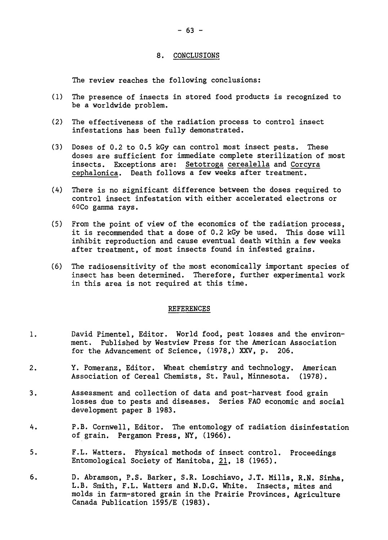#### 8. CONCLUSIONS

The review reaches the following conclusions:

- (1) The presence of insects in stored food products is recognized to be a worldwide problem.
- (2) The effectiveness of the radiation process to control insect infestations has been fully demonstrated.
- (3) Doses of 0.2 to 0.5 kGy can control most insect pests. These doses are sufficient for immediate complete sterilization of most insects. Exceptions are: Setotroga cerealella and Corcyra cephalonica. Death follows a few weeks after treatment.
- (A) There is no significant difference between the doses required to control insect infestation with either accelerated electrons or 60Co gamma rays.
- (5) From the point of view of the economics of the radiation process, it is recommended that a dose of 0.2 kGy be used. This dose will inhibit reproduction and cause eventual death within a few weeks after treatment, of most insects found in infested grains.
- (6) The radiosensitivity of the most economically important species of insect has been determined. Therefore, further experimental work in this area is not required at this time.

#### REFERENCES

- 1. David Pimentel, Editor. World food, pest losses and the environment. Published by Westview Press for the American Association for the Advancement of Science, (1978,) XXV, p. 206.
- 2. Y. Pomeranz, Editor. Wheat chemistry and technology. American Association of Cereal Chemists, St. Paul, Minnesota. (1978).
- 3. Assessment and collection of data and post-harvest food grain losses due to pests and diseases. Series FAO economic and social development paper B 1983.
- h. P.B. Cornwell, Editor. The entomology of radiation disinfestation of grain. Pergamon Press, NY, (1966).
- 5. F.L. Watters. Physical methods of insect control. Proceedings Entomological Society of Manitoba, 21, 18 (1965).
- 6. D. Abramson, P.S. Barker, S.R. Loschiavo, J.T. Mills, R.N. Sinha, L.B. Smith, F.L. Watters and N.D.G. White. Insects, mites and molds in farm-stored grain in the Prairie Provinces, Agriculture Canada Publication 1595/E (1983).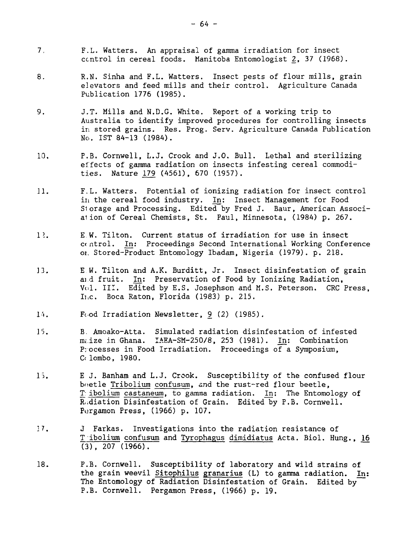- 7. F.L. Watters. An appraisal of gamma irradiation for insect control in cereal foods. Manitoba Entomologist 2, 37 (1968).
- 8. R.N. Sinha and F.L. Watters. Insect pests of flour mills, grain elevators and feed mills and their control. Agriculture Canada Publication 1776 (1985).
- 9. J.T. Mills and N.D.G. White. Report of a working trip to Australia to identify improved procedures for controlling insects in stored grains. Res. Prog. Serv. Agriculture Canada Publication No. 1ST 84-13 (1984).
- 10. P.B. Cornwell, L.J. Crook and J.O. Bull. Lethal and sterilizing effects of gamma radiation on insects infesting cereal commodities. Nature 179 (4561), 670 (1957).
- 11. F.L. Watters. Potential of ionizing radiation for insect control in the cereal food industry. In: Insect Management for Food Storage and Processing. Edited by Fred J. Baur, American Associaiion of Cereal Chemists, St. Paul, Minnesota, (1984) p. 267.
- 12. E.W. Tilton. Current status of irradiation for use in insect ccntrol. In: Proceedings Second International Working Conference oi. Stored-Product Entomology Ibadam, Nigeria (1979). p. 218.
- 13. E W. Tilton and A.K. Burditt, Jr. Insect disinfestation of grain aid fruit. In: Preservation of Food by Ionizing Radiation, Vol. III. Edited by E.S. Josephson and M.S. Peterson. CRC Press, Ii.c. Boca Raton, Florida (1983) p. 215.
- 14. Food Irradiation Newsletter, 9 (2) (1985).
- 15. B. Amoako-Atta. Simulated radiation disinfestation of infested  $m_i$ ize in Ghana. IAEA-SM-250/8, 253 (1981). In: Combination Processes in Food Irradiation. Proceedings of a Symposium, C< lombo, 1980.
- 15. E J. Banham and L.J. Crook. Susceptibility of the confused flour beetle Tribolium confusum, and the rust-red flour beetle, T: ibolium castaneum, to gamma radiation. In: The Entomology of Radiation Disinfestation of Grain. Edited by P.B. Cornwell. Purgamon Press, (1966) p. 107.
- 17. J Farkas. Investigations into the radiation resistance of T ibolium confusum and Tyrophagus dimidiatus Acta. Biol. Hung., 16  $(3)$ ,  $207$   $(1966)$ .
- 18. P.B. Cornwell. Susceptibility of laboratory and wild strains of the grain weevil Sitophilus granarius (L) to gamma radiation. In: The Entomology of Radiation Disinfestation of Grain. Edited by P.B. Cornwell. Pergamon Press, (1966) p. 19.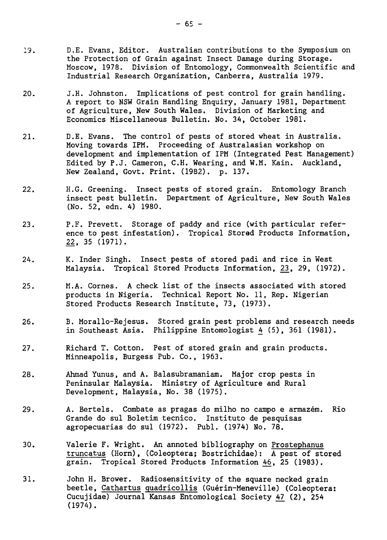- 19. D.E. Evans, Editor. Australian contributions to the Symposium on the Protection of Grain against Insect Damage during Storage. Moscow, 1978. Division of Entomology, Commonwealth Scientific and Industrial Research Organization, Canberra, Australia 1979.
- 20. J.H. Johnston. Implications of pest control for grain handling. A report to NSW Grain Handling Enquiry, January 1981, Department of Agriculture, New South Wales. Division of Marketing and Economics Miscellaneous Bulletin. No. 34, October 1981.
- 21. D.E. Evans. The control of pests of stored wheat in Australia. Moving towards IPM. Proceeding of Australasian workshop on development and implementation of IPM (Integrated Pest Management) Edited by P.J. Cameron, C.H. Wearing, and W.M. Kain. Auckland, New Zealand, Govt. Print. (1982). p. 137.
- 22. H.G. Greening. Insect pests of stored grain. Entomology Branch insect pest bulletin. Department of Agriculture, New South Wales (No. 52, edn. 4) 1980.
- 23. P.F. Prevett. Storage of paddy and rice (with particular reference to pest infestation). Tropical Stored Products Information, 22, 35 (1971).
- 24. K. Inder Singh. Insect pests of stored padi and rice in West Malaysia. Tropical Stored Products Information, 23, 29, (1972).
- 25. M.A. Cornes. A check list of the insects associated with stored products in Nigeria. Technical Report No. 11, Rep. Nigerian Stored Products Research Institute, 73, (1973).
- 26. B. Morallo-Rejesus. Stored grain pest problems and research needs in Southeast Asia. Philippine Entomologist 4 (5), 361 (1981).
- 27. Richard T. Cotton. Pest of stored grain and grain products. Minneapolis, Burgess Pub. Co., 1963.
- 28. Ahmad Yunus, and A. Balasubramaniam. Major crop pests in Peninsular Malaysia. Ministry of Agriculture and Rural Development, Malaysia, No. 38 (1975).
- 29. A. Bertels. Combate as pragas do milho no campo e armazem. Rio Grande do sul Boletim tecnico. Instituto de pesquisas agropecuarias do sul (1972). Publ. (1974) No. 78.
- 30. Valerie F. Wright. An annoted bibliography on Prostephanus truncatus (Horn), (Coleoptera; Bostrichidae): A pest of stored grain. Tropical Stored Products Information 46, 25 (1983).
- 31. John H. Brower. Radiosensitivity of the square necked grain beetle, Cathartus quadricollis (Guérin-Meneville) (Coleoptera: Cucujidae) Journal Kansas Entomological Society 47 (2), 254 (1974).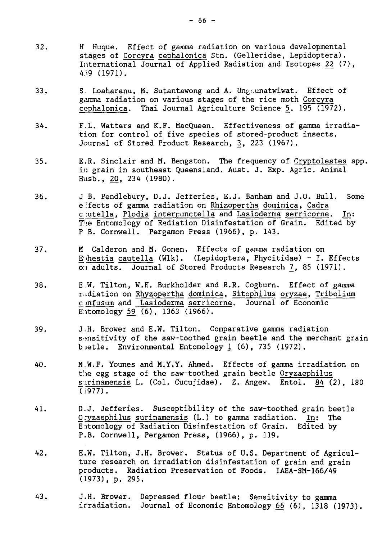- 32. H Huque. Effect of gamma radiation on various developmental stages of Corcyra cephalonica Stn. (Gelleridae, Lepidoptera). International Journal of Applied Radiation and Isotopes 22 (7), A.19 (1971).
- 33. S. Loaharanu, M. Sutantawong and A. Un $\mu$ cunatwiwat. Effect of gamma radiation on various stages of the rice moth Corcyra cephalonica. Thai Journal Agriculture Science 5. 195 (1972).
- 34. F.L. Watters and K.F. MacQueen. Effectiveness of gamma irradiation for control of five species of stored-product insects. Journal of Stored Product Research, 3, 223 (1967).
- 35. E.R. Sinclair and M. Bengston. The frequency of Cryptolestes spp. in grain in southeast Queensland. Aust. J. Exp. Agric. Animal Husb., 20, 234 (1980).
- 36. J B. Pendlebury, D.J. Jefferies, E.J. Banham and J.O. Bull. Some effects of gamma radiation on Rhizopertha dominica, Cadra c.tutella, Plodia interpunctella and Lasioderma serricorne. In: The Entomology of Radiation Disinfestation of Grain. Edited by P B. Cornwell. Pergamon Press (1966), p. 143.
- 37. M Calderon and M. Gonen. Effects of gamma radiation on E'>hestia cautella (Wlk). (Lepidoptera, Phycitidae) - I. Effects on adults. Journal of Stored Products Research 7, 85 (1971).
- 38. E.W. Tilton, W.E. Burkholder and R.R. Cogburn. Effect of gamma radiation on Rhyzopertha dominica, Sitophilus oryzae, Tribolium c mfusum and Lasioderma serricorne. Journal of Economic Entomology 59 (6), 1363 (1966).
- 39. J.H. Brower and E.W. Tilton. Comparative gamma radiation sensitivity of the saw-toothed grain beetle and the merchant grain betle. Environmental Entomology 1 (6), 735 (1972).
- 40. M.W.F. Younes and M.Y.Y. Ahmed. Effects of gamma irradiation on the egg stage of the saw-toothed grain beetle Oryzaephilus s irinamensis L. (Col. Cucujidae). Z. Angew. Entol. 84 (2), 180  $(1977)$ .
- 41. D.J. Jefferies. Susceptibility of the saw-toothed grain beetle Oryzaephilus surinamensis (L.) to gamma radiation. In: The Eitomology of Radiation Disinfestation of Grain. Edited by P.B. Cornwell, Pergamon Press, (1966), p. 119.
- 42. E.W. Tilton, J.H. Brower. Status of U.S. Department of Agriculture research on irradiation disinfestation of grain and grain products. Radiation Preservation of Foods. IAEA-SM-166/49 (1973), p. 295.
- 43. J.H. Brower. Depressed flour beetle: Sensitivity to gamma irradiation. Journal of Economic Entomology 66 (6), 1318 (1973).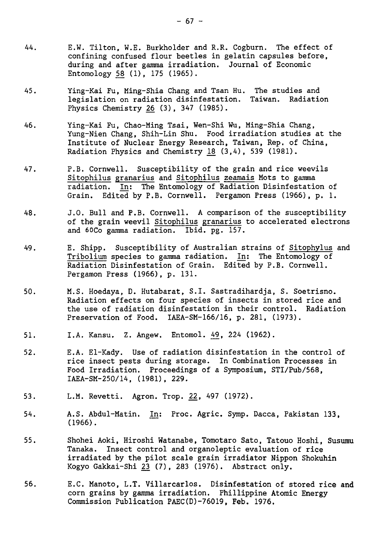- 44. E.W. Tilton, W.E. Burkholder and R.R. Cogburn. The effect of confining confused flour beetles in gelatin capsules before, during and after gamma irradiation. Journal of Economic Entomology 58 (1), 175 (1965).
- 45. Ying-Kai Fu, Ming-Shia Chang and Tsan Hu. The studies and legislation on radiation disinfestation. Taiwan. Physics Chemistry 26 (3), 347 (1985).
- 46. Ying-Kai Fu, Chao-Ming Tsai, Wen-Shi Wu, Ming-Shia Chang, Yung-Nien Chang, Shih-Lin Shu. Food irradiation studies at the Institute of Nuclear Energy Research, Taiwan, Rep. of China, Radiation Physics and Chemistry  $18$  (3,4), 539 (1981).
- 47. P.B. Cornwell. Susceptibility of the grain and rice weevils Sitophilus granarius and Sitophilus zeamais Mots to gamma radiation. In: The Entomology of Radiation Disinfestation of Grain. Edited by P.B. Cornwell. Pergamon Press (1966), p. 1.
- 48. J.O. Bull and P.B. Cornwell. A comparison of the susceptibility of the grain weevil Sitophilus granarius to accelerated electrons and 60Co gamma radiation. Ibid. pg. 157.
- 49. E. Shipp. Susceptibility of Australian strains of Sitophylus and Tribolium species to gamma radiation. In: The Entomology of Radiation Disinfestation of Grain. Edited by P.B. Cornwell. Pergamon Press (1966), p. 131.
- 50. M.S. Hoedaya, D. Hutabarat, S.I. Sastradihardja, S. Soetrisno. Radiation effects on four species of insects in stored rice and the use of radiation disinfestation in their control. Radiation Preservation of Food. IAEA-SM-166/16, p. 281, (1973).
- 51. I.A. Kansu. Z. Angew. Entomol. 49, 224 (1962).
- 52. E.A. El-Kady. Use of radiation disinfestation in the control of rice insect pests during storage. In Combination Processes in Food Irradiation. Proceedings of a Symposium, STI/Pub/568, IAEA-SM-250/14, (1981), 229.
- 53. L.M. Revetti. Agron. Trop. 22, 497 (1972).
- 54. A.S. Abdul-Matin. In: Proc. Agric. Symp. Dacca, Pakistan 133, (1966).
- 55. Shohei Aoki, Hiroshi Watanabe, Tomotaro Sato, Tatouo Hoshi, Susumu Tanaka. Insect control and organoleptic evaluation of rice irradiated by the pilot scale grain irradiator Nippon Shokuhin Kogyo Gakkai-Shi 23 (7), 283 (1976). Abstract only.
- 56. E.C. Manoto, L.T. Villarcarlos. Disinfestation of stored rice and corn grains by gamma irradiation. Phillippine Atomic Energy Commission Publication PAEC(D)-76019, Feb. 1976.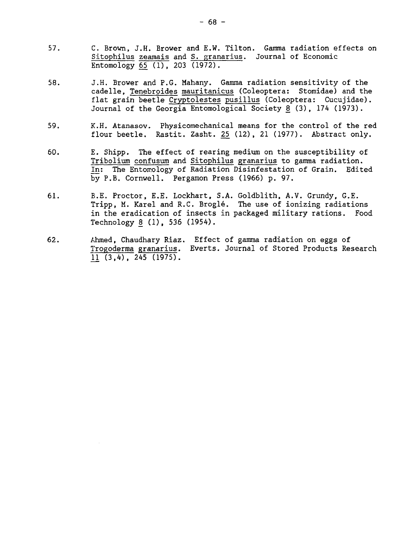- 57. C. Brown, J.H. Brower and E.W. Tilton. Gamma radiation effects on Sitophilus zeamais and S. granarius. Journal of Economic Entomology 65 (1), 203 (1972).
- 58. J.H. Brower and P.G. Mahany. Gamma radiation sensitivity of the cadelle, Tenebroides mauritanicus (Coleoptera: Stomidae) and the flat grain beetle Cryptolestes pusillus (Coleoptera: Cucujidae). Journal of the Georgia Entomological Society 8 (3), 174 (1973).
- 59. K.H. Atanasov. Physicomechanical means for the control of the red flour beetle. Rastit. Zasht. 25\_ (12), 21 (1977). Abstract only.
- 60. E. Shipp. The effect of rearing medium on the susceptibility of Tribolium confusum and Sitophilus granarius to gamma radiation. In: The Entomology of Radiation Disinfestation of Grain. Edited by P.B. Cornwell. Pergamon Press (1966) p. 97.
- 61. B.E. Proctor, E.E. Lockhart, S.A. Goldblith, A.V. Grundy, G.E. Tripp, M. Karel and R.C. Brogle. The use of ionizing radiations in the eradication of insects in packaged military rations. Food Technology 8 (1), 536 (1954).
- 62. Ahmed, Chaudhary Riaz. Effect of gamma radiation on eggs of Trogoderma granarius. Everts. Journal of Stored Products Research  $11$   $(3,4)$ ,  $245$   $(1975)$ .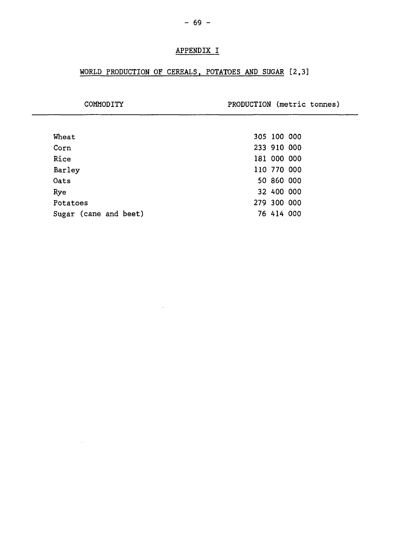## APPENDIX I

# WORLD PRODUCTION OF CEREALS, POTATOES AND SUGAR [2,3]

| COMMODITY             | PRODUCTION (metric tonnes) |  |
|-----------------------|----------------------------|--|
|                       |                            |  |
| Wheat                 | 305 100 000                |  |
| Corn                  | 233 910 000                |  |
| Rice                  | 181 000 000                |  |
| Barley                | 110 770 000                |  |
| Oats                  | 50 860 000                 |  |
| Rye                   | 32 400 000                 |  |
| Potatoes              | 279 300 000                |  |
| Sugar (cane and beet) | 76 414 000                 |  |

 $\omega$ 

 $\mathcal{L}^{\text{max}}_{\text{max}}$  and  $\mathcal{L}^{\text{max}}_{\text{max}}$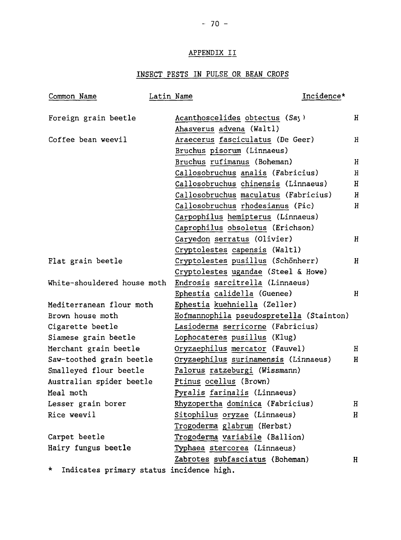### APPENDIX II

## INSECT PESTS IN PULSE OR BEAN CROPS

| Common Name                                   | Latin Name                      | Incidence*                                             |  |
|-----------------------------------------------|---------------------------------|--------------------------------------------------------|--|
| Foreign grain beetle                          | Acanthoscelides obtectus (Say)  | Η                                                      |  |
|                                               | Ahasverus advena (Waltl)        |                                                        |  |
| Coffee bean weevil                            |                                 | Araecerus fasciculatus (De Geer)<br>Н                  |  |
|                                               | Bruchus pisorum (Linnaeus)      |                                                        |  |
|                                               | Bruchus rufimanus (Boheman)     | H                                                      |  |
|                                               |                                 | Callosobruchus analis (Fabricius)<br>Н                 |  |
|                                               |                                 | Callosobruchus chinensis (Linnaeus)<br>$\mathbf H$     |  |
|                                               |                                 | Callosobruchus maculatus (Fabricius)<br>$\overline{H}$ |  |
|                                               |                                 | Callosobruchus rhodesianus (Pic)<br>H                  |  |
|                                               |                                 | Carpophilus hemipterus (Linnaeus)                      |  |
|                                               |                                 | Caprophilus obsoletus (Erichson)                       |  |
|                                               | Caryedon serratus (Olivier)     | $\overline{H}$                                         |  |
|                                               | Cryptolestes capensis (Waltl)   |                                                        |  |
| Flat grain beetle                             |                                 | Cryptolestes pusillus (Schönherr)<br>Η                 |  |
|                                               |                                 | Cryptolestes ugandae (Steel & Howe)                    |  |
| White-shouldered house moth                   | Endrosis sarcitrella (Linnaeus) |                                                        |  |
|                                               | Ephestia calidella (Guenee)     | H                                                      |  |
| Mediterranean flour moth                      | Ephestia kuehniella (Zeller)    |                                                        |  |
| Brown house moth                              |                                 | Hofmannophila pseudospretella (Stainton)               |  |
| Cigarette beetle                              |                                 | Lasioderma serricorne (Fabricius)                      |  |
| Siamese grain beetle                          | Lophocateres pusillus (Klug)    |                                                        |  |
| Merchant grain beetle                         | Oryzaephilus mercator (Fauvel)  | Η                                                      |  |
| Saw-toothed grain beetle                      |                                 | Oryzaephilus surinamensis (Linnaeus)<br>н              |  |
| Smalleyed flour beetle                        | Palorus ratzeburgi (Wissmann)   |                                                        |  |
| Australian spider beetle                      | Ptinus ocellus (Brown)          |                                                        |  |
| Meal moth                                     | Pyralis farinalis (Linnaeus)    |                                                        |  |
| Lesser grain borer                            |                                 | Rhyzopertha dominica (Fabricius)<br>$\, {\rm H}$       |  |
| Rice weevil                                   | Sitophilus oryzae (Linnaeus)    | $\mathbf H$                                            |  |
|                                               | Trogoderma glabrum (Herbst)     |                                                        |  |
| Carpet beetle                                 | Trogoderma variabile (Ballion)  |                                                        |  |
| Hairy fungus beetle                           | Typhaea stercorea (Linnaeus)    |                                                        |  |
|                                               | Zabrotes subfasciatus (Boheman) | $\mathbf H$                                            |  |
| *<br>Indicates primary status incidence high. |                                 |                                                        |  |